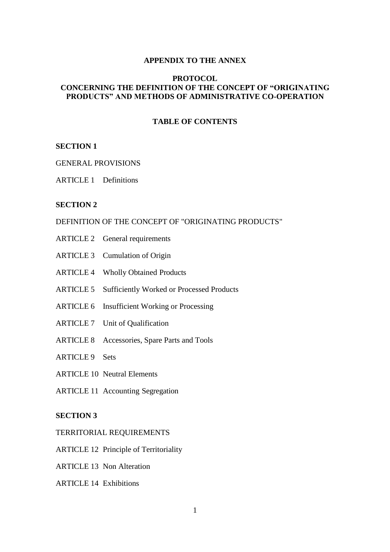#### **APPENDIX TO THE ANNEX**

### **PROTOCOL CONCERNING THE DEFINITION OF THE CONCEPT OF "ORIGINATING PRODUCTS" AND METHODS OF ADMINISTRATIVE CO-OPERATION**

## **TABLE OF CONTENTS**

#### **SECTION 1**

### GENERAL PROVISIONS

ARTICLE 1 Definitions

#### **SECTION 2**

### DEFINITION OF THE CONCEPT OF "ORIGINATING PRODUCTS"

- ARTICLE 2 General requirements
- ARTICLE 3 Cumulation of Origin
- ARTICLE 4 Wholly Obtained Products
- ARTICLE 5 Sufficiently Worked or Processed Products
- ARTICLE 6 Insufficient Working or Processing
- ARTICLE 7 Unit of Qualification
- ARTICLE 8 Accessories, Spare Parts and Tools
- ARTICLE 9 Sets
- ARTICLE 10 Neutral Elements
- ARTICLE 11 Accounting Segregation

# **SECTION 3**

- TERRITORIAL REQUIREMENTS
- ARTICLE 12 Principle of Territoriality
- ARTICLE 13 Non Alteration
- ARTICLE 14 Exhibitions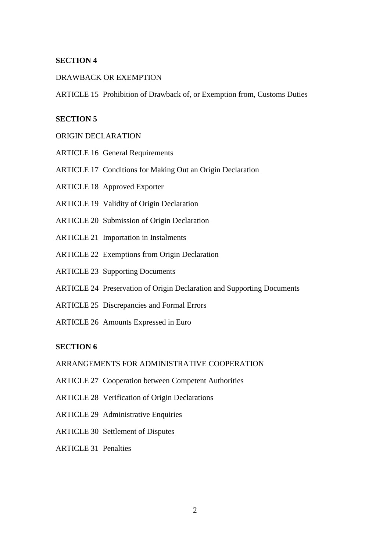### DRAWBACK OR EXEMPTION

ARTICLE 15 Prohibition of Drawback of, or Exemption from, Customs Duties

### **SECTION 5**

### ORIGIN DECLARATION

- ARTICLE 16 General Requirements
- ARTICLE 17 Conditions for Making Out an Origin Declaration
- ARTICLE 18 Approved Exporter
- ARTICLE 19 Validity of Origin Declaration
- ARTICLE 20 Submission of Origin Declaration
- ARTICLE 21 Importation in Instalments
- ARTICLE 22 Exemptions from Origin Declaration
- ARTICLE 23 Supporting Documents
- ARTICLE 24 Preservation of Origin Declaration and Supporting Documents
- ARTICLE 25 Discrepancies and Formal Errors
- ARTICLE 26 Amounts Expressed in Euro

#### **SECTION 6**

# ARRANGEMENTS FOR ADMINISTRATIVE COOPERATION

- ARTICLE 27 Cooperation between Competent Authorities
- ARTICLE 28 Verification of Origin Declarations
- ARTICLE 29 Administrative Enquiries
- ARTICLE 30 Settlement of Disputes
- ARTICLE 31 Penalties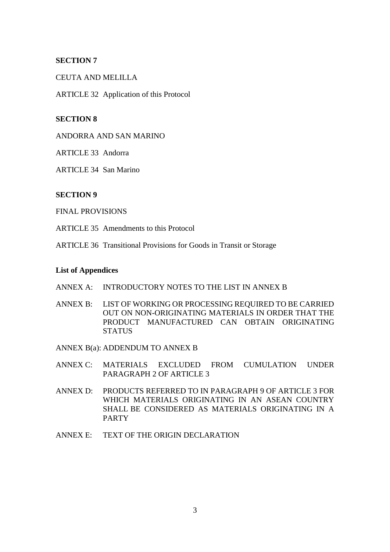CEUTA AND MELILLA

ARTICLE 32 Application of this Protocol

# **SECTION 8**

ANDORRA AND SAN MARINO

ARTICLE 33 Andorra

ARTICLE 34 San Marino

### **SECTION 9**

FINAL PROVISIONS

ARTICLE 35 Amendments to this Protocol

ARTICLE 36 Transitional Provisions for Goods in Transit or Storage

#### **List of Appendices**

- ANNEX A: INTRODUCTORY NOTES TO THE LIST IN ANNEX B
- ANNEX B: LIST OF WORKING OR PROCESSING REQUIRED TO BE CARRIED OUT ON NON-ORIGINATING MATERIALS IN ORDER THAT THE PRODUCT MANUFACTURED CAN OBTAIN ORIGINATING **STATUS**

ANNEX B(a): ADDENDUM TO ANNEX B

- ANNEX C: MATERIALS EXCLUDED FROM CUMULATION UNDER PARAGRAPH 2 OF ARTICLE 3
- ANNEX D: PRODUCTS REFERRED TO IN PARAGRAPH 9 OF ARTICLE 3 FOR WHICH MATERIALS ORIGINATING IN AN ASEAN COUNTRY SHALL BE CONSIDERED AS MATERIALS ORIGINATING IN A PARTY
- ANNEX E: TEXT OF THE ORIGIN DECLARATION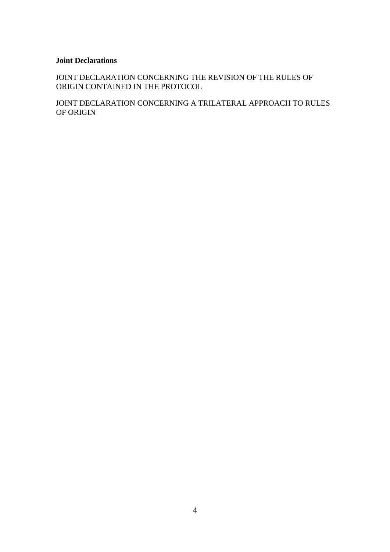## **Joint Declarations**

JOINT DECLARATION CONCERNING THE REVISION OF THE RULES OF ORIGIN CONTAINED IN THE PROTOCOL

JOINT DECLARATION CONCERNING A TRILATERAL APPROACH TO RULES OF ORIGIN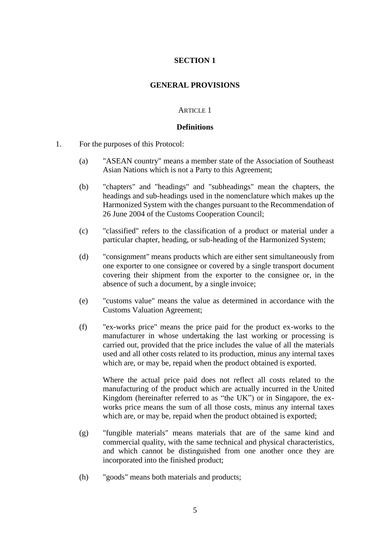### **GENERAL PROVISIONS**

#### ARTICLE 1

#### **Definitions**

- 1. For the purposes of this Protocol:
	- (a) "ASEAN country" means a member state of the Association of Southeast Asian Nations which is not a Party to this Agreement;
	- (b) "chapters" and "headings" and "subheadings" mean the chapters, the headings and sub-headings used in the nomenclature which makes up the Harmonized System with the changes pursuant to the Recommendation of 26 June 2004 of the Customs Cooperation Council;
	- (c) "classified" refers to the classification of a product or material under a particular chapter, heading, or sub-heading of the Harmonized System;
	- (d) "consignment" means products which are either sent simultaneously from one exporter to one consignee or covered by a single transport document covering their shipment from the exporter to the consignee or, in the absence of such a document, by a single invoice;
	- (e) "customs value" means the value as determined in accordance with the Customs Valuation Agreement;
	- (f) "ex-works price" means the price paid for the product ex-works to the manufacturer in whose undertaking the last working or processing is carried out, provided that the price includes the value of all the materials used and all other costs related to its production, minus any internal taxes which are, or may be, repaid when the product obtained is exported.

Where the actual price paid does not reflect all costs related to the manufacturing of the product which are actually incurred in the United Kingdom (hereinafter referred to as "the UK") or in Singapore, the exworks price means the sum of all those costs, minus any internal taxes which are, or may be, repaid when the product obtained is exported;

- (g) "fungible materials" means materials that are of the same kind and commercial quality, with the same technical and physical characteristics, and which cannot be distinguished from one another once they are incorporated into the finished product;
- (h) "goods" means both materials and products;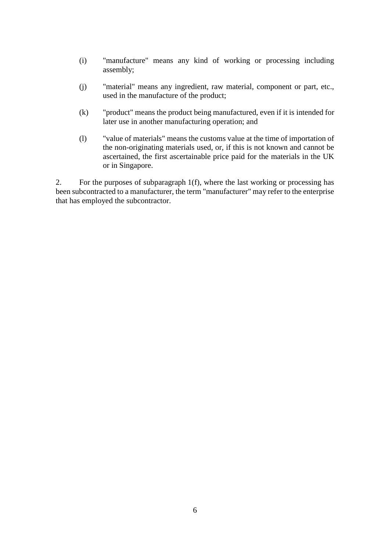- (i) "manufacture" means any kind of working or processing including assembly;
- (j) "material" means any ingredient, raw material, component or part, etc., used in the manufacture of the product;
- (k) "product" means the product being manufactured, even if it is intended for later use in another manufacturing operation; and
- (l) "value of materials" means the customs value at the time of importation of the non-originating materials used, or, if this is not known and cannot be ascertained, the first ascertainable price paid for the materials in the UK or in Singapore.

2. For the purposes of subparagraph 1(f), where the last working or processing has been subcontracted to a manufacturer, the term "manufacturer" may refer to the enterprise that has employed the subcontractor.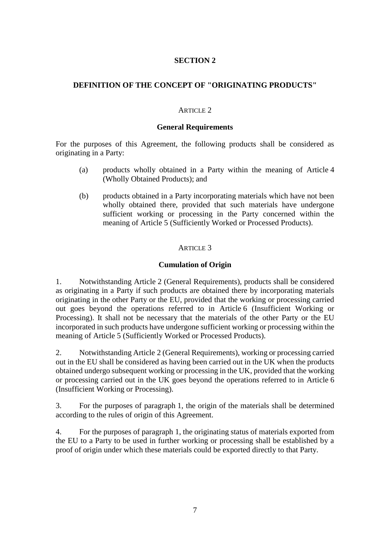# **DEFINITION OF THE CONCEPT OF "ORIGINATING PRODUCTS"**

### ARTICLE 2

#### **General Requirements**

For the purposes of this Agreement, the following products shall be considered as originating in a Party:

- (a) products wholly obtained in a Party within the meaning of Article 4 (Wholly Obtained Products); and
- (b) products obtained in a Party incorporating materials which have not been wholly obtained there, provided that such materials have undergone sufficient working or processing in the Party concerned within the meaning of Article 5 (Sufficiently Worked or Processed Products).

### ARTICLE 3

## **Cumulation of Origin**

1. Notwithstanding Article 2 (General Requirements), products shall be considered as originating in a Party if such products are obtained there by incorporating materials originating in the other Party or the EU, provided that the working or processing carried out goes beyond the operations referred to in Article 6 (Insufficient Working or Processing). It shall not be necessary that the materials of the other Party or the EU incorporated in such products have undergone sufficient working or processing within the meaning of Article 5 (Sufficiently Worked or Processed Products).

2. Notwithstanding Article 2 (General Requirements), working or processing carried out in the EU shall be considered as having been carried out in the UK when the products obtained undergo subsequent working or processing in the UK, provided that the working or processing carried out in the UK goes beyond the operations referred to in Article 6 (Insufficient Working or Processing).

3. For the purposes of paragraph 1, the origin of the materials shall be determined according to the rules of origin of this Agreement.

4. For the purposes of paragraph 1, the originating status of materials exported from the EU to a Party to be used in further working or processing shall be established by a proof of origin under which these materials could be exported directly to that Party.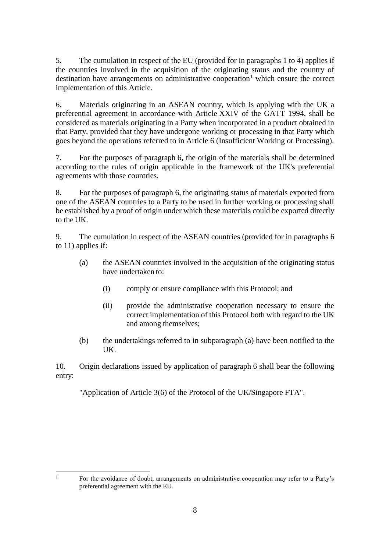5. The cumulation in respect of the EU (provided for in paragraphs 1 to 4) applies if the countries involved in the acquisition of the originating status and the country of destination have arrangements on administrative cooperation<sup>1</sup> which ensure the correct implementation of this Article.

6. Materials originating in an ASEAN country, which is applying with the UK a preferential agreement in accordance with Article XXIV of the GATT 1994, shall be considered as materials originating in a Party when incorporated in a product obtained in that Party, provided that they have undergone working or processing in that Party which goes beyond the operations referred to in Article 6 (Insufficient Working or Processing).

7. For the purposes of paragraph 6, the origin of the materials shall be determined according to the rules of origin applicable in the framework of the UK's preferential agreements with those countries.

8. For the purposes of paragraph 6, the originating status of materials exported from one of the ASEAN countries to a Party to be used in further working or processing shall be established by a proof of origin under which these materials could be exported directly to the UK.

9. The cumulation in respect of the ASEAN countries (provided for in paragraphs 6 to 11) applies if:

- (a) the ASEAN countries involved in the acquisition of the originating status have undertaken to:
	- (i) comply or ensure compliance with this Protocol; and
	- (ii) provide the administrative cooperation necessary to ensure the correct implementation of this Protocol both with regard to the UK and among themselves;
- (b) the undertakings referred to in subparagraph (a) have been notified to the UK.

10. Origin declarations issued by application of paragraph 6 shall bear the following entry:

"Application of Article 3(6) of the Protocol of the UK/Singapore FTA".

<sup>1</sup> For the avoidance of doubt, arrangements on administrative cooperation may refer to a Party's preferential agreement with the EU.

 $\overline{1}$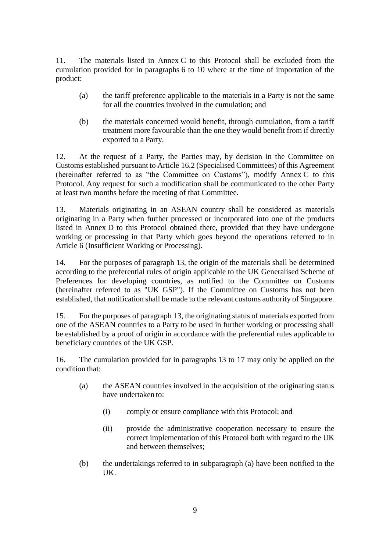11. The materials listed in Annex C to this Protocol shall be excluded from the cumulation provided for in paragraphs 6 to 10 where at the time of importation of the product:

- (a) the tariff preference applicable to the materials in a Party is not the same for all the countries involved in the cumulation; and
- (b) the materials concerned would benefit, through cumulation, from a tariff treatment more favourable than the one they would benefit from if directly exported to a Party.

12. At the request of a Party, the Parties may, by decision in the Committee on Customs established pursuant to Article 16.2 (Specialised Committees) of this Agreement (hereinafter referred to as "the Committee on Customs"), modify Annex C to this Protocol. Any request for such a modification shall be communicated to the other Party at least two months before the meeting of that Committee.

13. Materials originating in an ASEAN country shall be considered as materials originating in a Party when further processed or incorporated into one of the products listed in Annex D to this Protocol obtained there, provided that they have undergone working or processing in that Party which goes beyond the operations referred to in Article 6 (Insufficient Working or Processing).

14. For the purposes of paragraph 13, the origin of the materials shall be determined according to the preferential rules of origin applicable to the UK Generalised Scheme of Preferences for developing countries, as notified to the Committee on Customs (hereinafter referred to as "UK GSP"). If the Committee on Customs has not been established, that notification shall be made to the relevant customs authority of Singapore.

15. For the purposes of paragraph 13, the originating status of materials exported from one of the ASEAN countries to a Party to be used in further working or processing shall be established by a proof of origin in accordance with the preferential rules applicable to beneficiary countries of the UK GSP.

16. The cumulation provided for in paragraphs 13 to 17 may only be applied on the condition that:

- (a) the ASEAN countries involved in the acquisition of the originating status have undertaken to:
	- (i) comply or ensure compliance with this Protocol; and
	- (ii) provide the administrative cooperation necessary to ensure the correct implementation of this Protocol both with regard to the UK and between themselves;
- (b) the undertakings referred to in subparagraph (a) have been notified to the UK.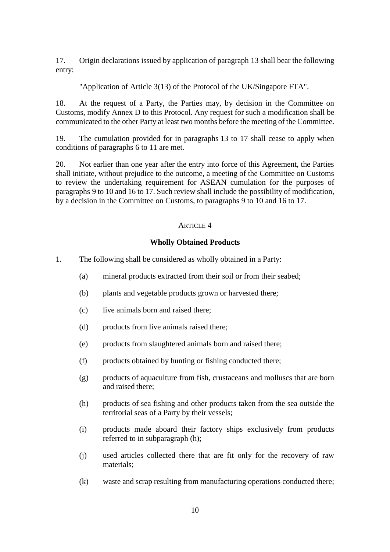17. Origin declarations issued by application of paragraph 13 shall bear the following entry:

"Application of Article 3(13) of the Protocol of the UK/Singapore FTA".

18. At the request of a Party, the Parties may, by decision in the Committee on Customs, modify Annex D to this Protocol. Any request for such a modification shall be communicated to the other Party at least two months before the meeting of the Committee.

19. The cumulation provided for in paragraphs 13 to 17 shall cease to apply when conditions of paragraphs 6 to 11 are met.

20. Not earlier than one year after the entry into force of this Agreement, the Parties shall initiate, without prejudice to the outcome, a meeting of the Committee on Customs to review the undertaking requirement for ASEAN cumulation for the purposes of paragraphs 9 to 10 and 16 to 17. Such review shall include the possibility of modification, by a decision in the Committee on Customs, to paragraphs 9 to 10 and 16 to 17.

## ARTICLE 4

## **Wholly Obtained Products**

- 1. The following shall be considered as wholly obtained in a Party:
	- (a) mineral products extracted from their soil or from their seabed;
	- (b) plants and vegetable products grown or harvested there;
	- (c) live animals born and raised there;
	- (d) products from live animals raised there;
	- (e) products from slaughtered animals born and raised there;
	- (f) products obtained by hunting or fishing conducted there;
	- (g) products of aquaculture from fish, crustaceans and molluscs that are born and raised there;
	- (h) products of sea fishing and other products taken from the sea outside the territorial seas of a Party by their vessels;
	- (i) products made aboard their factory ships exclusively from products referred to in subparagraph (h);
	- (j) used articles collected there that are fit only for the recovery of raw materials;
	- (k) waste and scrap resulting from manufacturing operations conducted there;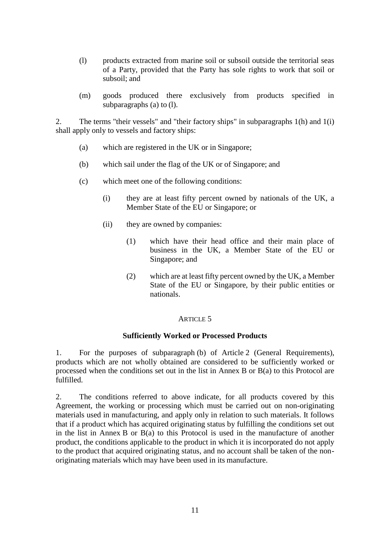- (l) products extracted from marine soil or subsoil outside the territorial seas of a Party, provided that the Party has sole rights to work that soil or subsoil; and
- (m) goods produced there exclusively from products specified in subparagraphs (a) to (l).

2. The terms "their vessels" and "their factory ships" in subparagraphs 1(h) and 1(i) shall apply only to vessels and factory ships:

- (a) which are registered in the UK or in Singapore;
- (b) which sail under the flag of the UK or of Singapore; and
- (c) which meet one of the following conditions:
	- (i) they are at least fifty percent owned by nationals of the UK, a Member State of the EU or Singapore; or
	- (ii) they are owned by companies:
		- (1) which have their head office and their main place of business in the UK, a Member State of the EU or Singapore; and
		- (2) which are at least fifty percent owned by the UK, a Member State of the EU or Singapore, by their public entities or nationals.

### ARTICLE 5

### **Sufficiently Worked or Processed Products**

1. For the purposes of subparagraph (b) of Article 2 (General Requirements), products which are not wholly obtained are considered to be sufficiently worked or processed when the conditions set out in the list in Annex B or B(a) to this Protocol are fulfilled.

2. The conditions referred to above indicate, for all products covered by this Agreement, the working or processing which must be carried out on non-originating materials used in manufacturing, and apply only in relation to such materials. It follows that if a product which has acquired originating status by fulfilling the conditions set out in the list in Annex B or B(a) to this Protocol is used in the manufacture of another product, the conditions applicable to the product in which it is incorporated do not apply to the product that acquired originating status, and no account shall be taken of the nonoriginating materials which may have been used in its manufacture.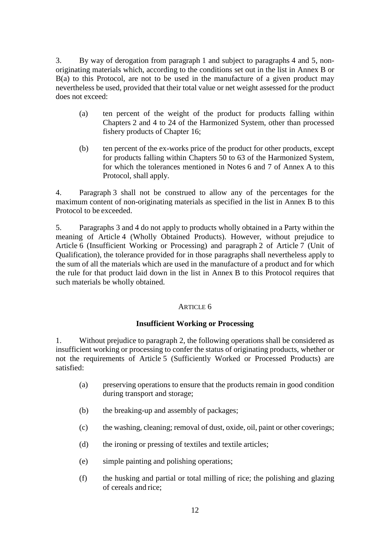3. By way of derogation from paragraph 1 and subject to paragraphs 4 and 5, nonoriginating materials which, according to the conditions set out in the list in Annex B or  $B(a)$  to this Protocol, are not to be used in the manufacture of a given product may nevertheless be used, provided that their total value or net weight assessed for the product does not exceed:

- (a) ten percent of the weight of the product for products falling within Chapters 2 and 4 to 24 of the Harmonized System, other than processed fishery products of Chapter 16;
- (b) ten percent of the ex-works price of the product for other products, except for products falling within Chapters 50 to 63 of the Harmonized System, for which the tolerances mentioned in Notes 6 and 7 of Annex A to this Protocol, shall apply.

4. Paragraph 3 shall not be construed to allow any of the percentages for the maximum content of non-originating materials as specified in the list in Annex B to this Protocol to be exceeded.

5. Paragraphs 3 and 4 do not apply to products wholly obtained in a Party within the meaning of Article 4 (Wholly Obtained Products). However, without prejudice to Article 6 (Insufficient Working or Processing) and paragraph 2 of Article 7 (Unit of Qualification), the tolerance provided for in those paragraphs shall nevertheless apply to the sum of all the materials which are used in the manufacture of a product and for which the rule for that product laid down in the list in Annex B to this Protocol requires that such materials be wholly obtained.

# ARTICLE 6

# **Insufficient Working or Processing**

1. Without prejudice to paragraph 2, the following operations shall be considered as insufficient working or processing to confer the status of originating products, whether or not the requirements of Article 5 (Sufficiently Worked or Processed Products) are satisfied:

- (a) preserving operations to ensure that the products remain in good condition during transport and storage;
- (b) the breaking-up and assembly of packages;
- (c) the washing, cleaning; removal of dust, oxide, oil, paint or other coverings;
- (d) the ironing or pressing of textiles and textile articles;
- (e) simple painting and polishing operations;
- (f) the husking and partial or total milling of rice; the polishing and glazing of cereals and rice;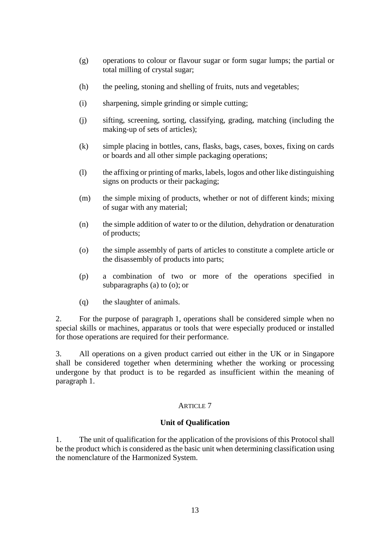- (g) operations to colour or flavour sugar or form sugar lumps; the partial or total milling of crystal sugar;
- (h) the peeling, stoning and shelling of fruits, nuts and vegetables;
- (i) sharpening, simple grinding or simple cutting;
- (j) sifting, screening, sorting, classifying, grading, matching (including the making-up of sets of articles);
- (k) simple placing in bottles, cans, flasks, bags, cases, boxes, fixing on cards or boards and all other simple packaging operations;
- (l) the affixing or printing of marks, labels, logos and other like distinguishing signs on products or their packaging;
- (m) the simple mixing of products, whether or not of different kinds; mixing of sugar with any material;
- (n) the simple addition of water to or the dilution, dehydration or denaturation of products;
- (o) the simple assembly of parts of articles to constitute a complete article or the disassembly of products into parts;
- (p) a combination of two or more of the operations specified in subparagraphs (a) to (o); or
- (q) the slaughter of animals.

2. For the purpose of paragraph 1, operations shall be considered simple when no special skills or machines, apparatus or tools that were especially produced or installed for those operations are required for their performance.

3. All operations on a given product carried out either in the UK or in Singapore shall be considered together when determining whether the working or processing undergone by that product is to be regarded as insufficient within the meaning of paragraph 1.

### ARTICLE 7

### **Unit of Qualification**

1. The unit of qualification for the application of the provisions of this Protocol shall be the product which is considered as the basic unit when determining classification using the nomenclature of the Harmonized System.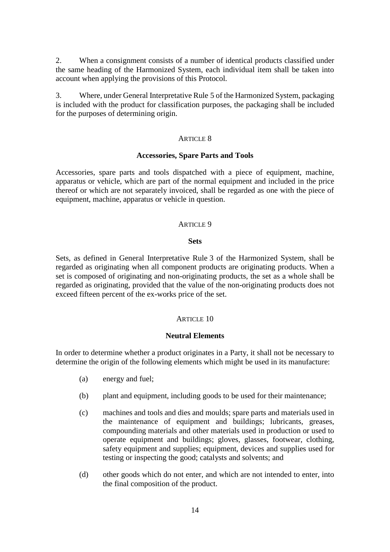2. When a consignment consists of a number of identical products classified under the same heading of the Harmonized System, each individual item shall be taken into account when applying the provisions of this Protocol.

3. Where, under General Interpretative Rule 5 of the Harmonized System, packaging is included with the product for classification purposes, the packaging shall be included for the purposes of determining origin.

#### ARTICLE 8

#### **Accessories, Spare Parts and Tools**

Accessories, spare parts and tools dispatched with a piece of equipment, machine, apparatus or vehicle, which are part of the normal equipment and included in the price thereof or which are not separately invoiced, shall be regarded as one with the piece of equipment, machine, apparatus or vehicle in question.

#### ARTICLE 9

#### **Sets**

Sets, as defined in General Interpretative Rule 3 of the Harmonized System, shall be regarded as originating when all component products are originating products. When a set is composed of originating and non-originating products, the set as a whole shall be regarded as originating, provided that the value of the non-originating products does not exceed fifteen percent of the ex-works price of the set.

### ARTICLE 10

### **Neutral Elements**

In order to determine whether a product originates in a Party, it shall not be necessary to determine the origin of the following elements which might be used in its manufacture:

- (a) energy and fuel;
- (b) plant and equipment, including goods to be used for their maintenance;
- (c) machines and tools and dies and moulds; spare parts and materials used in the maintenance of equipment and buildings; lubricants, greases, compounding materials and other materials used in production or used to operate equipment and buildings; gloves, glasses, footwear, clothing, safety equipment and supplies; equipment, devices and supplies used for testing or inspecting the good; catalysts and solvents; and
- (d) other goods which do not enter, and which are not intended to enter, into the final composition of the product.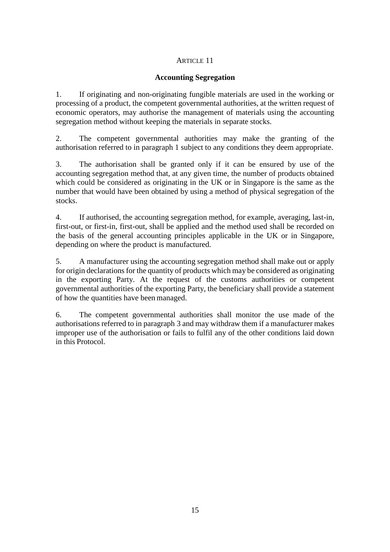# ARTICLE 11

# **Accounting Segregation**

1. If originating and non-originating fungible materials are used in the working or processing of a product, the competent governmental authorities, at the written request of economic operators, may authorise the management of materials using the accounting segregation method without keeping the materials in separate stocks.

2. The competent governmental authorities may make the granting of the authorisation referred to in paragraph 1 subject to any conditions they deem appropriate.

3. The authorisation shall be granted only if it can be ensured by use of the accounting segregation method that, at any given time, the number of products obtained which could be considered as originating in the UK or in Singapore is the same as the number that would have been obtained by using a method of physical segregation of the stocks.

4. If authorised, the accounting segregation method, for example, averaging, last-in, first-out, or first-in, first-out, shall be applied and the method used shall be recorded on the basis of the general accounting principles applicable in the UK or in Singapore, depending on where the product is manufactured.

5. A manufacturer using the accounting segregation method shall make out or apply for origin declarations for the quantity of products which may be considered as originating in the exporting Party. At the request of the customs authorities or competent governmental authorities of the exporting Party, the beneficiary shall provide a statement of how the quantities have been managed.

6. The competent governmental authorities shall monitor the use made of the authorisations referred to in paragraph 3 and may withdraw them if a manufacturer makes improper use of the authorisation or fails to fulfil any of the other conditions laid down in this Protocol.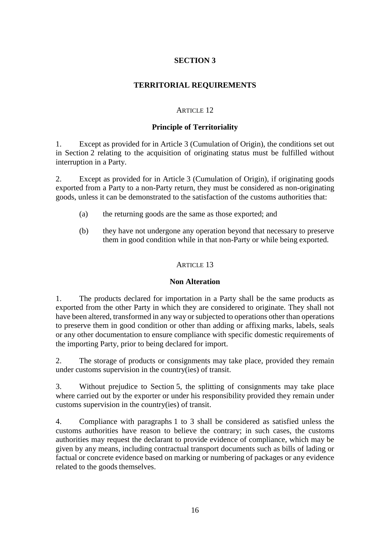# **TERRITORIAL REQUIREMENTS**

## ARTICLE 12

## **Principle of Territoriality**

1. Except as provided for in Article 3 (Cumulation of Origin), the conditions set out in Section 2 relating to the acquisition of originating status must be fulfilled without interruption in a Party.

2. Except as provided for in Article 3 (Cumulation of Origin), if originating goods exported from a Party to a non-Party return, they must be considered as non-originating goods, unless it can be demonstrated to the satisfaction of the customs authorities that:

- (a) the returning goods are the same as those exported; and
- (b) they have not undergone any operation beyond that necessary to preserve them in good condition while in that non-Party or while being exported.

### ARTICLE 13

### **Non Alteration**

1. The products declared for importation in a Party shall be the same products as exported from the other Party in which they are considered to originate. They shall not have been altered, transformed in any way or subjected to operations other than operations to preserve them in good condition or other than adding or affixing marks, labels, seals or any other documentation to ensure compliance with specific domestic requirements of the importing Party, prior to being declared for import.

2. The storage of products or consignments may take place, provided they remain under customs supervision in the country(ies) of transit.

3. Without prejudice to Section 5, the splitting of consignments may take place where carried out by the exporter or under his responsibility provided they remain under customs supervision in the country(ies) of transit.

4. Compliance with paragraphs 1 to 3 shall be considered as satisfied unless the customs authorities have reason to believe the contrary; in such cases, the customs authorities may request the declarant to provide evidence of compliance, which may be given by any means, including contractual transport documents such as bills of lading or factual or concrete evidence based on marking or numbering of packages or any evidence related to the goods themselves.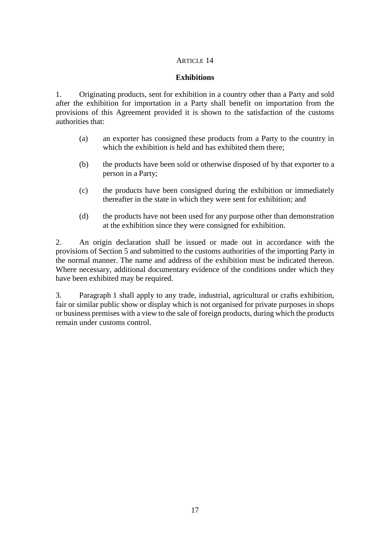## ARTICLE 14

### **Exhibitions**

1. Originating products, sent for exhibition in a country other than a Party and sold after the exhibition for importation in a Party shall benefit on importation from the provisions of this Agreement provided it is shown to the satisfaction of the customs authorities that:

- (a) an exporter has consigned these products from a Party to the country in which the exhibition is held and has exhibited them there;
- (b) the products have been sold or otherwise disposed of by that exporter to a person in a Party;
- (c) the products have been consigned during the exhibition or immediately thereafter in the state in which they were sent for exhibition; and
- (d) the products have not been used for any purpose other than demonstration at the exhibition since they were consigned for exhibition.

2. An origin declaration shall be issued or made out in accordance with the provisions of Section 5 and submitted to the customs authorities of the importing Party in the normal manner. The name and address of the exhibition must be indicated thereon. Where necessary, additional documentary evidence of the conditions under which they have been exhibited may be required.

3. Paragraph 1 shall apply to any trade, industrial, agricultural or crafts exhibition, fair or similar public show or display which is not organised for private purposes in shops or business premises with a view to the sale of foreign products, during which the products remain under customs control.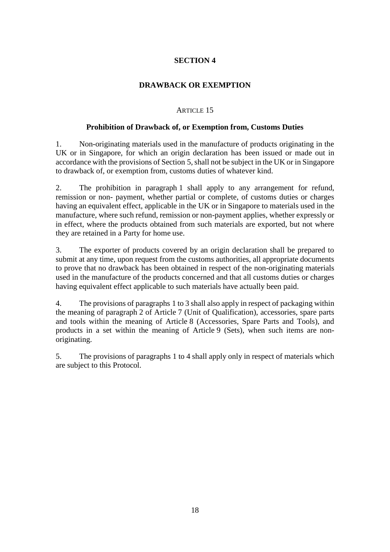## **DRAWBACK OR EXEMPTION**

## ARTICLE 15

### **Prohibition of Drawback of, or Exemption from, Customs Duties**

1. Non-originating materials used in the manufacture of products originating in the UK or in Singapore, for which an origin declaration has been issued or made out in accordance with the provisions of Section 5, shall not be subject in the UK or in Singapore to drawback of, or exemption from, customs duties of whatever kind.

2. The prohibition in paragraph 1 shall apply to any arrangement for refund, remission or non- payment, whether partial or complete, of customs duties or charges having an equivalent effect, applicable in the UK or in Singapore to materials used in the manufacture, where such refund, remission or non-payment applies, whether expressly or in effect, where the products obtained from such materials are exported, but not where they are retained in a Party for home use.

3. The exporter of products covered by an origin declaration shall be prepared to submit at any time, upon request from the customs authorities, all appropriate documents to prove that no drawback has been obtained in respect of the non-originating materials used in the manufacture of the products concerned and that all customs duties or charges having equivalent effect applicable to such materials have actually been paid.

4. The provisions of paragraphs 1 to 3 shall also apply in respect of packaging within the meaning of paragraph 2 of Article 7 (Unit of Qualification), accessories, spare parts and tools within the meaning of Article 8 (Accessories, Spare Parts and Tools), and products in a set within the meaning of Article 9 (Sets), when such items are nonoriginating.

5. The provisions of paragraphs 1 to 4 shall apply only in respect of materials which are subject to this Protocol.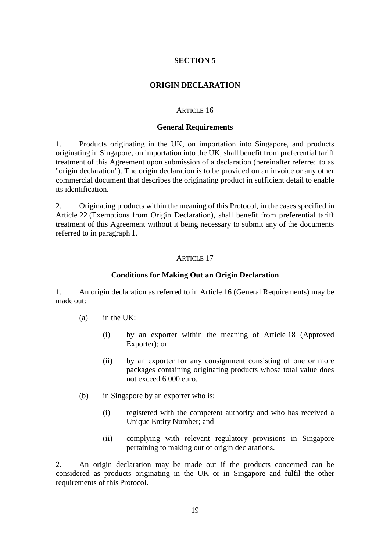# **ORIGIN DECLARATION**

#### ARTICLE 16

#### **General Requirements**

1. Products originating in the UK, on importation into Singapore, and products originating in Singapore, on importation into the UK, shall benefit from preferential tariff treatment of this Agreement upon submission of a declaration (hereinafter referred to as "origin declaration"). The origin declaration is to be provided on an invoice or any other commercial document that describes the originating product in sufficient detail to enable its identification.

2. Originating products within the meaning of this Protocol, in the cases specified in Article 22 (Exemptions from Origin Declaration), shall benefit from preferential tariff treatment of this Agreement without it being necessary to submit any of the documents referred to in paragraph 1.

### ARTICLE 17

#### **Conditions for Making Out an Origin Declaration**

1. An origin declaration as referred to in Article 16 (General Requirements) may be made out:

- (a) in the UK:
	- (i) by an exporter within the meaning of Article 18 (Approved Exporter); or
	- (ii) by an exporter for any consignment consisting of one or more packages containing originating products whose total value does not exceed 6 000 euro.
- (b) in Singapore by an exporter who is:
	- (i) registered with the competent authority and who has received a Unique Entity Number; and
	- (ii) complying with relevant regulatory provisions in Singapore pertaining to making out of origin declarations.

2. An origin declaration may be made out if the products concerned can be considered as products originating in the UK or in Singapore and fulfil the other requirements of this Protocol.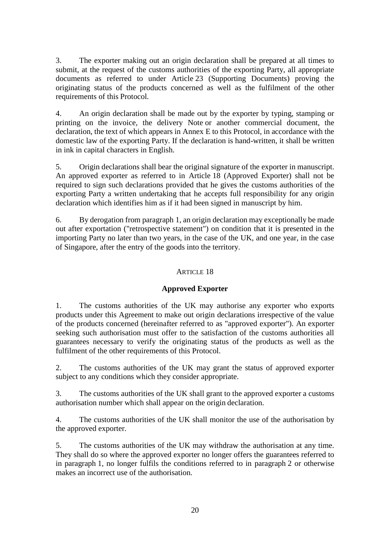3. The exporter making out an origin declaration shall be prepared at all times to submit, at the request of the customs authorities of the exporting Party, all appropriate documents as referred to under Article 23 (Supporting Documents) proving the originating status of the products concerned as well as the fulfilment of the other requirements of this Protocol.

4. An origin declaration shall be made out by the exporter by typing, stamping or printing on the invoice, the delivery Note or another commercial document, the declaration, the text of which appears in Annex E to this Protocol, in accordance with the domestic law of the exporting Party. If the declaration is hand-written, it shall be written in ink in capital characters in English.

5. Origin declarations shall bear the original signature of the exporter in manuscript. An approved exporter as referred to in Article 18 (Approved Exporter) shall not be required to sign such declarations provided that he gives the customs authorities of the exporting Party a written undertaking that he accepts full responsibility for any origin declaration which identifies him as if it had been signed in manuscript by him.

6. By derogation from paragraph 1, an origin declaration may exceptionally be made out after exportation ("retrospective statement") on condition that it is presented in the importing Party no later than two years, in the case of the UK, and one year, in the case of Singapore, after the entry of the goods into the territory.

# ARTICLE 18

# **Approved Exporter**

1. The customs authorities of the UK may authorise any exporter who exports products under this Agreement to make out origin declarations irrespective of the value of the products concerned (hereinafter referred to as "approved exporter"). An exporter seeking such authorisation must offer to the satisfaction of the customs authorities all guarantees necessary to verify the originating status of the products as well as the fulfilment of the other requirements of this Protocol.

2. The customs authorities of the UK may grant the status of approved exporter subject to any conditions which they consider appropriate.

3. The customs authorities of the UK shall grant to the approved exporter a customs authorisation number which shall appear on the origin declaration.

4. The customs authorities of the UK shall monitor the use of the authorisation by the approved exporter.

5. The customs authorities of the UK may withdraw the authorisation at any time. They shall do so where the approved exporter no longer offers the guarantees referred to in paragraph 1, no longer fulfils the conditions referred to in paragraph 2 or otherwise makes an incorrect use of the authorisation.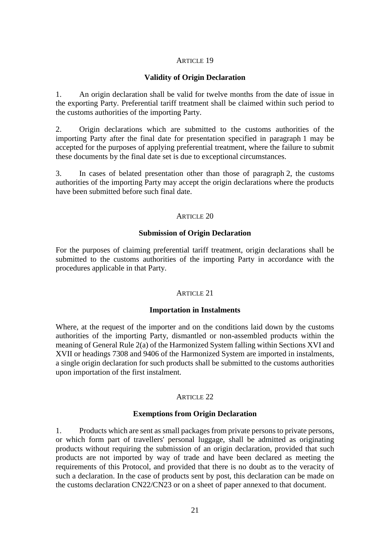### ARTICLE 19

### **Validity of Origin Declaration**

1. An origin declaration shall be valid for twelve months from the date of issue in the exporting Party. Preferential tariff treatment shall be claimed within such period to the customs authorities of the importing Party.

2. Origin declarations which are submitted to the customs authorities of the importing Party after the final date for presentation specified in paragraph 1 may be accepted for the purposes of applying preferential treatment, where the failure to submit these documents by the final date set is due to exceptional circumstances.

3. In cases of belated presentation other than those of paragraph 2, the customs authorities of the importing Party may accept the origin declarations where the products have been submitted before such final date.

### ARTICLE 20

### **Submission of Origin Declaration**

For the purposes of claiming preferential tariff treatment, origin declarations shall be submitted to the customs authorities of the importing Party in accordance with the procedures applicable in that Party.

### ARTICLE 21

### **Importation in Instalments**

Where, at the request of the importer and on the conditions laid down by the customs authorities of the importing Party, dismantled or non-assembled products within the meaning of General Rule 2(a) of the Harmonized System falling within Sections XVI and XVII or headings 7308 and 9406 of the Harmonized System are imported in instalments, a single origin declaration for such products shall be submitted to the customs authorities upon importation of the first instalment.

### ARTICLE 22

### **Exemptions from Origin Declaration**

1. Products which are sent as small packages from private persons to private persons, or which form part of travellers' personal luggage, shall be admitted as originating products without requiring the submission of an origin declaration, provided that such products are not imported by way of trade and have been declared as meeting the requirements of this Protocol, and provided that there is no doubt as to the veracity of such a declaration. In the case of products sent by post, this declaration can be made on the customs declaration CN22/CN23 or on a sheet of paper annexed to that document.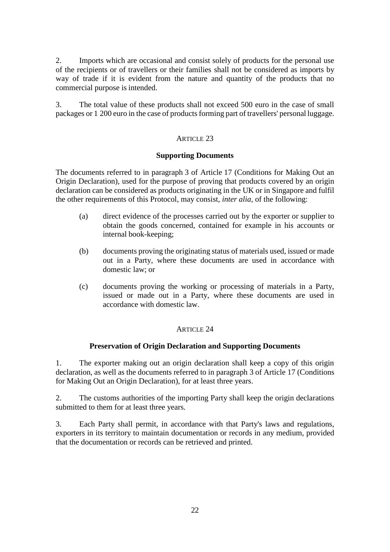2. Imports which are occasional and consist solely of products for the personal use of the recipients or of travellers or their families shall not be considered as imports by way of trade if it is evident from the nature and quantity of the products that no commercial purpose is intended.

3. The total value of these products shall not exceed 500 euro in the case of small packages or 1 200 euro in the case of products forming part of travellers' personal luggage.

### ARTICLE 23

### **Supporting Documents**

The documents referred to in paragraph 3 of Article 17 (Conditions for Making Out an Origin Declaration), used for the purpose of proving that products covered by an origin declaration can be considered as products originating in the UK or in Singapore and fulfil the other requirements of this Protocol, may consist, *inter alia*, of the following:

- (a) direct evidence of the processes carried out by the exporter or supplier to obtain the goods concerned, contained for example in his accounts or internal book-keeping;
- (b) documents proving the originating status of materials used, issued or made out in a Party, where these documents are used in accordance with domestic law; or
- (c) documents proving the working or processing of materials in a Party, issued or made out in a Party, where these documents are used in accordance with domestic law.

# ARTICLE 24

### **Preservation of Origin Declaration and Supporting Documents**

1. The exporter making out an origin declaration shall keep a copy of this origin declaration, as well as the documents referred to in paragraph 3 of Article 17 (Conditions for Making Out an Origin Declaration), for at least three years.

2. The customs authorities of the importing Party shall keep the origin declarations submitted to them for at least three years.

3. Each Party shall permit, in accordance with that Party's laws and regulations, exporters in its territory to maintain documentation or records in any medium, provided that the documentation or records can be retrieved and printed.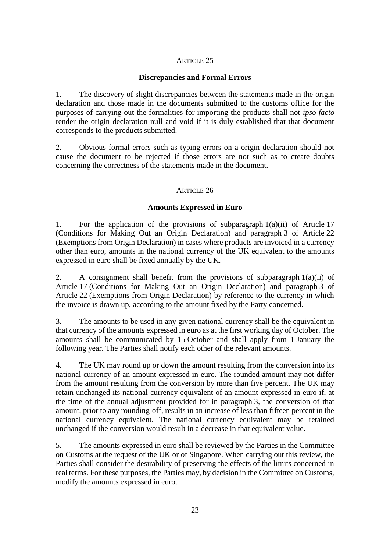## ARTICLE 25

# **Discrepancies and Formal Errors**

1. The discovery of slight discrepancies between the statements made in the origin declaration and those made in the documents submitted to the customs office for the purposes of carrying out the formalities for importing the products shall not *ipso facto*  render the origin declaration null and void if it is duly established that that document corresponds to the products submitted.

2. Obvious formal errors such as typing errors on a origin declaration should not cause the document to be rejected if those errors are not such as to create doubts concerning the correctness of the statements made in the document.

## ARTICLE 26

## **Amounts Expressed in Euro**

1. For the application of the provisions of subparagraph  $1(a)(ii)$  of Article 17 (Conditions for Making Out an Origin Declaration) and paragraph 3 of Article 22 (Exemptions from Origin Declaration) in cases where products are invoiced in a currency other than euro, amounts in the national currency of the UK equivalent to the amounts expressed in euro shall be fixed annually by the UK.

2. A consignment shall benefit from the provisions of subparagraph  $1(a)(ii)$  of Article 17 (Conditions for Making Out an Origin Declaration) and paragraph 3 of Article 22 (Exemptions from Origin Declaration) by reference to the currency in which the invoice is drawn up, according to the amount fixed by the Party concerned.

3. The amounts to be used in any given national currency shall be the equivalent in that currency of the amounts expressed in euro as at the first working day of October. The amounts shall be communicated by 15 October and shall apply from 1 January the following year. The Parties shall notify each other of the relevant amounts.

4. The UK may round up or down the amount resulting from the conversion into its national currency of an amount expressed in euro. The rounded amount may not differ from the amount resulting from the conversion by more than five percent. The UK may retain unchanged its national currency equivalent of an amount expressed in euro if, at the time of the annual adjustment provided for in paragraph 3, the conversion of that amount, prior to any rounding-off, results in an increase of less than fifteen percent in the national currency equivalent. The national currency equivalent may be retained unchanged if the conversion would result in a decrease in that equivalent value.

5. The amounts expressed in euro shall be reviewed by the Parties in the Committee on Customs at the request of the UK or of Singapore. When carrying out this review, the Parties shall consider the desirability of preserving the effects of the limits concerned in real terms. For these purposes, the Parties may, by decision in the Committee on Customs, modify the amounts expressed in euro.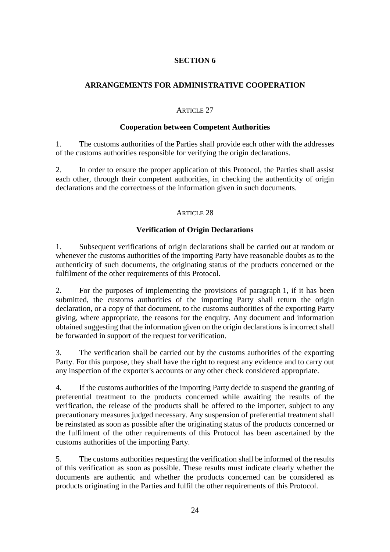# **ARRANGEMENTS FOR ADMINISTRATIVE COOPERATION**

# ARTICLE 27

### **Cooperation between Competent Authorities**

1. The customs authorities of the Parties shall provide each other with the addresses of the customs authorities responsible for verifying the origin declarations.

2. In order to ensure the proper application of this Protocol, the Parties shall assist each other, through their competent authorities, in checking the authenticity of origin declarations and the correctness of the information given in such documents.

## ARTICLE 28

# **Verification of Origin Declarations**

1. Subsequent verifications of origin declarations shall be carried out at random or whenever the customs authorities of the importing Party have reasonable doubts as to the authenticity of such documents, the originating status of the products concerned or the fulfilment of the other requirements of this Protocol.

2. For the purposes of implementing the provisions of paragraph 1, if it has been submitted, the customs authorities of the importing Party shall return the origin declaration, or a copy of that document, to the customs authorities of the exporting Party giving, where appropriate, the reasons for the enquiry. Any document and information obtained suggesting that the information given on the origin declarations is incorrect shall be forwarded in support of the request for verification.

3. The verification shall be carried out by the customs authorities of the exporting Party. For this purpose, they shall have the right to request any evidence and to carry out any inspection of the exporter's accounts or any other check considered appropriate.

4. If the customs authorities of the importing Party decide to suspend the granting of preferential treatment to the products concerned while awaiting the results of the verification, the release of the products shall be offered to the importer, subject to any precautionary measures judged necessary. Any suspension of preferential treatment shall be reinstated as soon as possible after the originating status of the products concerned or the fulfilment of the other requirements of this Protocol has been ascertained by the customs authorities of the importing Party.

5. The customs authorities requesting the verification shall be informed of the results of this verification as soon as possible. These results must indicate clearly whether the documents are authentic and whether the products concerned can be considered as products originating in the Parties and fulfil the other requirements of this Protocol.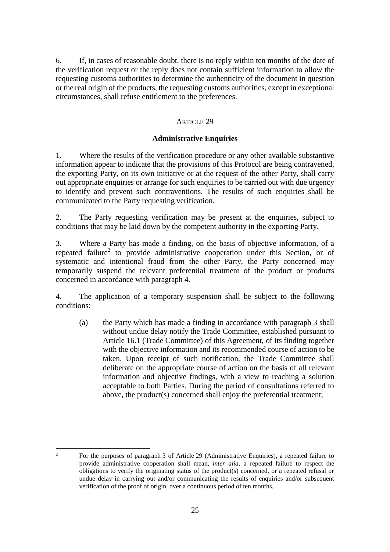6. If, in cases of reasonable doubt, there is no reply within ten months of the date of the verification request or the reply does not contain sufficient information to allow the requesting customs authorities to determine the authenticity of the document in question or the real origin of the products, the requesting customs authorities, except in exceptional circumstances, shall refuse entitlement to the preferences.

# ARTICLE 29

### **Administrative Enquiries**

1. Where the results of the verification procedure or any other available substantive information appear to indicate that the provisions of this Protocol are being contravened, the exporting Party, on its own initiative or at the request of the other Party, shall carry out appropriate enquiries or arrange for such enquiries to be carried out with due urgency to identify and prevent such contraventions. The results of such enquiries shall be communicated to the Party requesting verification.

2. The Party requesting verification may be present at the enquiries, subject to conditions that may be laid down by the competent authority in the exporting Party.

3. Where a Party has made a finding, on the basis of objective information, of a repeated failure<sup>2</sup> to provide administrative cooperation under this Section, or of systematic and intentional fraud from the other Party, the Party concerned may temporarily suspend the relevant preferential treatment of the product or products concerned in accordance with paragraph 4.

4. The application of a temporary suspension shall be subject to the following conditions:

(a) the Party which has made a finding in accordance with paragraph 3 shall without undue delay notify the Trade Committee, established pursuant to Article 16.1 (Trade Committee) of this Agreement, of its finding together with the objective information and its recommended course of action to be taken. Upon receipt of such notification, the Trade Committee shall deliberate on the appropriate course of action on the basis of all relevant information and objective findings, with a view to reaching a solution acceptable to both Parties. During the period of consultations referred to above, the product(s) concerned shall enjoy the preferential treatment;

 $\overline{1}$ <sup>2</sup> For the purposes of paragraph 3 of Article 29 (Administrative Enquiries), a repeated failure to provide administrative cooperation shall mean, *inter alia*, a repeated failure to respect the obligations to verify the originating status of the product(s) concerned, or a repeated refusal or undue delay in carrying out and/or communicating the results of enquiries and/or subsequent verification of the proof of origin, over a continuous period of ten months.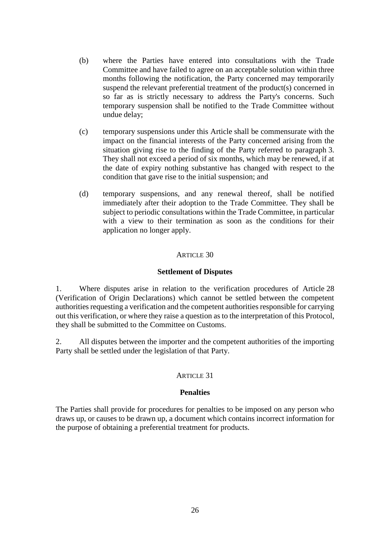- (b) where the Parties have entered into consultations with the Trade Committee and have failed to agree on an acceptable solution within three months following the notification, the Party concerned may temporarily suspend the relevant preferential treatment of the product(s) concerned in so far as is strictly necessary to address the Party's concerns. Such temporary suspension shall be notified to the Trade Committee without undue delay;
- (c) temporary suspensions under this Article shall be commensurate with the impact on the financial interests of the Party concerned arising from the situation giving rise to the finding of the Party referred to paragraph 3. They shall not exceed a period of six months, which may be renewed, if at the date of expiry nothing substantive has changed with respect to the condition that gave rise to the initial suspension; and
- (d) temporary suspensions, and any renewal thereof, shall be notified immediately after their adoption to the Trade Committee. They shall be subject to periodic consultations within the Trade Committee, in particular with a view to their termination as soon as the conditions for their application no longer apply.

### ARTICLE 30

#### **Settlement of Disputes**

1. Where disputes arise in relation to the verification procedures of Article 28 (Verification of Origin Declarations) which cannot be settled between the competent authorities requesting a verification and the competent authorities responsible for carrying out this verification, or where they raise a question as to the interpretation of this Protocol, they shall be submitted to the Committee on Customs.

2. All disputes between the importer and the competent authorities of the importing Party shall be settled under the legislation of that Party.

### ARTICLE 31

#### **Penalties**

The Parties shall provide for procedures for penalties to be imposed on any person who draws up, or causes to be drawn up, a document which contains incorrect information for the purpose of obtaining a preferential treatment for products.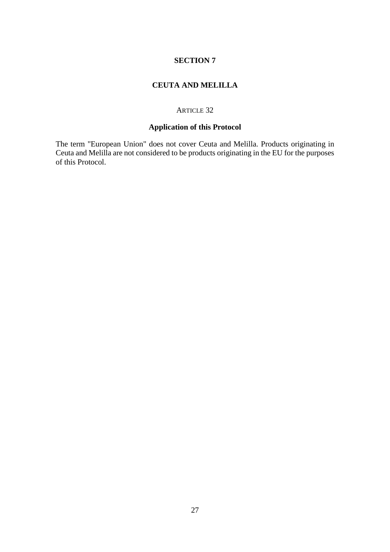# **CEUTA AND MELILLA**

### ARTICLE 32

# **Application of this Protocol**

The term "European Union" does not cover Ceuta and Melilla. Products originating in Ceuta and Melilla are not considered to be products originating in the EU for the purposes of this Protocol.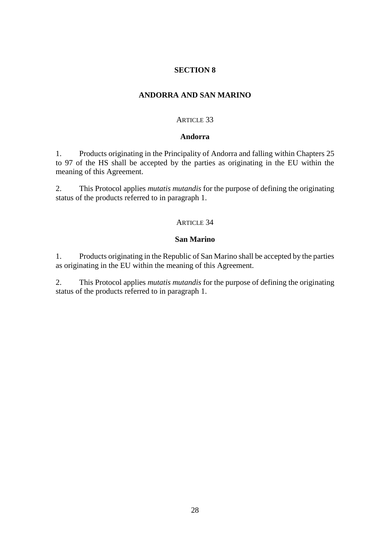### **ANDORRA AND SAN MARINO**

### ARTICLE 33

#### **Andorra**

1. Products originating in the Principality of Andorra and falling within Chapters 25 to 97 of the HS shall be accepted by the parties as originating in the EU within the meaning of this Agreement.

2. This Protocol applies *mutatis mutandis* for the purpose of defining the originating status of the products referred to in paragraph 1.

#### ARTICLE 34

#### **San Marino**

1. Products originating in the Republic of San Marino shall be accepted by the parties as originating in the EU within the meaning of this Agreement.

2. This Protocol applies *mutatis mutandis* for the purpose of defining the originating status of the products referred to in paragraph 1.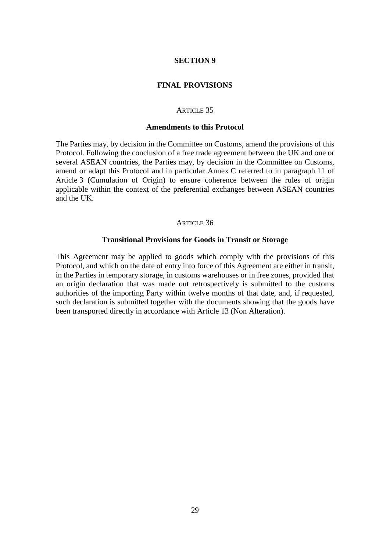#### **FINAL PROVISIONS**

#### ARTICLE 35

#### **Amendments to this Protocol**

The Parties may, by decision in the Committee on Customs, amend the provisions of this Protocol. Following the conclusion of a free trade agreement between the UK and one or several ASEAN countries, the Parties may, by decision in the Committee on Customs, amend or adapt this Protocol and in particular Annex C referred to in paragraph 11 of Article 3 (Cumulation of Origin) to ensure coherence between the rules of origin applicable within the context of the preferential exchanges between ASEAN countries and the UK.

#### ARTICLE 36

#### **Transitional Provisions for Goods in Transit or Storage**

This Agreement may be applied to goods which comply with the provisions of this Protocol, and which on the date of entry into force of this Agreement are either in transit, in the Parties in temporary storage, in customs warehouses or in free zones, provided that an origin declaration that was made out retrospectively is submitted to the customs authorities of the importing Party within twelve months of that date, and, if requested, such declaration is submitted together with the documents showing that the goods have been transported directly in accordance with Article 13 (Non Alteration).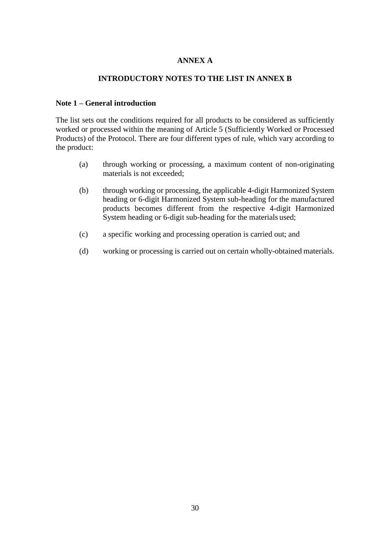# **ANNEX A**

### **INTRODUCTORY NOTES TO THE LIST IN ANNEX B**

### **Note 1 – General introduction**

The list sets out the conditions required for all products to be considered as sufficiently worked or processed within the meaning of Article 5 (Sufficiently Worked or Processed Products) of the Protocol. There are four different types of rule, which vary according to the product:

- (a) through working or processing, a maximum content of non-originating materials is not exceeded;
- (b) through working or processing, the applicable 4-digit Harmonized System heading or 6-digit Harmonized System sub-heading for the manufactured products becomes different from the respective 4-digit Harmonized System heading or 6-digit sub-heading for the materials used;
- (c) a specific working and processing operation is carried out; and
- (d) working or processing is carried out on certain wholly-obtained materials.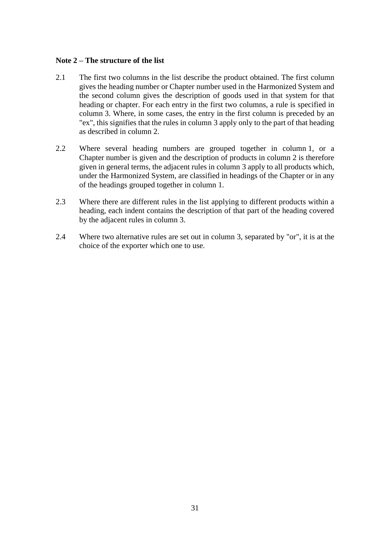### **Note 2 – The structure of the list**

- 2.1 The first two columns in the list describe the product obtained. The first column gives the heading number or Chapter number used in the Harmonized System and the second column gives the description of goods used in that system for that heading or chapter. For each entry in the first two columns, a rule is specified in column 3. Where, in some cases, the entry in the first column is preceded by an "ex", this signifies that the rules in column 3 apply only to the part of that heading as described in column 2.
- 2.2 Where several heading numbers are grouped together in column 1, or a Chapter number is given and the description of products in column 2 is therefore given in general terms, the adjacent rules in column 3 apply to all products which, under the Harmonized System, are classified in headings of the Chapter or in any of the headings grouped together in column 1.
- 2.3 Where there are different rules in the list applying to different products within a heading, each indent contains the description of that part of the heading covered by the adjacent rules in column 3.
- 2.4 Where two alternative rules are set out in column 3, separated by "or", it is at the choice of the exporter which one to use.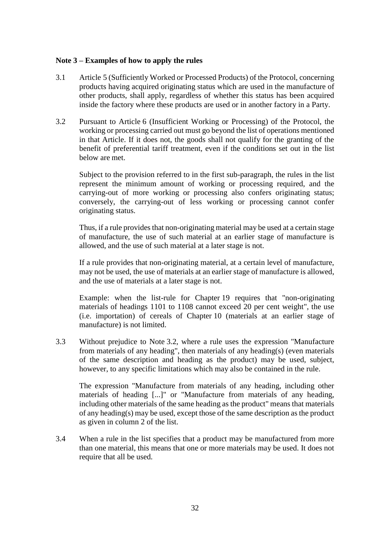### **Note 3 – Examples of how to apply the rules**

- 3.1 Article 5 (Sufficiently Worked or Processed Products) of the Protocol, concerning products having acquired originating status which are used in the manufacture of other products, shall apply, regardless of whether this status has been acquired inside the factory where these products are used or in another factory in a Party.
- 3.2 Pursuant to Article 6 (Insufficient Working or Processing) of the Protocol, the working or processing carried out must go beyond the list of operations mentioned in that Article. If it does not, the goods shall not qualify for the granting of the benefit of preferential tariff treatment, even if the conditions set out in the list below are met.

Subject to the provision referred to in the first sub-paragraph, the rules in the list represent the minimum amount of working or processing required, and the carrying-out of more working or processing also confers originating status; conversely, the carrying-out of less working or processing cannot confer originating status.

Thus, if a rule provides that non-originating material may be used at a certain stage of manufacture, the use of such material at an earlier stage of manufacture is allowed, and the use of such material at a later stage is not.

If a rule provides that non-originating material, at a certain level of manufacture, may not be used, the use of materials at an earlier stage of manufacture is allowed, and the use of materials at a later stage is not.

Example: when the list-rule for Chapter 19 requires that "non-originating materials of headings 1101 to 1108 cannot exceed 20 per cent weight", the use (i.e. importation) of cereals of Chapter 10 (materials at an earlier stage of manufacture) is not limited.

3.3 Without prejudice to Note 3.2, where a rule uses the expression "Manufacture from materials of any heading", then materials of any heading(s) (even materials of the same description and heading as the product) may be used, subject, however, to any specific limitations which may also be contained in the rule.

The expression "Manufacture from materials of any heading, including other materials of heading [...]" or "Manufacture from materials of any heading, including other materials of the same heading as the product" means that materials of any heading(s) may be used, except those of the same description as the product as given in column 2 of the list.

3.4 When a rule in the list specifies that a product may be manufactured from more than one material, this means that one or more materials may be used. It does not require that all be used.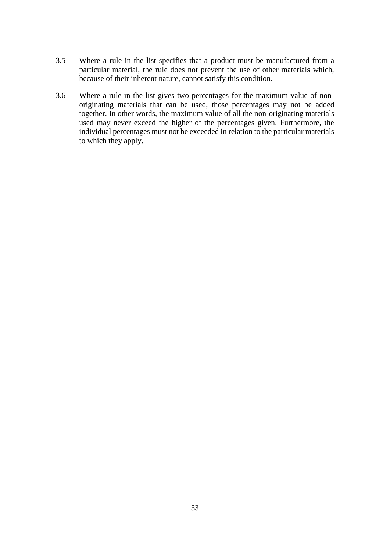- 3.5 Where a rule in the list specifies that a product must be manufactured from a particular material, the rule does not prevent the use of other materials which, because of their inherent nature, cannot satisfy this condition.
- 3.6 Where a rule in the list gives two percentages for the maximum value of nonoriginating materials that can be used, those percentages may not be added together. In other words, the maximum value of all the non-originating materials used may never exceed the higher of the percentages given. Furthermore, the individual percentages must not be exceeded in relation to the particular materials to which they apply.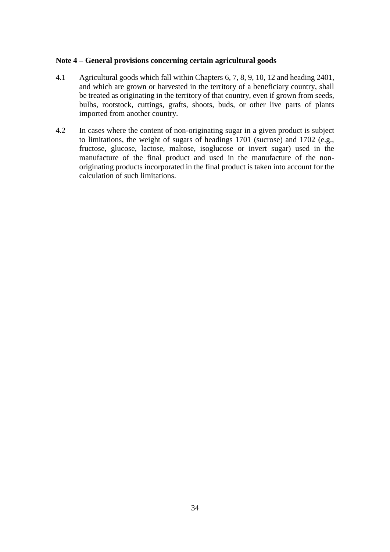### **Note 4 – General provisions concerning certain agricultural goods**

- 4.1 Agricultural goods which fall within Chapters 6, 7, 8, 9, 10, 12 and heading 2401, and which are grown or harvested in the territory of a beneficiary country, shall be treated as originating in the territory of that country, even if grown from seeds, bulbs, rootstock, cuttings, grafts, shoots, buds, or other live parts of plants imported from another country.
- 4.2 In cases where the content of non-originating sugar in a given product is subject to limitations, the weight of sugars of headings 1701 (sucrose) and 1702 (e.g., fructose, glucose, lactose, maltose, isoglucose or invert sugar) used in the manufacture of the final product and used in the manufacture of the nonoriginating products incorporated in the final product is taken into account for the calculation of such limitations.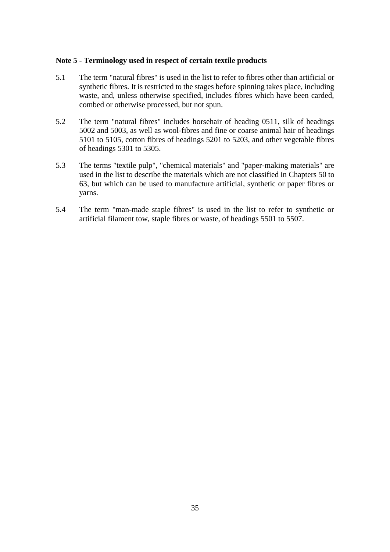### **Note 5 - Terminology used in respect of certain textile products**

- 5.1 The term "natural fibres" is used in the list to refer to fibres other than artificial or synthetic fibres. It is restricted to the stages before spinning takes place, including waste, and, unless otherwise specified, includes fibres which have been carded, combed or otherwise processed, but not spun.
- 5.2 The term "natural fibres" includes horsehair of heading 0511, silk of headings 5002 and 5003, as well as wool-fibres and fine or coarse animal hair of headings 5101 to 5105, cotton fibres of headings 5201 to 5203, and other vegetable fibres of headings 5301 to 5305.
- 5.3 The terms "textile pulp", "chemical materials" and "paper-making materials" are used in the list to describe the materials which are not classified in Chapters 50 to 63, but which can be used to manufacture artificial, synthetic or paper fibres or yarns.
- 5.4 The term "man-made staple fibres" is used in the list to refer to synthetic or artificial filament tow, staple fibres or waste, of headings 5501 to 5507.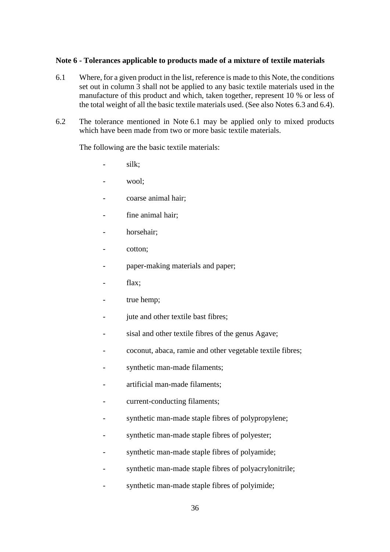### **Note 6 - Tolerances applicable to products made of a mixture of textile materials**

- 6.1 Where, for a given product in the list, reference is made to this Note, the conditions set out in column 3 shall not be applied to any basic textile materials used in the manufacture of this product and which, taken together, represent 10 % or less of the total weight of all the basic textile materials used. (See also Notes 6.3 and 6.4).
- 6.2 The tolerance mentioned in Note 6.1 may be applied only to mixed products which have been made from two or more basic textile materials.

The following are the basic textile materials:

- silk;
- wool;
- coarse animal hair;
- fine animal hair:
- horsehair:
- cotton;
- paper-making materials and paper;
- flax;
- true hemp;
- jute and other textile bast fibres;
- sisal and other textile fibres of the genus Agave;
- coconut, abaca, ramie and other vegetable textile fibres;
- synthetic man-made filaments;
- artificial man-made filaments:
- current-conducting filaments;
- synthetic man-made staple fibres of polypropylene;
- synthetic man-made staple fibres of polyester;
- synthetic man-made staple fibres of polyamide;
- synthetic man-made staple fibres of polyacrylonitrile;
- synthetic man-made staple fibres of polyimide;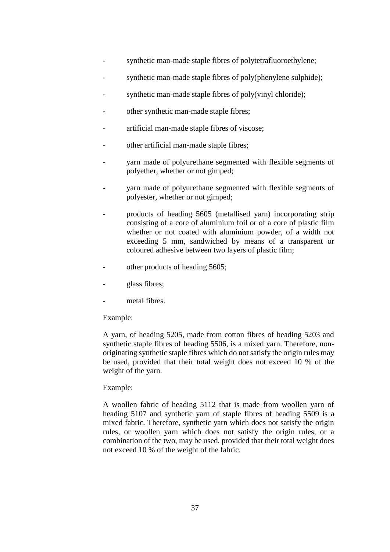- synthetic man-made staple fibres of polytetrafluoroethylene;
- synthetic man-made staple fibres of poly(phenylene sulphide);
- synthetic man-made staple fibres of poly(vinyl chloride);
- other synthetic man-made staple fibres;
- artificial man-made staple fibres of viscose;
- other artificial man-made staple fibres;
- yarn made of polyurethane segmented with flexible segments of polyether, whether or not gimped;
- yarn made of polyurethane segmented with flexible segments of polyester, whether or not gimped;
- products of heading 5605 (metallised yarn) incorporating strip consisting of a core of aluminium foil or of a core of plastic film whether or not coated with aluminium powder, of a width not exceeding 5 mm, sandwiched by means of a transparent or coloured adhesive between two layers of plastic film;
- other products of heading 5605;
- glass fibres;
- metal fibres.

## Example:

A yarn, of heading 5205, made from cotton fibres of heading 5203 and synthetic staple fibres of heading 5506, is a mixed yarn. Therefore, nonoriginating synthetic staple fibres which do not satisfy the origin rules may be used, provided that their total weight does not exceed 10 % of the weight of the yarn.

## Example:

A woollen fabric of heading 5112 that is made from woollen yarn of heading 5107 and synthetic yarn of staple fibres of heading 5509 is a mixed fabric. Therefore, synthetic yarn which does not satisfy the origin rules, or woollen yarn which does not satisfy the origin rules, or a combination of the two, may be used, provided that their total weight does not exceed 10 % of the weight of the fabric.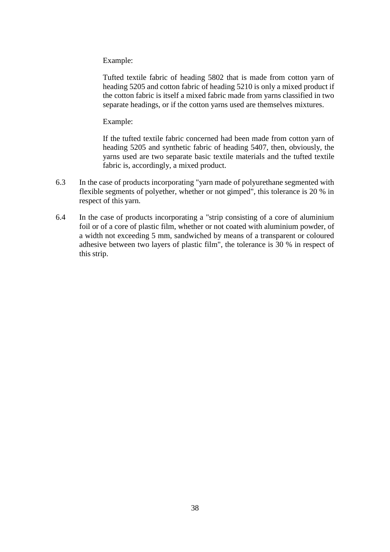Example:

Tufted textile fabric of heading 5802 that is made from cotton yarn of heading 5205 and cotton fabric of heading 5210 is only a mixed product if the cotton fabric is itself a mixed fabric made from yarns classified in two separate headings, or if the cotton yarns used are themselves mixtures.

Example:

If the tufted textile fabric concerned had been made from cotton yarn of heading 5205 and synthetic fabric of heading 5407, then, obviously, the yarns used are two separate basic textile materials and the tufted textile fabric is, accordingly, a mixed product.

- 6.3 In the case of products incorporating "yarn made of polyurethane segmented with flexible segments of polyether, whether or not gimped", this tolerance is 20 % in respect of this yarn.
- 6.4 In the case of products incorporating a "strip consisting of a core of aluminium foil or of a core of plastic film, whether or not coated with aluminium powder, of a width not exceeding 5 mm, sandwiched by means of a transparent or coloured adhesive between two layers of plastic film", the tolerance is 30 % in respect of this strip.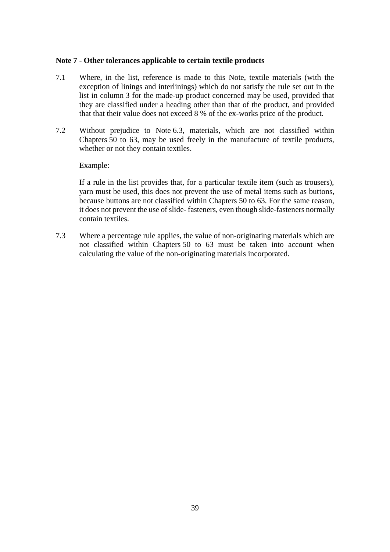## **Note 7 - Other tolerances applicable to certain textile products**

- 7.1 Where, in the list, reference is made to this Note, textile materials (with the exception of linings and interlinings) which do not satisfy the rule set out in the list in column 3 for the made-up product concerned may be used, provided that they are classified under a heading other than that of the product, and provided that that their value does not exceed 8 % of the ex-works price of the product.
- 7.2 Without prejudice to Note 6.3, materials, which are not classified within Chapters 50 to 63, may be used freely in the manufacture of textile products, whether or not they contain textiles.

#### Example:

If a rule in the list provides that, for a particular textile item (such as trousers), yarn must be used, this does not prevent the use of metal items such as buttons, because buttons are not classified within Chapters 50 to 63. For the same reason, it does not prevent the use of slide- fasteners, even though slide-fasteners normally contain textiles.

7.3 Where a percentage rule applies, the value of non-originating materials which are not classified within Chapters 50 to 63 must be taken into account when calculating the value of the non-originating materials incorporated.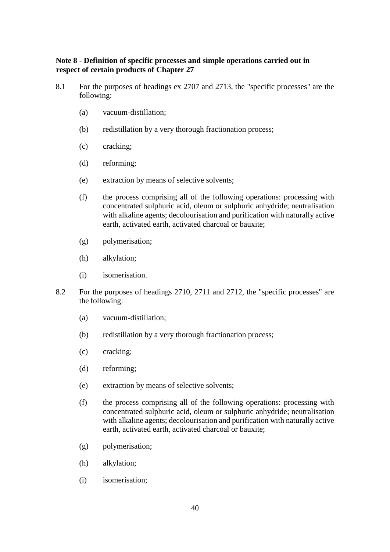## **Note 8 - Definition of specific processes and simple operations carried out in respect of certain products of Chapter 27**

- 8.1 For the purposes of headings ex 2707 and 2713, the "specific processes" are the following:
	- (a) vacuum-distillation;
	- (b) redistillation by a very thorough fractionation process;
	- (c) cracking;
	- (d) reforming;
	- (e) extraction by means of selective solvents;
	- (f) the process comprising all of the following operations: processing with concentrated sulphuric acid, oleum or sulphuric anhydride; neutralisation with alkaline agents; decolourisation and purification with naturally active earth, activated earth, activated charcoal or bauxite;
	- (g) polymerisation;
	- (h) alkylation;
	- (i) isomerisation.
- 8.2 For the purposes of headings 2710, 2711 and 2712, the "specific processes" are the following:
	- (a) vacuum-distillation;
	- (b) redistillation by a very thorough fractionation process;
	- (c) cracking;
	- (d) reforming;
	- (e) extraction by means of selective solvents;
	- (f) the process comprising all of the following operations: processing with concentrated sulphuric acid, oleum or sulphuric anhydride; neutralisation with alkaline agents; decolourisation and purification with naturally active earth, activated earth, activated charcoal or bauxite;
	- (g) polymerisation;
	- (h) alkylation;
	- (i) isomerisation;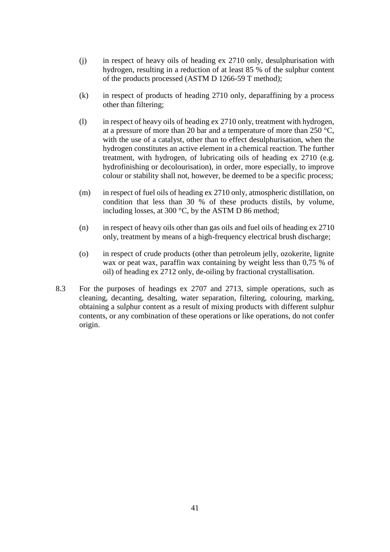- (j) in respect of heavy oils of heading ex 2710 only, desulphurisation with hydrogen, resulting in a reduction of at least 85 % of the sulphur content of the products processed (ASTM D 1266-59 T method);
- (k) in respect of products of heading 2710 only, deparaffining by a process other than filtering;
- (l) in respect of heavy oils of heading ex 2710 only, treatment with hydrogen, at a pressure of more than 20 bar and a temperature of more than 250 °C, with the use of a catalyst, other than to effect desulphurisation, when the hydrogen constitutes an active element in a chemical reaction. The further treatment, with hydrogen, of lubricating oils of heading ex 2710 (e.g. hydrofinishing or decolourisation), in order, more especially, to improve colour or stability shall not, however, be deemed to be a specific process;
- (m) in respect of fuel oils of heading ex 2710 only, atmospheric distillation, on condition that less than 30 % of these products distils, by volume, including losses, at 300 °C, by the ASTM D 86 method;
- (n) in respect of heavy oils other than gas oils and fuel oils of heading ex 2710 only, treatment by means of a high-frequency electrical brush discharge;
- (o) in respect of crude products (other than petroleum jelly, ozokerite, lignite wax or peat wax, paraffin wax containing by weight less than 0,75 % of oil) of heading ex 2712 only, de-oiling by fractional crystallisation.
- 8.3 For the purposes of headings ex 2707 and 2713, simple operations, such as cleaning, decanting, desalting, water separation, filtering, colouring, marking, obtaining a sulphur content as a result of mixing products with different sulphur contents, or any combination of these operations or like operations, do not confer origin.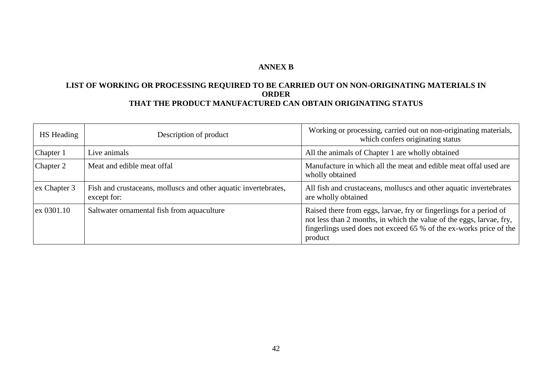# **ANNEX B**

# **LIST OF WORKING OR PROCESSING REQUIRED TO BE CARRIED OUT ON NON-ORIGINATING MATERIALS IN ORDER THAT THE PRODUCT MANUFACTURED CAN OBTAIN ORIGINATING STATUS**

| HS Heading   | Description of product                                                         | Working or processing, carried out on non-originating materials,<br>which confers originating status                                                                                                                        |
|--------------|--------------------------------------------------------------------------------|-----------------------------------------------------------------------------------------------------------------------------------------------------------------------------------------------------------------------------|
| Chapter 1    | Live animals                                                                   | All the animals of Chapter 1 are wholly obtained                                                                                                                                                                            |
| Chapter 2    | Meat and edible meat offal                                                     | Manufacture in which all the meat and edible meat offal used are<br>wholly obtained                                                                                                                                         |
| ex Chapter 3 | Fish and crustaceans, molluscs and other aquatic invertebrates,<br>except for: | All fish and crustaceans, molluscs and other aquatic invertebrates<br>are wholly obtained                                                                                                                                   |
| ex 0301.10   | Saltwater ornamental fish from aquaculture                                     | Raised there from eggs, larvae, fry or fingerlings for a period of<br>not less than 2 months, in which the value of the eggs, larvae, fry,<br>fingerlings used does not exceed 65 % of the ex-works price of the<br>product |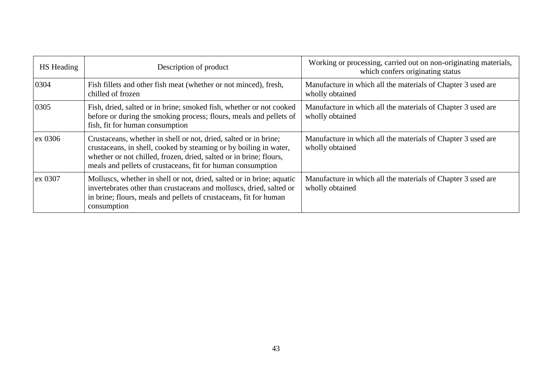| <b>HS</b> Heading | Description of product                                                                                                                                                                                                                                                     | Working or processing, carried out on non-originating materials,<br>which confers originating status |
|-------------------|----------------------------------------------------------------------------------------------------------------------------------------------------------------------------------------------------------------------------------------------------------------------------|------------------------------------------------------------------------------------------------------|
| 0304              | Fish fillets and other fish meat (whether or not minced), fresh,<br>chilled of frozen                                                                                                                                                                                      | Manufacture in which all the materials of Chapter 3 used are<br>wholly obtained                      |
| 0305              | Fish, dried, salted or in brine; smoked fish, whether or not cooked<br>before or during the smoking process; flours, meals and pellets of<br>fish, fit for human consumption                                                                                               | Manufacture in which all the materials of Chapter 3 used are<br>wholly obtained                      |
| ex 0306           | Crustaceans, whether in shell or not, dried, salted or in brine;<br>crustaceans, in shell, cooked by steaming or by boiling in water,<br>whether or not chilled, frozen, dried, salted or in brine; flours,<br>meals and pellets of crustaceans, fit for human consumption | Manufacture in which all the materials of Chapter 3 used are<br>wholly obtained                      |
| ex 0307           | Molluscs, whether in shell or not, dried, salted or in brine; aquatic<br>invertebrates other than crustaceans and molluscs, dried, salted or<br>in brine; flours, meals and pellets of crustaceans, fit for human<br>consumption                                           | Manufacture in which all the materials of Chapter 3 used are<br>wholly obtained                      |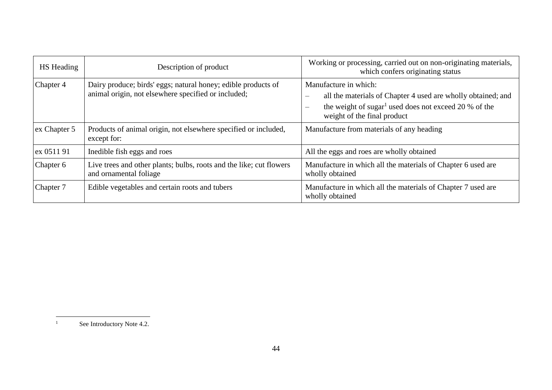| HS Heading   | Description of product                                                                                               | Working or processing, carried out on non-originating materials,<br>which confers originating status                                                                                                                  |
|--------------|----------------------------------------------------------------------------------------------------------------------|-----------------------------------------------------------------------------------------------------------------------------------------------------------------------------------------------------------------------|
| Chapter 4    | Dairy produce; birds' eggs; natural honey; edible products of<br>animal origin, not elsewhere specified or included; | Manufacture in which:<br>all the materials of Chapter 4 used are wholly obtained; and<br>the weight of sugar <sup>1</sup> used does not exceed 20 % of the<br>$\overline{\phantom{a}}$<br>weight of the final product |
| ex Chapter 5 | Products of animal origin, not elsewhere specified or included,<br>except for:                                       | Manufacture from materials of any heading                                                                                                                                                                             |
| ex 0511 91   | Inedible fish eggs and roes                                                                                          | All the eggs and roes are wholly obtained                                                                                                                                                                             |
| Chapter 6    | Live trees and other plants; bulbs, roots and the like; cut flowers<br>and ornamental foliage                        | Manufacture in which all the materials of Chapter 6 used are<br>wholly obtained                                                                                                                                       |
| Chapter 7    | Edible vegetables and certain roots and tubers                                                                       | Manufacture in which all the materials of Chapter 7 used are<br>wholly obtained                                                                                                                                       |

 $\bar{1}$ 

See Introductory Note 4.2.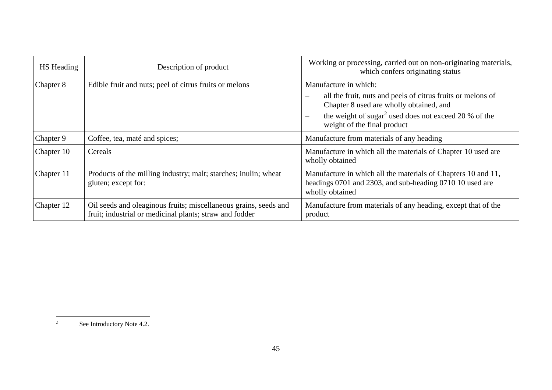| HS Heading | Description of product                                                                                                      | Working or processing, carried out on non-originating materials,<br>which confers originating status                                                                                                                                                                                        |
|------------|-----------------------------------------------------------------------------------------------------------------------------|---------------------------------------------------------------------------------------------------------------------------------------------------------------------------------------------------------------------------------------------------------------------------------------------|
| Chapter 8  | Edible fruit and nuts; peel of citrus fruits or melons                                                                      | Manufacture in which:<br>all the fruit, nuts and peels of citrus fruits or melons of<br>$\overline{\phantom{m}}$<br>Chapter 8 used are wholly obtained, and<br>the weight of sugar <sup>2</sup> used does not exceed 20 % of the<br>$\overline{\phantom{m}}$<br>weight of the final product |
| Chapter 9  | Coffee, tea, maté and spices;                                                                                               | Manufacture from materials of any heading                                                                                                                                                                                                                                                   |
| Chapter 10 | Cereals                                                                                                                     | Manufacture in which all the materials of Chapter 10 used are<br>wholly obtained                                                                                                                                                                                                            |
| Chapter 11 | Products of the milling industry; malt; starches; inulin; wheat<br>gluten; except for:                                      | Manufacture in which all the materials of Chapters 10 and 11,<br>headings 0701 and 2303, and sub-heading 0710 10 used are<br>wholly obtained                                                                                                                                                |
| Chapter 12 | Oil seeds and oleaginous fruits; miscellaneous grains, seeds and<br>fruit; industrial or medicinal plants; straw and fodder | Manufacture from materials of any heading, except that of the<br>product                                                                                                                                                                                                                    |

 $\sqrt{2}$ See Introductory Note 4.2.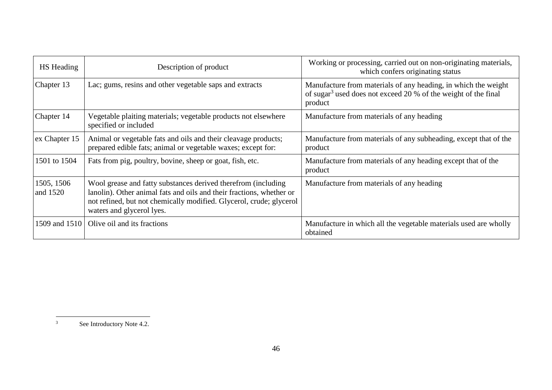| HS Heading             | Description of product                                                                                                                                                                                                                    | Working or processing, carried out on non-originating materials,<br>which confers originating status                                                    |
|------------------------|-------------------------------------------------------------------------------------------------------------------------------------------------------------------------------------------------------------------------------------------|---------------------------------------------------------------------------------------------------------------------------------------------------------|
| Chapter 13             | Lac; gums, resins and other vegetable saps and extracts                                                                                                                                                                                   | Manufacture from materials of any heading, in which the weight<br>of sugar <sup>3</sup> used does not exceed 20 % of the weight of the final<br>product |
| Chapter 14             | Vegetable plaiting materials; vegetable products not elsewhere<br>specified or included                                                                                                                                                   | Manufacture from materials of any heading                                                                                                               |
| ex Chapter 15          | Animal or vegetable fats and oils and their cleavage products;<br>prepared edible fats; animal or vegetable waxes; except for:                                                                                                            | Manufacture from materials of any subheading, except that of the<br>product                                                                             |
| 1501 to 1504           | Fats from pig, poultry, bovine, sheep or goat, fish, etc.                                                                                                                                                                                 | Manufacture from materials of any heading except that of the<br>product                                                                                 |
| 1505, 1506<br>and 1520 | Wool grease and fatty substances derived therefrom (including<br>lanolin). Other animal fats and oils and their fractions, whether or<br>not refined, but not chemically modified. Glycerol, crude; glycerol<br>waters and glycerol lyes. | Manufacture from materials of any heading                                                                                                               |
| 1509 and 1510          | Olive oil and its fractions                                                                                                                                                                                                               | Manufacture in which all the vegetable materials used are wholly<br>obtained                                                                            |

 $\overline{3}$ See Introductory Note 4.2.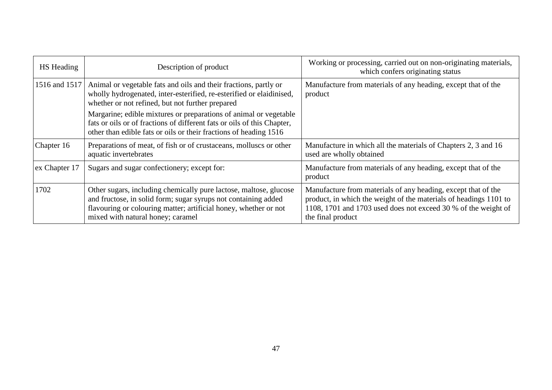| <b>HS</b> Heading | Description of product                                                                                                                                                                                                                       | Working or processing, carried out on non-originating materials,<br>which confers originating status                                                                                                                      |
|-------------------|----------------------------------------------------------------------------------------------------------------------------------------------------------------------------------------------------------------------------------------------|---------------------------------------------------------------------------------------------------------------------------------------------------------------------------------------------------------------------------|
| 1516 and 1517     | Animal or vegetable fats and oils and their fractions, partly or<br>wholly hydrogenated, inter-esterified, re-esterified or elaidinised,<br>whether or not refined, but not further prepared                                                 | Manufacture from materials of any heading, except that of the<br>product                                                                                                                                                  |
|                   | Margarine; edible mixtures or preparations of animal or vegetable<br>fats or oils or of fractions of different fats or oils of this Chapter,<br>other than edible fats or oils or their fractions of heading 1516                            |                                                                                                                                                                                                                           |
| Chapter 16        | Preparations of meat, of fish or of crustaceans, molluscs or other<br>aquatic invertebrates                                                                                                                                                  | Manufacture in which all the materials of Chapters 2, 3 and 16<br>used are wholly obtained                                                                                                                                |
| ex Chapter 17     | Sugars and sugar confectionery; except for:                                                                                                                                                                                                  | Manufacture from materials of any heading, except that of the<br>product                                                                                                                                                  |
| 1702              | Other sugars, including chemically pure lactose, maltose, glucose<br>and fructose, in solid form; sugar syrups not containing added<br>flavouring or colouring matter; artificial honey, whether or not<br>mixed with natural honey; caramel | Manufacture from materials of any heading, except that of the<br>product, in which the weight of the materials of headings 1101 to<br>1108, 1701 and 1703 used does not exceed 30 % of the weight of<br>the final product |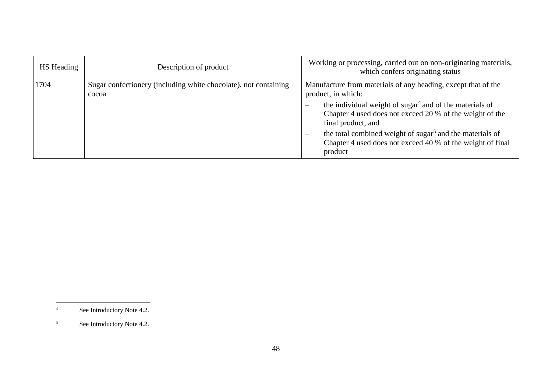| <b>HS</b> Heading | Description of product                                                   | Working or processing, carried out on non-originating materials,<br>which confers originating status                                                                                                                                                                                                                                                                                               |
|-------------------|--------------------------------------------------------------------------|----------------------------------------------------------------------------------------------------------------------------------------------------------------------------------------------------------------------------------------------------------------------------------------------------------------------------------------------------------------------------------------------------|
| 1704              | Sugar confectionery (including white chocolate), not containing<br>cocoa | Manufacture from materials of any heading, except that of the<br>product, in which:<br>the individual weight of sugar <sup>4</sup> and of the materials of<br>Chapter 4 used does not exceed 20 % of the weight of the<br>final product, and<br>the total combined weight of sugar <sup>5</sup> and the materials of<br>—<br>Chapter 4 used does not exceed 40 % of the weight of final<br>product |

 $\overline{4}$ See Introductory Note 4.2.

<sup>5</sup> See Introductory Note 4.2.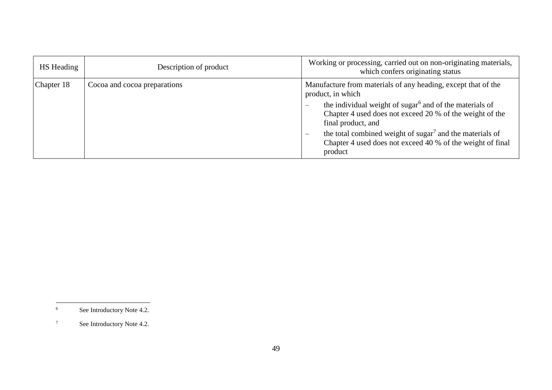| <b>HS</b> Heading | Description of product       | Working or processing, carried out on non-originating materials,<br>which confers originating status                                                                                                                                                                                                                                                                                                                          |
|-------------------|------------------------------|-------------------------------------------------------------------------------------------------------------------------------------------------------------------------------------------------------------------------------------------------------------------------------------------------------------------------------------------------------------------------------------------------------------------------------|
| Chapter 18        | Cocoa and cocoa preparations | Manufacture from materials of any heading, except that of the<br>product, in which<br>the individual weight of sugar <sup>6</sup> and of the materials of<br>$\overline{\phantom{m}}$<br>Chapter 4 used does not exceed 20 % of the weight of the<br>final product, and<br>the total combined weight of sugar <sup>7</sup> and the materials of<br>—<br>Chapter 4 used does not exceed 40 % of the weight of final<br>product |

 $6\,$ See Introductory Note 4.2.

<sup>7</sup> See Introductory Note 4.2.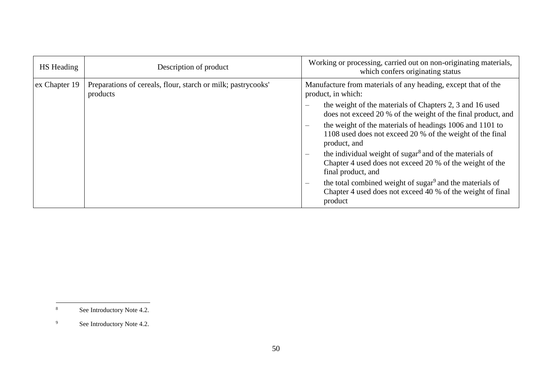| <b>HS</b> Heading | Description of product                                                   | Working or processing, carried out on non-originating materials,<br>which confers originating status                                                                              |
|-------------------|--------------------------------------------------------------------------|-----------------------------------------------------------------------------------------------------------------------------------------------------------------------------------|
| ex Chapter 19     | Preparations of cereals, flour, starch or milk; pastrycooks'<br>products | Manufacture from materials of any heading, except that of the<br>product, in which:                                                                                               |
|                   |                                                                          | the weight of the materials of Chapters 2, 3 and 16 used<br>$\overline{\phantom{0}}$<br>does not exceed 20 % of the weight of the final product, and                              |
|                   |                                                                          | the weight of the materials of headings 1006 and 1101 to<br>1108 used does not exceed 20 % of the weight of the final<br>product, and                                             |
|                   |                                                                          | the individual weight of sugar <sup>8</sup> and of the materials of<br>$\overline{\phantom{m}}$<br>Chapter 4 used does not exceed 20 % of the weight of the<br>final product, and |
|                   |                                                                          | the total combined weight of sugar <sup>9</sup> and the materials of<br>$\overline{\phantom{m}}$<br>Chapter 4 used does not exceed 40 % of the weight of final<br>product         |

 $\,$  8  $\,$ See Introductory Note 4.2.

<sup>&</sup>lt;sup>9</sup> See Introductory Note 4.2.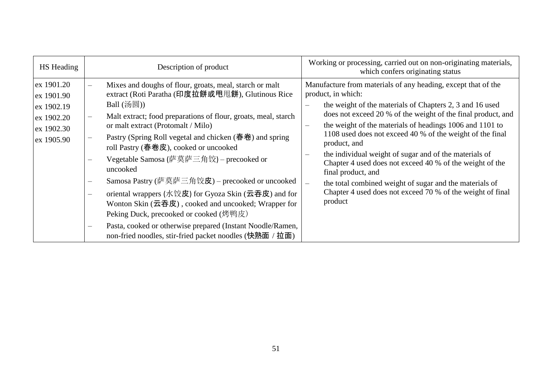| HS Heading                                                                       | Description of product                                                                                                                                                                                                                                                                                                                                                                                                                                                                                                                                                                                                                                                                                                                                                                        | Working or processing, carried out on non-originating materials,<br>which confers originating status                                                                                                                                                                                                                                                                                                                                                                                                                                                                                                                                                                           |
|----------------------------------------------------------------------------------|-----------------------------------------------------------------------------------------------------------------------------------------------------------------------------------------------------------------------------------------------------------------------------------------------------------------------------------------------------------------------------------------------------------------------------------------------------------------------------------------------------------------------------------------------------------------------------------------------------------------------------------------------------------------------------------------------------------------------------------------------------------------------------------------------|--------------------------------------------------------------------------------------------------------------------------------------------------------------------------------------------------------------------------------------------------------------------------------------------------------------------------------------------------------------------------------------------------------------------------------------------------------------------------------------------------------------------------------------------------------------------------------------------------------------------------------------------------------------------------------|
| ex 1901.20<br>ex 1901.90<br>ex 1902.19<br>ex 1902.20<br>ex 1902.30<br>ex 1905.90 | Mixes and doughs of flour, groats, meal, starch or malt<br>extract (Roti Paratha (印度拉餅或甩甩餅), Glutinous Rice<br>Ball $(\mathcal{B}(\mathbb{R}))$<br>Malt extract; food preparations of flour, groats, meal, starch<br>or malt extract (Protomalt / Milo)<br>Pastry (Spring Roll vegetal and chicken (春卷) and spring<br>roll Pastry (春卷皮), cooked or uncooked<br>Vegetable Samosa (萨莫萨三角饺) – precooked or<br>uncooked<br>Samosa Pastry (萨莫萨三角饺皮) – precooked or uncooked<br>$\qquad \qquad \longleftarrow$<br>oriental wrappers (水饺皮) for Gyoza Skin (云吞皮) and for<br>Wonton Skin $($ 云吞皮), cooked and uncooked; Wrapper for<br>Peking Duck, precooked or cooked (烤鸭皮)<br>Pasta, cooked or otherwise prepared (Instant Noodle/Ramen,<br>non-fried noodles, stir-fried packet noodles (快熟面 / 拉面) | Manufacture from materials of any heading, except that of the<br>product, in which:<br>the weight of the materials of Chapters 2, 3 and 16 used<br>does not exceed 20 % of the weight of the final product, and<br>the weight of the materials of headings 1006 and 1101 to<br>$\qquad \qquad -$<br>1108 used does not exceed 40 % of the weight of the final<br>product, and<br>the individual weight of sugar and of the materials of<br>Chapter 4 used does not exceed 40 % of the weight of the<br>final product, and<br>the total combined weight of sugar and the materials of<br>$\frac{1}{2}$<br>Chapter 4 used does not exceed 70 % of the weight of final<br>product |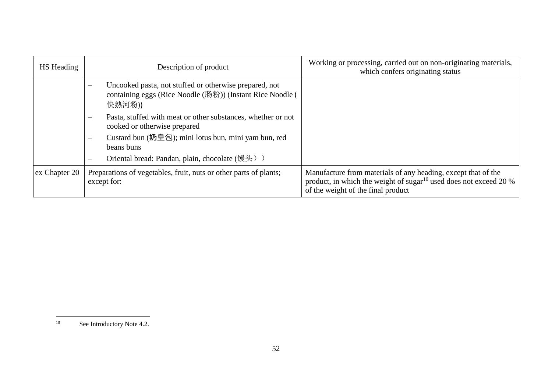| HS Heading    | Description of product                                                                                                                            | Working or processing, carried out on non-originating materials,<br>which confers originating status                                                                                    |
|---------------|---------------------------------------------------------------------------------------------------------------------------------------------------|-----------------------------------------------------------------------------------------------------------------------------------------------------------------------------------------|
|               | Uncooked pasta, not stuffed or otherwise prepared, not<br>$\equiv$<br>containing eggs (Rice Noodle (肠粉)) (Instant Rice Noodle (<br>快熟河粉))         |                                                                                                                                                                                         |
|               | Pasta, stuffed with meat or other substances, whether or not<br>cooked or otherwise prepared                                                      |                                                                                                                                                                                         |
|               | Custard bun (奶皇包); mini lotus bun, mini yam bun, red<br>beans buns<br>Oriental bread: Pandan, plain, chocolate (馒头) )<br>$\overline{\phantom{m}}$ |                                                                                                                                                                                         |
| ex Chapter 20 | Preparations of vegetables, fruit, nuts or other parts of plants;<br>except for:                                                                  | Manufacture from materials of any heading, except that of the<br>product, in which the weight of sugar <sup>10</sup> used does not exceed 20 $\%$<br>of the weight of the final product |

 $10\,$ See Introductory Note 4.2.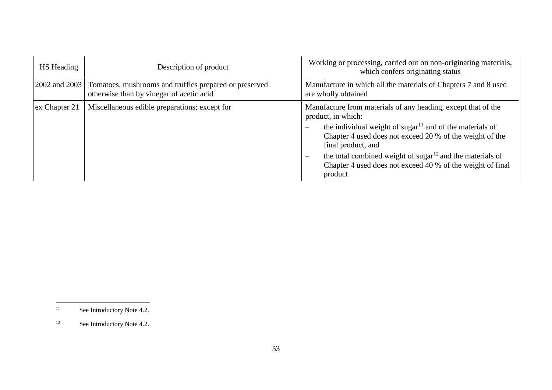| <b>HS</b> Heading | Description of product                                                                             | Working or processing, carried out on non-originating materials,<br>which confers originating status                                                                                                                                                                                                                                                                                                  |
|-------------------|----------------------------------------------------------------------------------------------------|-------------------------------------------------------------------------------------------------------------------------------------------------------------------------------------------------------------------------------------------------------------------------------------------------------------------------------------------------------------------------------------------------------|
| 2002 and 2003     | Tomatoes, mushrooms and truffles prepared or preserved<br>otherwise than by vinegar of acetic acid | Manufacture in which all the materials of Chapters 7 and 8 used<br>are wholly obtained                                                                                                                                                                                                                                                                                                                |
| ex Chapter 21     | Miscellaneous edible preparations; except for                                                      | Manufacture from materials of any heading, except that of the<br>product, in which:<br>the individual weight of sugar <sup>11</sup> and of the materials of<br>Chapter 4 used does not exceed 20 % of the weight of the<br>final product, and<br>the total combined weight of sugar $^{12}$ and the materials of<br>$\equiv$<br>Chapter 4 used does not exceed 40 % of the weight of final<br>product |

 $11\,$ See Introductory Note 4.2.

<sup>&</sup>lt;sup>12</sup> See Introductory Note 4.2.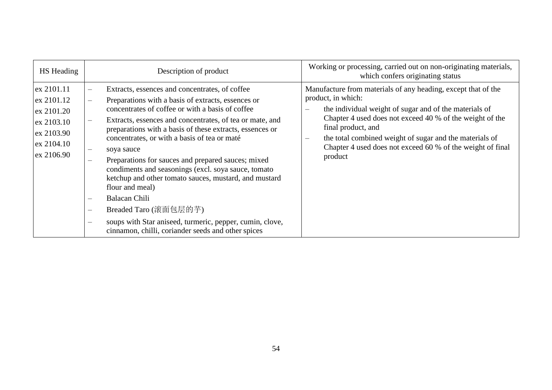| HS Heading                                                                                           | Description of product                                                                                                                                                                                                                                                                                                                                                                                                                                                                                                                                                                                                                                                                                                          | Working or processing, carried out on non-originating materials,<br>which confers originating status                                                                                                                                                                                                                                                                                   |
|------------------------------------------------------------------------------------------------------|---------------------------------------------------------------------------------------------------------------------------------------------------------------------------------------------------------------------------------------------------------------------------------------------------------------------------------------------------------------------------------------------------------------------------------------------------------------------------------------------------------------------------------------------------------------------------------------------------------------------------------------------------------------------------------------------------------------------------------|----------------------------------------------------------------------------------------------------------------------------------------------------------------------------------------------------------------------------------------------------------------------------------------------------------------------------------------------------------------------------------------|
| ex 2101.11<br>ex 2101.12<br>ex 2101.20<br>$\alpha$ 2103.10<br>ex 2103.90<br>ex 2104.10<br>ex 2106.90 | Extracts, essences and concentrates, of coffee<br>Preparations with a basis of extracts, essences or<br>concentrates of coffee or with a basis of coffee<br>Extracts, essences and concentrates, of tea or mate, and<br>preparations with a basis of these extracts, essences or<br>concentrates, or with a basis of tea or maté<br>soya sauce<br>Preparations for sauces and prepared sauces; mixed<br>condiments and seasonings (excl. soya sauce, tomato<br>ketchup and other tomato sauces, mustard, and mustard<br>flour and meal)<br><b>Balacan Chili</b><br>Breaded Taro (滚面包层的芋)<br>$\qquad \qquad -$<br>soups with Star aniseed, turmeric, pepper, cumin, clove,<br>cinnamon, chilli, coriander seeds and other spices | Manufacture from materials of any heading, except that of the<br>product, in which:<br>the individual weight of sugar and of the materials of<br>$\qquad \qquad$<br>Chapter 4 used does not exceed 40 % of the weight of the<br>final product, and<br>the total combined weight of sugar and the materials of<br>Chapter 4 used does not exceed 60 % of the weight of final<br>product |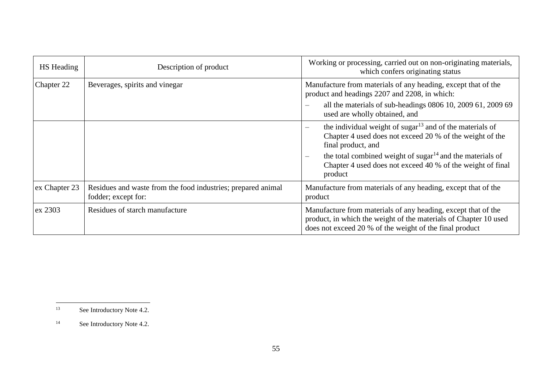| HS Heading    | Description of product                                                              | Working or processing, carried out on non-originating materials,<br>which confers originating status                                                                                                                                                                           |
|---------------|-------------------------------------------------------------------------------------|--------------------------------------------------------------------------------------------------------------------------------------------------------------------------------------------------------------------------------------------------------------------------------|
| Chapter 22    | Beverages, spirits and vinegar                                                      | Manufacture from materials of any heading, except that of the<br>product and headings 2207 and 2208, in which:                                                                                                                                                                 |
|               |                                                                                     | all the materials of sub-headings 0806 10, 2009 61, 2009 69<br>$\overline{\phantom{0}}$<br>used are wholly obtained, and                                                                                                                                                       |
|               |                                                                                     | the individual weight of sugar <sup>13</sup> and of the materials of<br>$\overline{\phantom{m}}$<br>Chapter 4 used does not exceed 20 % of the weight of the<br>final product, and<br>the total combined weight of sugar $14$ and the materials of<br>$\overline{\phantom{a}}$ |
|               |                                                                                     | Chapter 4 used does not exceed 40 % of the weight of final<br>product                                                                                                                                                                                                          |
| ex Chapter 23 | Residues and waste from the food industries; prepared animal<br>fodder; except for: | Manufacture from materials of any heading, except that of the<br>product                                                                                                                                                                                                       |
| ex 2303       | Residues of starch manufacture                                                      | Manufacture from materials of any heading, except that of the<br>product, in which the weight of the materials of Chapter 10 used<br>does not exceed 20 % of the weight of the final product                                                                                   |

 $13$ See Introductory Note 4.2.

<sup>&</sup>lt;sup>14</sup> See Introductory Note 4.2.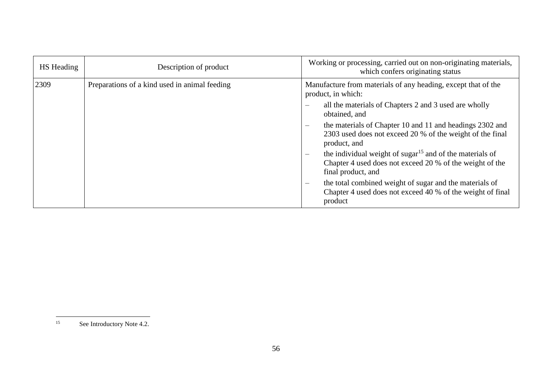| <b>HS</b> Heading | Description of product                        | Working or processing, carried out on non-originating materials,<br>which confers originating status                                                              |
|-------------------|-----------------------------------------------|-------------------------------------------------------------------------------------------------------------------------------------------------------------------|
| 2309              | Preparations of a kind used in animal feeding | Manufacture from materials of any heading, except that of the<br>product, in which:                                                                               |
|                   |                                               | all the materials of Chapters 2 and 3 used are wholly<br>$\equiv$<br>obtained, and                                                                                |
|                   |                                               | the materials of Chapter 10 and 11 and headings 2302 and<br>$\overline{\phantom{m}}$<br>2303 used does not exceed 20 % of the weight of the final<br>product, and |
|                   |                                               | the individual weight of sugar <sup>15</sup> and of the materials of<br>Chapter 4 used does not exceed 20 % of the weight of the<br>final product, and            |
|                   |                                               | the total combined weight of sugar and the materials of<br>$\overline{\phantom{m}}$<br>Chapter 4 used does not exceed 40 % of the weight of final<br>product      |

 $15$ See Introductory Note 4.2.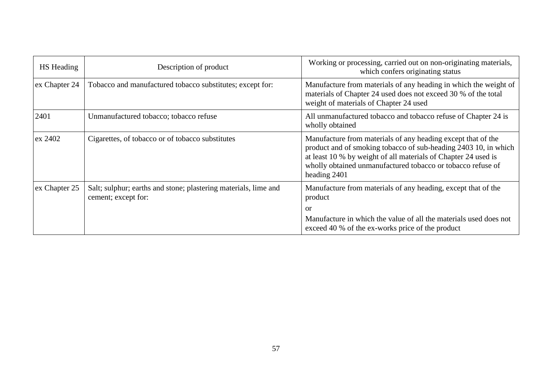| <b>HS</b> Heading | Description of product                                                                 | Working or processing, carried out on non-originating materials,<br>which confers originating status                                                                                                                                                                             |
|-------------------|----------------------------------------------------------------------------------------|----------------------------------------------------------------------------------------------------------------------------------------------------------------------------------------------------------------------------------------------------------------------------------|
| ex Chapter 24     | Tobacco and manufactured tobacco substitutes; except for:                              | Manufacture from materials of any heading in which the weight of<br>materials of Chapter 24 used does not exceed 30 % of the total<br>weight of materials of Chapter 24 used                                                                                                     |
| 2401              | Unmanufactured tobacco; tobacco refuse                                                 | All unmanufactured tobacco and tobacco refuse of Chapter 24 is<br>wholly obtained                                                                                                                                                                                                |
| ex 2402           | Cigarettes, of tobacco or of tobacco substitutes                                       | Manufacture from materials of any heading except that of the<br>product and of smoking tobacco of sub-heading 2403 10, in which<br>at least 10 % by weight of all materials of Chapter 24 used is<br>wholly obtained unmanufactured tobacco or tobacco refuse of<br>heading 2401 |
| ex Chapter 25     | Salt; sulphur; earths and stone; plastering materials, lime and<br>cement; except for: | Manufacture from materials of any heading, except that of the<br>product<br><b>or</b>                                                                                                                                                                                            |
|                   |                                                                                        | Manufacture in which the value of all the materials used does not<br>exceed 40 % of the ex-works price of the product                                                                                                                                                            |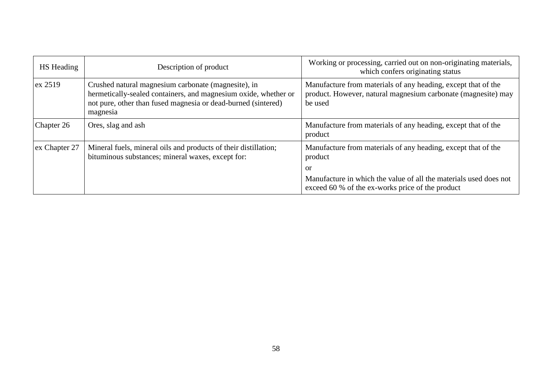| HS Heading    | Description of product                                                                                                                                                                              | Working or processing, carried out on non-originating materials,<br>which confers originating status                                      |
|---------------|-----------------------------------------------------------------------------------------------------------------------------------------------------------------------------------------------------|-------------------------------------------------------------------------------------------------------------------------------------------|
| $ex$ 2519     | Crushed natural magnesium carbonate (magnesite), in<br>hermetically-sealed containers, and magnesium oxide, whether or<br>not pure, other than fused magnesia or dead-burned (sintered)<br>magnesia | Manufacture from materials of any heading, except that of the<br>product. However, natural magnesium carbonate (magnesite) may<br>be used |
| Chapter 26    | Ores, slag and ash                                                                                                                                                                                  | Manufacture from materials of any heading, except that of the<br>product                                                                  |
| ex Chapter 27 | Mineral fuels, mineral oils and products of their distillation;<br>bituminous substances; mineral waxes, except for:                                                                                | Manufacture from materials of any heading, except that of the<br>product                                                                  |
|               |                                                                                                                                                                                                     | or                                                                                                                                        |
|               |                                                                                                                                                                                                     | Manufacture in which the value of all the materials used does not<br>exceed 60 % of the ex-works price of the product                     |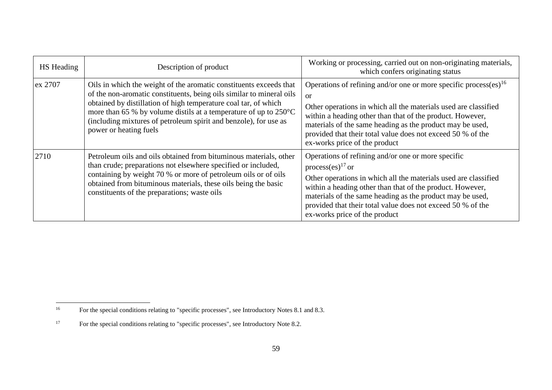| <b>HS</b> Heading | Description of product                                                                                                                                                                                                                                                                                                                                                                    | Working or processing, carried out on non-originating materials,<br>which confers originating status                                                                                                                                                                                                                                                                                  |
|-------------------|-------------------------------------------------------------------------------------------------------------------------------------------------------------------------------------------------------------------------------------------------------------------------------------------------------------------------------------------------------------------------------------------|---------------------------------------------------------------------------------------------------------------------------------------------------------------------------------------------------------------------------------------------------------------------------------------------------------------------------------------------------------------------------------------|
| ex 2707           | Oils in which the weight of the aromatic constituents exceeds that<br>of the non-aromatic constituents, being oils similar to mineral oils<br>obtained by distillation of high temperature coal tar, of which<br>more than 65 % by volume distils at a temperature of up to $250^{\circ}$ C<br>(including mixtures of petroleum spirit and benzole), for use as<br>power or heating fuels | Operations of refining and/or one or more specific process(es) <sup>16</sup><br>$\alpha$<br>Other operations in which all the materials used are classified<br>within a heading other than that of the product. However,<br>materials of the same heading as the product may be used,<br>provided that their total value does not exceed 50 % of the<br>ex-works price of the product |
| 2710              | Petroleum oils and oils obtained from bituminous materials, other<br>than crude; preparations not elsewhere specified or included,<br>containing by weight 70 % or more of petroleum oils or of oils<br>obtained from bituminous materials, these oils being the basic<br>constituents of the preparations; waste oils                                                                    | Operations of refining and/or one or more specific<br>process(es) <sup>17</sup> or<br>Other operations in which all the materials used are classified<br>within a heading other than that of the product. However,<br>materials of the same heading as the product may be used,<br>provided that their total value does not exceed 50 % of the<br>ex-works price of the product       |

 $16\,$ <sup>16</sup> For the special conditions relating to "specific processes", see Introductory Notes 8.1 and 8.3.

<sup>&</sup>lt;sup>17</sup> For the special conditions relating to "specific processes", see Introductory Note 8.2.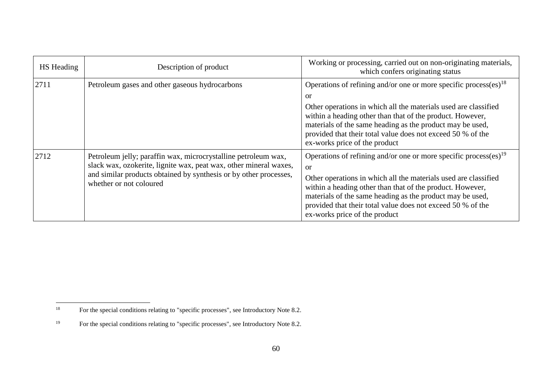| <b>HS</b> Heading | Description of product                                                                                                                                                                                                              | Working or processing, carried out on non-originating materials,<br>which confers originating status                                                                                                                                                                                                                                                                                  |
|-------------------|-------------------------------------------------------------------------------------------------------------------------------------------------------------------------------------------------------------------------------------|---------------------------------------------------------------------------------------------------------------------------------------------------------------------------------------------------------------------------------------------------------------------------------------------------------------------------------------------------------------------------------------|
| 2711              | Petroleum gases and other gaseous hydrocarbons                                                                                                                                                                                      | Operations of refining and/or one or more specific process(es) <sup>18</sup><br>or<br>Other operations in which all the materials used are classified<br>within a heading other than that of the product. However,<br>materials of the same heading as the product may be used,<br>provided that their total value does not exceed 50 % of the<br>ex-works price of the product       |
| 2712              | Petroleum jelly; paraffin wax, microcrystalline petroleum wax,<br>slack wax, ozokerite, lignite wax, peat wax, other mineral waxes,<br>and similar products obtained by synthesis or by other processes,<br>whether or not coloured | Operations of refining and/or one or more specific process(es) <sup>19</sup><br>$\alpha$<br>Other operations in which all the materials used are classified<br>within a heading other than that of the product. However,<br>materials of the same heading as the product may be used,<br>provided that their total value does not exceed 50 % of the<br>ex-works price of the product |

 $18\,$ <sup>18</sup> For the special conditions relating to "specific processes", see Introductory Note 8.2.

<sup>&</sup>lt;sup>19</sup> For the special conditions relating to "specific processes", see Introductory Note 8.2.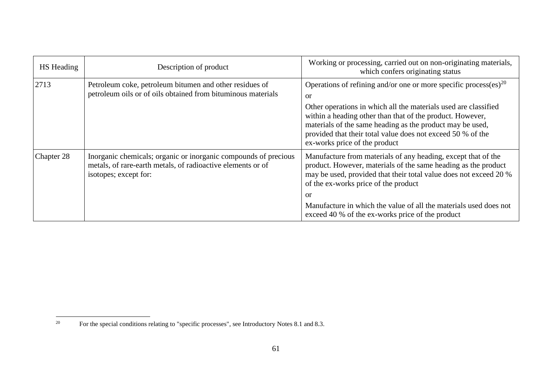| HS Heading | Description of product                                                                                                                                  | Working or processing, carried out on non-originating materials,<br>which confers originating status                                                                                                                                                                                                                                                                            |
|------------|---------------------------------------------------------------------------------------------------------------------------------------------------------|---------------------------------------------------------------------------------------------------------------------------------------------------------------------------------------------------------------------------------------------------------------------------------------------------------------------------------------------------------------------------------|
| 2713       | Petroleum coke, petroleum bitumen and other residues of<br>petroleum oils or of oils obtained from bituminous materials                                 | Operations of refining and/or one or more specific process(es) <sup>20</sup><br>or<br>Other operations in which all the materials used are classified<br>within a heading other than that of the product. However,<br>materials of the same heading as the product may be used,<br>provided that their total value does not exceed 50 % of the<br>ex-works price of the product |
| Chapter 28 | Inorganic chemicals; organic or inorganic compounds of precious<br>metals, of rare-earth metals, of radioactive elements or of<br>isotopes; except for: | Manufacture from materials of any heading, except that of the<br>product. However, materials of the same heading as the product<br>may be used, provided that their total value does not exceed 20 %<br>of the ex-works price of the product<br>or<br>Manufacture in which the value of all the materials used does not<br>exceed 40 % of the ex-works price of the product     |

 $20\,$ <sup>20</sup> For the special conditions relating to "specific processes", see Introductory Notes 8.1 and 8.3.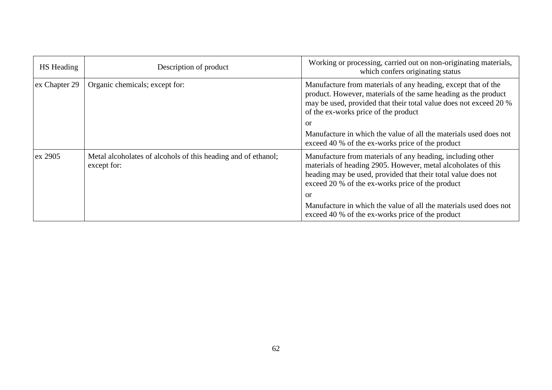| <b>HS</b> Heading | Description of product                                                       | Working or processing, carried out on non-originating materials,<br>which confers originating status                                                                                                                                             |
|-------------------|------------------------------------------------------------------------------|--------------------------------------------------------------------------------------------------------------------------------------------------------------------------------------------------------------------------------------------------|
| ex Chapter 29     | Organic chemicals; except for:                                               | Manufacture from materials of any heading, except that of the<br>product. However, materials of the same heading as the product<br>may be used, provided that their total value does not exceed 20 %<br>of the ex-works price of the product     |
|                   |                                                                              | or                                                                                                                                                                                                                                               |
|                   |                                                                              | Manufacture in which the value of all the materials used does not<br>exceed 40 % of the ex-works price of the product                                                                                                                            |
| ex 2905           | Metal alcoholates of alcohols of this heading and of ethanol;<br>except for: | Manufacture from materials of any heading, including other<br>materials of heading 2905. However, metal alcoholates of this<br>heading may be used, provided that their total value does not<br>exceed 20 % of the ex-works price of the product |
|                   |                                                                              | or                                                                                                                                                                                                                                               |
|                   |                                                                              | Manufacture in which the value of all the materials used does not<br>exceed 40 % of the ex-works price of the product                                                                                                                            |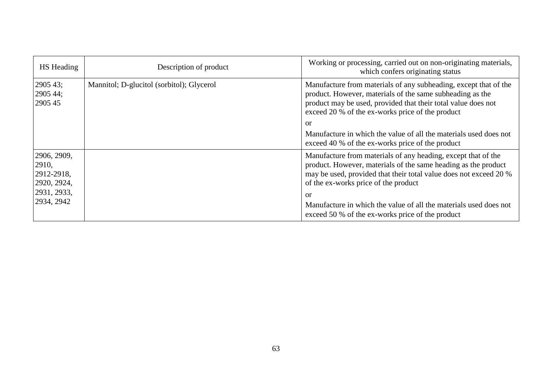| HS Heading                                         | Description of product                    | Working or processing, carried out on non-originating materials,<br>which confers originating status                                                                                                                                               |
|----------------------------------------------------|-------------------------------------------|----------------------------------------------------------------------------------------------------------------------------------------------------------------------------------------------------------------------------------------------------|
| 2905 43;<br>2905 44;<br>2905 45                    | Mannitol; D-glucitol (sorbitol); Glycerol | Manufacture from materials of any subheading, except that of the<br>product. However, materials of the same subheading as the<br>product may be used, provided that their total value does not<br>exceed 20 % of the ex-works price of the product |
|                                                    |                                           | or                                                                                                                                                                                                                                                 |
|                                                    |                                           | Manufacture in which the value of all the materials used does not<br>exceed 40 % of the ex-works price of the product                                                                                                                              |
| 2906, 2909,<br> 2910,<br>2912-2918,<br>2920, 2924, |                                           | Manufacture from materials of any heading, except that of the<br>product. However, materials of the same heading as the product<br>may be used, provided that their total value does not exceed 20 %<br>of the ex-works price of the product       |
| 2931, 2933,<br>2934, 2942                          |                                           | or<br>Manufacture in which the value of all the materials used does not<br>exceed 50 % of the ex-works price of the product                                                                                                                        |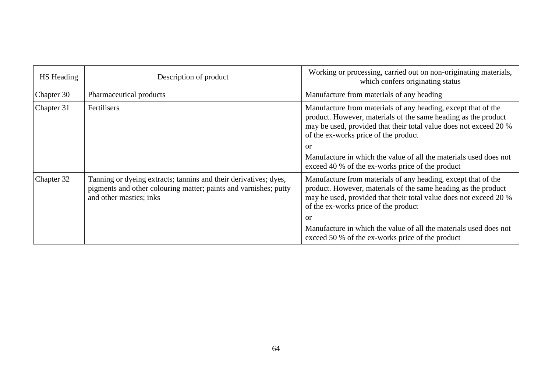| <b>HS</b> Heading | Description of product                                                                                                                                          | Working or processing, carried out on non-originating materials,<br>which confers originating status                                                                                                                                                                                                                                                                        |
|-------------------|-----------------------------------------------------------------------------------------------------------------------------------------------------------------|-----------------------------------------------------------------------------------------------------------------------------------------------------------------------------------------------------------------------------------------------------------------------------------------------------------------------------------------------------------------------------|
| Chapter 30        | Pharmaceutical products                                                                                                                                         | Manufacture from materials of any heading                                                                                                                                                                                                                                                                                                                                   |
| Chapter 31        | <b>Fertilisers</b>                                                                                                                                              | Manufacture from materials of any heading, except that of the<br>product. However, materials of the same heading as the product<br>may be used, provided that their total value does not exceed 20 %<br>of the ex-works price of the product<br>or<br>Manufacture in which the value of all the materials used does not<br>exceed 40 % of the ex-works price of the product |
| Chapter 32        | Tanning or dyeing extracts; tannins and their derivatives; dyes,<br>pigments and other colouring matter; paints and varnishes; putty<br>and other mastics; inks | Manufacture from materials of any heading, except that of the<br>product. However, materials of the same heading as the product<br>may be used, provided that their total value does not exceed 20 %<br>of the ex-works price of the product<br>or<br>Manufacture in which the value of all the materials used does not<br>exceed 50 % of the ex-works price of the product |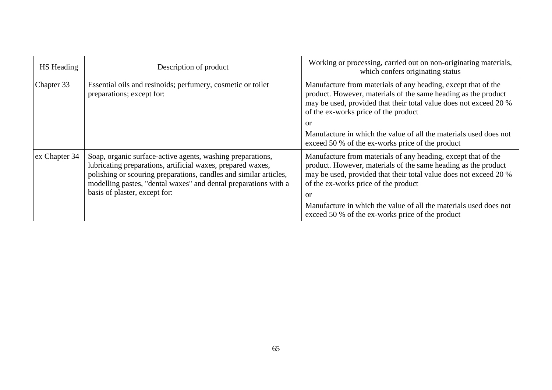| HS Heading    | Description of product                                                                                                                                                                                                                                                                             | Working or processing, carried out on non-originating materials,<br>which confers originating status                                                                                                                                               |
|---------------|----------------------------------------------------------------------------------------------------------------------------------------------------------------------------------------------------------------------------------------------------------------------------------------------------|----------------------------------------------------------------------------------------------------------------------------------------------------------------------------------------------------------------------------------------------------|
| Chapter 33    | Essential oils and resinoids; perfumery, cosmetic or toilet<br>preparations; except for:                                                                                                                                                                                                           | Manufacture from materials of any heading, except that of the<br>product. However, materials of the same heading as the product<br>may be used, provided that their total value does not exceed 20 %<br>of the ex-works price of the product       |
|               |                                                                                                                                                                                                                                                                                                    | or                                                                                                                                                                                                                                                 |
|               |                                                                                                                                                                                                                                                                                                    | Manufacture in which the value of all the materials used does not<br>exceed 50 % of the ex-works price of the product                                                                                                                              |
| ex Chapter 34 | Soap, organic surface-active agents, washing preparations,<br>lubricating preparations, artificial waxes, prepared waxes,<br>polishing or scouring preparations, candles and similar articles,<br>modelling pastes, "dental waxes" and dental preparations with a<br>basis of plaster, except for: | Manufacture from materials of any heading, except that of the<br>product. However, materials of the same heading as the product<br>may be used, provided that their total value does not exceed 20 %<br>of the ex-works price of the product<br>or |
|               |                                                                                                                                                                                                                                                                                                    | Manufacture in which the value of all the materials used does not<br>exceed 50 % of the ex-works price of the product                                                                                                                              |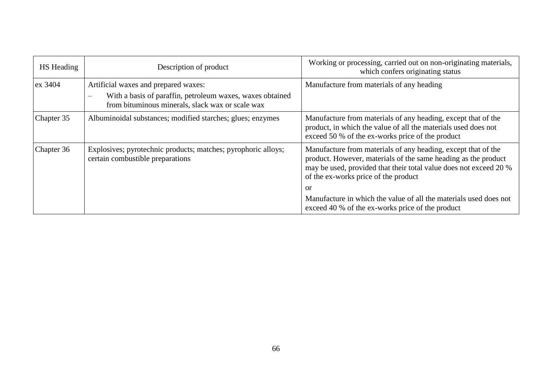| HS Heading | Description of product                                                                                                                                                 | Working or processing, carried out on non-originating materials,<br>which confers originating status                                                                                                                                         |
|------------|------------------------------------------------------------------------------------------------------------------------------------------------------------------------|----------------------------------------------------------------------------------------------------------------------------------------------------------------------------------------------------------------------------------------------|
| $ex$ 3404  | Artificial waxes and prepared waxes:<br>With a basis of paraffin, petroleum waxes, waxes obtained<br>$\frac{1}{2}$<br>from bituminous minerals, slack wax or scale wax | Manufacture from materials of any heading                                                                                                                                                                                                    |
| Chapter 35 | Albuminoidal substances; modified starches; glues; enzymes                                                                                                             | Manufacture from materials of any heading, except that of the<br>product, in which the value of all the materials used does not<br>exceed 50 % of the ex-works price of the product                                                          |
| Chapter 36 | Explosives; pyrotechnic products; matches; pyrophoric alloys;<br>certain combustible preparations                                                                      | Manufacture from materials of any heading, except that of the<br>product. However, materials of the same heading as the product<br>may be used, provided that their total value does not exceed 20 %<br>of the ex-works price of the product |
|            |                                                                                                                                                                        | or<br>Manufacture in which the value of all the materials used does not<br>exceed 40 % of the ex-works price of the product                                                                                                                  |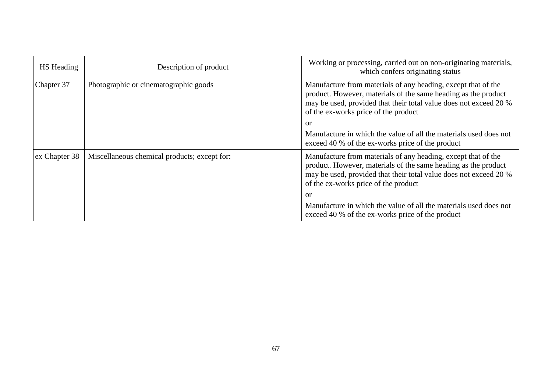| HS Heading    | Description of product                       | Working or processing, carried out on non-originating materials,<br>which confers originating status                                                                                                                                         |
|---------------|----------------------------------------------|----------------------------------------------------------------------------------------------------------------------------------------------------------------------------------------------------------------------------------------------|
| Chapter 37    | Photographic or cinematographic goods        | Manufacture from materials of any heading, except that of the<br>product. However, materials of the same heading as the product<br>may be used, provided that their total value does not exceed 20 %<br>of the ex-works price of the product |
|               |                                              | or                                                                                                                                                                                                                                           |
|               |                                              | Manufacture in which the value of all the materials used does not<br>exceed 40 % of the ex-works price of the product                                                                                                                        |
| ex Chapter 38 | Miscellaneous chemical products; except for: | Manufacture from materials of any heading, except that of the<br>product. However, materials of the same heading as the product<br>may be used, provided that their total value does not exceed 20 %<br>of the ex-works price of the product |
|               |                                              | or                                                                                                                                                                                                                                           |
|               |                                              | Manufacture in which the value of all the materials used does not<br>exceed 40 % of the ex-works price of the product                                                                                                                        |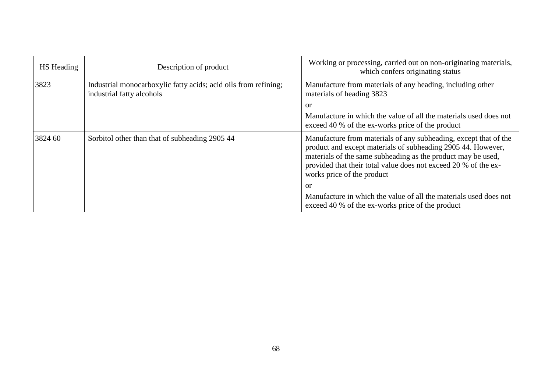| HS Heading | Description of product                                                                       | Working or processing, carried out on non-originating materials,<br>which confers originating status                                                                                                                                                                                              |
|------------|----------------------------------------------------------------------------------------------|---------------------------------------------------------------------------------------------------------------------------------------------------------------------------------------------------------------------------------------------------------------------------------------------------|
| 3823       | Industrial monocarboxylic fatty acids; acid oils from refining;<br>industrial fatty alcohols | Manufacture from materials of any heading, including other<br>materials of heading 3823                                                                                                                                                                                                           |
|            |                                                                                              | or                                                                                                                                                                                                                                                                                                |
|            |                                                                                              | Manufacture in which the value of all the materials used does not<br>exceed 40 % of the ex-works price of the product                                                                                                                                                                             |
| 3824 60    | Sorbitol other than that of subheading 2905 44                                               | Manufacture from materials of any subheading, except that of the<br>product and except materials of subheading 2905 44. However,<br>materials of the same subheading as the product may be used,<br>provided that their total value does not exceed 20 % of the ex-<br>works price of the product |
|            |                                                                                              | or                                                                                                                                                                                                                                                                                                |
|            |                                                                                              | Manufacture in which the value of all the materials used does not<br>exceed 40 % of the ex-works price of the product                                                                                                                                                                             |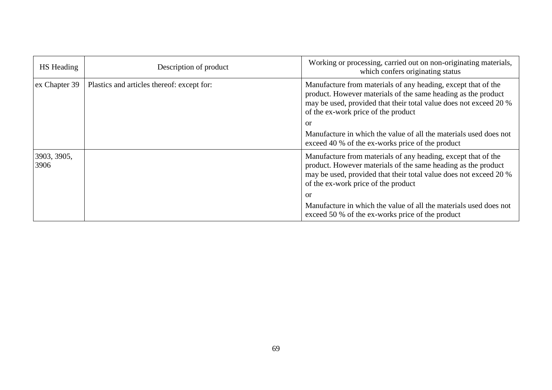| <b>HS</b> Heading   | Description of product                     | Working or processing, carried out on non-originating materials,<br>which confers originating status                                                                                                                                       |
|---------------------|--------------------------------------------|--------------------------------------------------------------------------------------------------------------------------------------------------------------------------------------------------------------------------------------------|
| ex Chapter 39       | Plastics and articles thereof: except for: | Manufacture from materials of any heading, except that of the<br>product. However materials of the same heading as the product<br>may be used, provided that their total value does not exceed 20 %<br>of the ex-work price of the product |
|                     |                                            | $\alpha$                                                                                                                                                                                                                                   |
|                     |                                            | Manufacture in which the value of all the materials used does not<br>exceed 40 % of the ex-works price of the product                                                                                                                      |
| 3903, 3905,<br>3906 |                                            | Manufacture from materials of any heading, except that of the<br>product. However materials of the same heading as the product<br>may be used, provided that their total value does not exceed 20 %<br>of the ex-work price of the product |
|                     |                                            | or                                                                                                                                                                                                                                         |
|                     |                                            | Manufacture in which the value of all the materials used does not<br>exceed 50 % of the ex-works price of the product                                                                                                                      |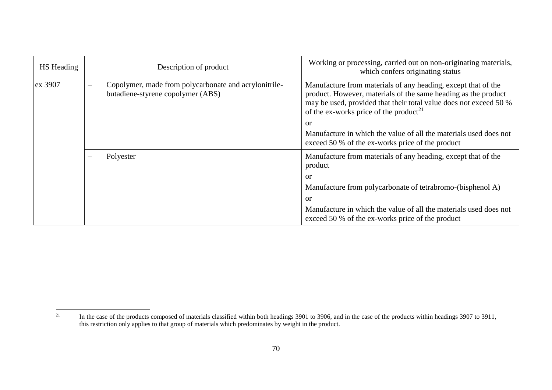| <b>HS</b> Heading | Description of product                                                                                                 | Working or processing, carried out on non-originating materials,<br>which confers originating status                                                                                                                                                             |
|-------------------|------------------------------------------------------------------------------------------------------------------------|------------------------------------------------------------------------------------------------------------------------------------------------------------------------------------------------------------------------------------------------------------------|
| ex 3907           | Copolymer, made from polycarbonate and acrylonitrile-<br>$\overline{\phantom{0}}$<br>butadiene-styrene copolymer (ABS) | Manufacture from materials of any heading, except that of the<br>product. However, materials of the same heading as the product<br>may be used, provided that their total value does not exceed 50 %<br>of the ex-works price of the product <sup>21</sup><br>or |
|                   |                                                                                                                        | Manufacture in which the value of all the materials used does not<br>exceed 50 % of the ex-works price of the product                                                                                                                                            |
|                   | Polyester                                                                                                              | Manufacture from materials of any heading, except that of the<br>product                                                                                                                                                                                         |
|                   |                                                                                                                        | or                                                                                                                                                                                                                                                               |
|                   |                                                                                                                        | Manufacture from polycarbonate of tetrabromo-(bisphenol A)                                                                                                                                                                                                       |
|                   |                                                                                                                        | or                                                                                                                                                                                                                                                               |
|                   |                                                                                                                        | Manufacture in which the value of all the materials used does not<br>exceed 50 % of the ex-works price of the product                                                                                                                                            |

 $21$ <sup>21</sup> In the case of the products composed of materials classified within both headings 3901 to 3906, and in the case of the products within headings 3907 to 3911, this restriction only applies to that group of materials which predominates by weight in the product.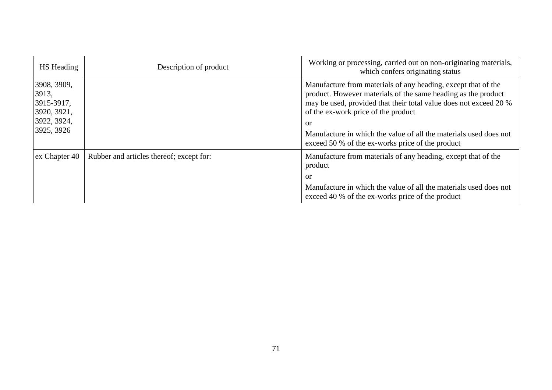| HS Heading                                                                     | Description of product                   | Working or processing, carried out on non-originating materials,<br>which confers originating status                                                                                                                                                                                                                                                                                 |
|--------------------------------------------------------------------------------|------------------------------------------|--------------------------------------------------------------------------------------------------------------------------------------------------------------------------------------------------------------------------------------------------------------------------------------------------------------------------------------------------------------------------------------|
| 3908, 3909,<br>3913,<br>3915-3917,<br>3920, 3921,<br>3922, 3924,<br>3925, 3926 |                                          | Manufacture from materials of any heading, except that of the<br>product. However materials of the same heading as the product<br>may be used, provided that their total value does not exceed 20 %<br>of the ex-work price of the product<br><sub>or</sub><br>Manufacture in which the value of all the materials used does not<br>exceed 50 % of the ex-works price of the product |
| ex Chapter 40                                                                  | Rubber and articles thereof; except for: | Manufacture from materials of any heading, except that of the<br>product<br><sub>or</sub><br>Manufacture in which the value of all the materials used does not<br>exceed 40 % of the ex-works price of the product                                                                                                                                                                   |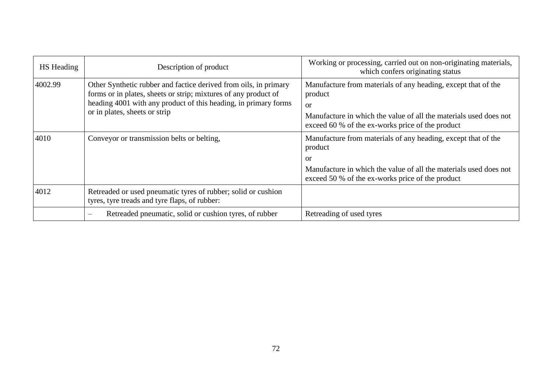| HS Heading | Description of product                                                                                                                                                                                                                  | Working or processing, carried out on non-originating materials,<br>which confers originating status                                                                                                               |
|------------|-----------------------------------------------------------------------------------------------------------------------------------------------------------------------------------------------------------------------------------------|--------------------------------------------------------------------------------------------------------------------------------------------------------------------------------------------------------------------|
| 4002.99    | Other Synthetic rubber and factice derived from oils, in primary<br>forms or in plates, sheets or strip; mixtures of any product of<br>heading 4001 with any product of this heading, in primary forms<br>or in plates, sheets or strip | Manufacture from materials of any heading, except that of the<br>product<br><sub>or</sub><br>Manufacture in which the value of all the materials used does not<br>exceed 60 % of the ex-works price of the product |
| 4010       | Conveyor or transmission belts or belting,                                                                                                                                                                                              | Manufacture from materials of any heading, except that of the<br>product<br><sub>or</sub><br>Manufacture in which the value of all the materials used does not<br>exceed 50 % of the ex-works price of the product |
| 4012       | Retreaded or used pneumatic tyres of rubber; solid or cushion<br>tyres, tyre treads and tyre flaps, of rubber:                                                                                                                          |                                                                                                                                                                                                                    |
|            | Retreaded pneumatic, solid or cushion tyres, of rubber<br>$\overline{\phantom{a}}$                                                                                                                                                      | Retreading of used tyres                                                                                                                                                                                           |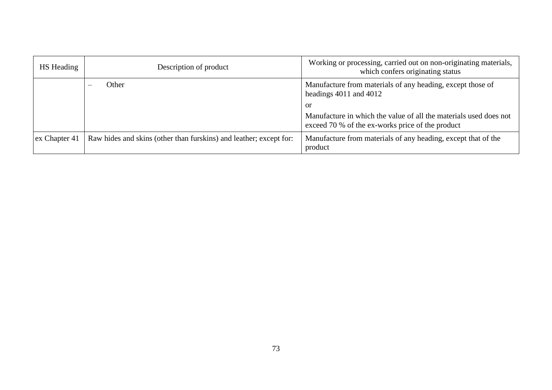| <b>HS</b> Heading | Description of product                                             | Working or processing, carried out on non-originating materials,<br>which confers originating status                  |
|-------------------|--------------------------------------------------------------------|-----------------------------------------------------------------------------------------------------------------------|
|                   | Other                                                              | Manufacture from materials of any heading, except those of<br>headings $4011$ and $4012$                              |
|                   |                                                                    | <b>or</b>                                                                                                             |
|                   |                                                                    | Manufacture in which the value of all the materials used does not<br>exceed 70 % of the ex-works price of the product |
| ex Chapter 41     | Raw hides and skins (other than furskins) and leather; except for: | Manufacture from materials of any heading, except that of the<br>product                                              |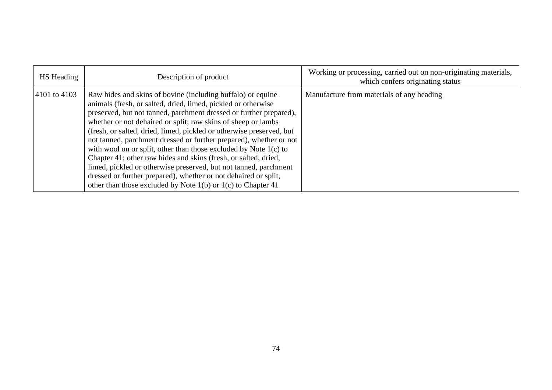| HS Heading   | Description of product                                                                                                                                                                                                                                                                                                                                                                                                                                                                                                                                                                                                                                                                                                                                              | Working or processing, carried out on non-originating materials,<br>which confers originating status |
|--------------|---------------------------------------------------------------------------------------------------------------------------------------------------------------------------------------------------------------------------------------------------------------------------------------------------------------------------------------------------------------------------------------------------------------------------------------------------------------------------------------------------------------------------------------------------------------------------------------------------------------------------------------------------------------------------------------------------------------------------------------------------------------------|------------------------------------------------------------------------------------------------------|
| 4101 to 4103 | Raw hides and skins of bovine (including buffalo) or equine<br>animals (fresh, or salted, dried, limed, pickled or otherwise<br>preserved, but not tanned, parchment dressed or further prepared),<br>whether or not dehaired or split; raw skins of sheep or lambs<br>(fresh, or salted, dried, limed, pickled or otherwise preserved, but<br>not tanned, parchment dressed or further prepared), whether or not<br>with wool on or split, other than those excluded by Note 1(c) to<br>Chapter 41; other raw hides and skins (fresh, or salted, dried,<br>limed, pickled or otherwise preserved, but not tanned, parchment<br>dressed or further prepared), whether or not dehaired or split,<br>other than those excluded by Note $1(b)$ or $1(c)$ to Chapter 41 | Manufacture from materials of any heading                                                            |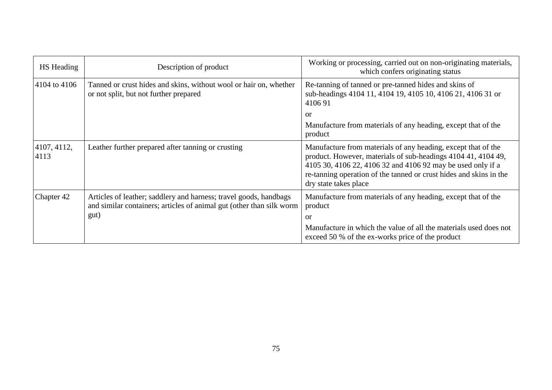| HS Heading          | Description of product                                                                                                                            | Working or processing, carried out on non-originating materials,<br>which confers originating status                                                                                                                                                                                         |
|---------------------|---------------------------------------------------------------------------------------------------------------------------------------------------|----------------------------------------------------------------------------------------------------------------------------------------------------------------------------------------------------------------------------------------------------------------------------------------------|
| 4104 to 4106        | Tanned or crust hides and skins, without wool or hair on, whether<br>or not split, but not further prepared                                       | Re-tanning of tanned or pre-tanned hides and skins of<br>sub-headings 4104 11, 4104 19, 4105 10, 4106 21, 4106 31 or<br>410691                                                                                                                                                               |
|                     |                                                                                                                                                   | or<br>Manufacture from materials of any heading, except that of the<br>product                                                                                                                                                                                                               |
| 4107, 4112,<br>4113 | Leather further prepared after tanning or crusting                                                                                                | Manufacture from materials of any heading, except that of the<br>product. However, materials of sub-headings 4104 41, 4104 49,<br>4105 30, 4106 22, 4106 32 and 4106 92 may be used only if a<br>re-tanning operation of the tanned or crust hides and skins in the<br>dry state takes place |
| Chapter 42          | Articles of leather; saddlery and harness; travel goods, handbags<br>and similar containers; articles of animal gut (other than silk worm<br>gut) | Manufacture from materials of any heading, except that of the<br>product<br><b>or</b>                                                                                                                                                                                                        |
|                     |                                                                                                                                                   | Manufacture in which the value of all the materials used does not<br>exceed 50 % of the ex-works price of the product                                                                                                                                                                        |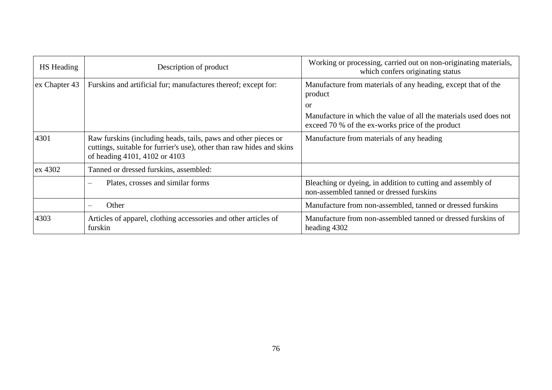| <b>HS</b> Heading | Description of product                                                                                                                                                   | Working or processing, carried out on non-originating materials,<br>which confers originating status                  |
|-------------------|--------------------------------------------------------------------------------------------------------------------------------------------------------------------------|-----------------------------------------------------------------------------------------------------------------------|
| ex Chapter 43     | Furskins and artificial fur; manufactures thereof; except for:                                                                                                           | Manufacture from materials of any heading, except that of the<br>product                                              |
|                   |                                                                                                                                                                          | or                                                                                                                    |
|                   |                                                                                                                                                                          | Manufacture in which the value of all the materials used does not<br>exceed 70 % of the ex-works price of the product |
| 4301              | Raw furskins (including heads, tails, paws and other pieces or<br>cuttings, suitable for furrier's use), other than raw hides and skins<br>of heading 4101, 4102 or 4103 | Manufacture from materials of any heading                                                                             |
| $\vert$ ex 4302   | Tanned or dressed furskins, assembled:                                                                                                                                   |                                                                                                                       |
|                   | Plates, crosses and similar forms<br>$\equiv$                                                                                                                            | Bleaching or dyeing, in addition to cutting and assembly of<br>non-assembled tanned or dressed furskins               |
|                   | Other                                                                                                                                                                    | Manufacture from non-assembled, tanned or dressed furskins                                                            |
| 4303              | Articles of apparel, clothing accessories and other articles of<br>furskin                                                                                               | Manufacture from non-assembled tanned or dressed furskins of<br>heading 4302                                          |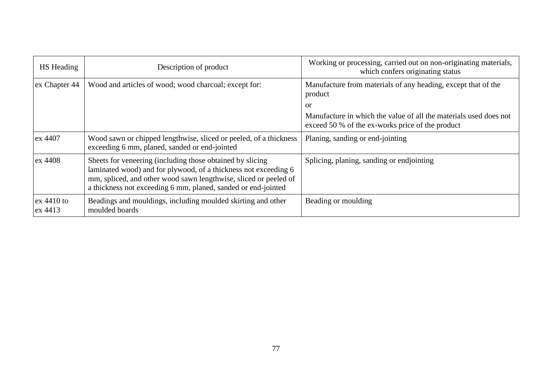| <b>HS</b> Heading       | Description of product                                                                                                                                                                                                                                            | Working or processing, carried out on non-originating materials,<br>which confers originating status                  |
|-------------------------|-------------------------------------------------------------------------------------------------------------------------------------------------------------------------------------------------------------------------------------------------------------------|-----------------------------------------------------------------------------------------------------------------------|
| ex Chapter 44           | Wood and articles of wood; wood charcoal; except for:                                                                                                                                                                                                             | Manufacture from materials of any heading, except that of the<br>product                                              |
|                         |                                                                                                                                                                                                                                                                   | or                                                                                                                    |
|                         |                                                                                                                                                                                                                                                                   | Manufacture in which the value of all the materials used does not<br>exceed 50 % of the ex-works price of the product |
| ex 4407                 | Wood sawn or chipped lengthwise, sliced or peeled, of a thickness<br>exceeding 6 mm, planed, sanded or end-jointed                                                                                                                                                | Planing, sanding or end-jointing                                                                                      |
| ex 4408                 | Sheets for veneering (including those obtained by slicing<br>laminated wood) and for plywood, of a thickness not exceeding 6<br>mm, spliced, and other wood sawn lengthwise, sliced or peeled of<br>a thickness not exceeding 6 mm, planed, sanded or end-jointed | Splicing, planing, sanding or endjointing                                                                             |
| $ex$ 4410 to<br>ex 4413 | Beadings and mouldings, including moulded skirting and other<br>moulded boards                                                                                                                                                                                    | Beading or moulding                                                                                                   |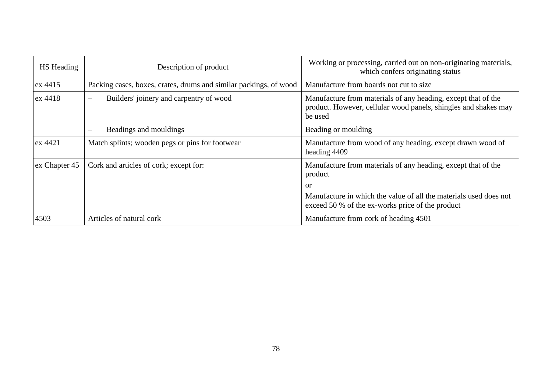| <b>HS</b> Heading | Description of product                                              | Working or processing, carried out on non-originating materials,<br>which confers originating status                                        |
|-------------------|---------------------------------------------------------------------|---------------------------------------------------------------------------------------------------------------------------------------------|
| ex 4415           | Packing cases, boxes, crates, drums and similar packings, of wood   | Manufacture from boards not cut to size                                                                                                     |
| ex 4418           | Builders' joinery and carpentry of wood<br>$\overline{\phantom{m}}$ | Manufacture from materials of any heading, except that of the<br>product. However, cellular wood panels, shingles and shakes may<br>be used |
|                   | Beadings and mouldings                                              | Beading or moulding                                                                                                                         |
| ex 4421           | Match splints; wooden pegs or pins for footwear                     | Manufacture from wood of any heading, except drawn wood of<br>heading 4409                                                                  |
| ex Chapter 45     | Cork and articles of cork; except for:                              | Manufacture from materials of any heading, except that of the<br>product                                                                    |
|                   |                                                                     | <sub>or</sub>                                                                                                                               |
|                   |                                                                     | Manufacture in which the value of all the materials used does not<br>exceed 50 % of the ex-works price of the product                       |
| 4503              | Articles of natural cork                                            | Manufacture from cork of heading 4501                                                                                                       |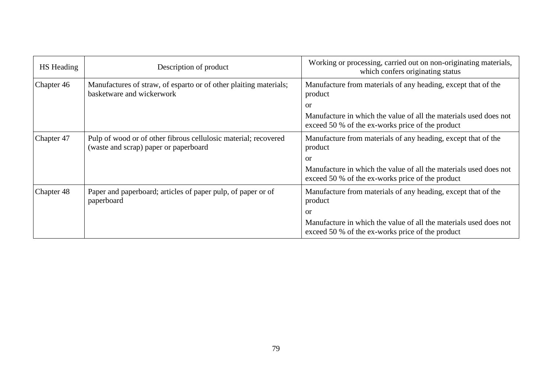| HS Heading | Description of product                                                                                   | Working or processing, carried out on non-originating materials,<br>which confers originating status                  |
|------------|----------------------------------------------------------------------------------------------------------|-----------------------------------------------------------------------------------------------------------------------|
| Chapter 46 | Manufactures of straw, of esparto or of other plaiting materials;<br>basketware and wickerwork           | Manufacture from materials of any heading, except that of the<br>product                                              |
|            |                                                                                                          | or                                                                                                                    |
|            |                                                                                                          | Manufacture in which the value of all the materials used does not<br>exceed 50 % of the ex-works price of the product |
| Chapter 47 | Pulp of wood or of other fibrous cellulosic material; recovered<br>(waste and scrap) paper or paperboard | Manufacture from materials of any heading, except that of the<br>product                                              |
|            |                                                                                                          | or                                                                                                                    |
|            |                                                                                                          | Manufacture in which the value of all the materials used does not<br>exceed 50 % of the ex-works price of the product |
| Chapter 48 | Paper and paperboard; articles of paper pulp, of paper or of<br>paperboard                               | Manufacture from materials of any heading, except that of the<br>product                                              |
|            |                                                                                                          | or                                                                                                                    |
|            |                                                                                                          | Manufacture in which the value of all the materials used does not<br>exceed 50 % of the ex-works price of the product |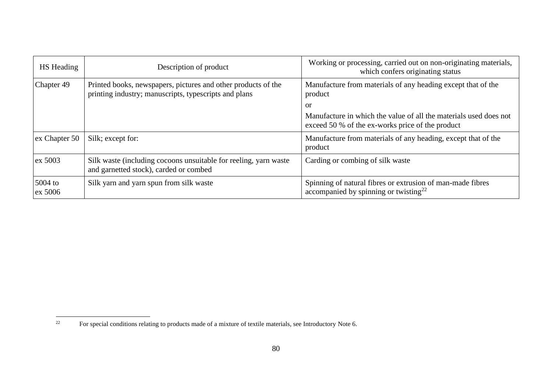| <b>HS</b> Heading    | Description of product                                                                                                 | Working or processing, carried out on non-originating materials,<br>which confers originating status                        |
|----------------------|------------------------------------------------------------------------------------------------------------------------|-----------------------------------------------------------------------------------------------------------------------------|
| Chapter 49           | Printed books, newspapers, pictures and other products of the<br>printing industry; manuscripts, typescripts and plans | Manufacture from materials of any heading except that of the<br>product                                                     |
|                      |                                                                                                                        | or<br>Manufacture in which the value of all the materials used does not<br>exceed 50 % of the ex-works price of the product |
| ex Chapter 50        | Silk; except for:                                                                                                      | Manufacture from materials of any heading, except that of the<br>product                                                    |
| ex 5003              | Silk waste (including cocoons unsuitable for reeling, yarn waste<br>and garnetted stock), carded or combed             | Carding or combing of silk waste                                                                                            |
| $5004$ to<br>ex 5006 | Silk yarn and yarn spun from silk waste                                                                                | Spinning of natural fibres or extrusion of man-made fibres<br>accompanied by spinning or twisting <sup>22</sup>             |

 $22\,$ <sup>22</sup> For special conditions relating to products made of a mixture of textile materials, see Introductory Note 6.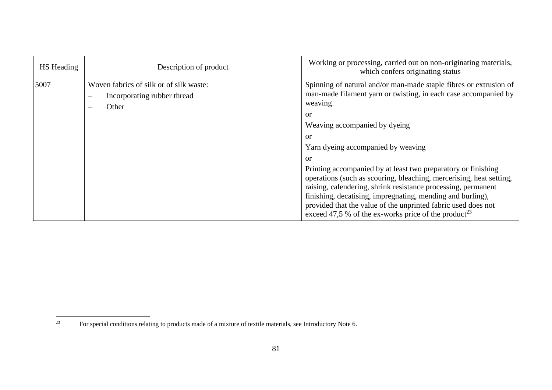| HS Heading | Description of product                                                                                      | Working or processing, carried out on non-originating materials,<br>which confers originating status                                                                                                                                                                                                                                                                                   |
|------------|-------------------------------------------------------------------------------------------------------------|----------------------------------------------------------------------------------------------------------------------------------------------------------------------------------------------------------------------------------------------------------------------------------------------------------------------------------------------------------------------------------------|
| 5007       | Woven fabrics of silk or of silk waste:<br>Incorporating rubber thread<br>Other<br>$\overline{\phantom{0}}$ | Spinning of natural and/or man-made staple fibres or extrusion of<br>man-made filament yarn or twisting, in each case accompanied by<br>weaving<br>$\alpha$<br>Weaving accompanied by dyeing<br>or<br>Yarn dyeing accompanied by weaving<br>or<br>Printing accompanied by at least two preparatory or finishing<br>operations (such as scouring, bleaching, mercerising, heat setting, |
|            |                                                                                                             | raising, calendering, shrink resistance processing, permanent<br>finishing, decatising, impregnating, mending and burling),<br>provided that the value of the unprinted fabric used does not<br>exceed 47,5 % of the ex-works price of the product <sup>23</sup>                                                                                                                       |

<sup>23</sup> <sup>23</sup> For special conditions relating to products made of a mixture of textile materials, see Introductory Note 6.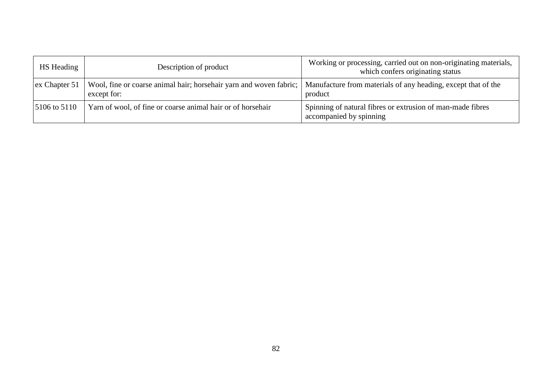| <b>HS</b> Heading | Description of product                                                            | Working or processing, carried out on non-originating materials,<br>which confers originating status |
|-------------------|-----------------------------------------------------------------------------------|------------------------------------------------------------------------------------------------------|
| ex Chapter 51     | Wool, fine or coarse animal hair; horsehair yarn and woven fabric;<br>except for: | Manufacture from materials of any heading, except that of the<br>product                             |
| $15106$ to $5110$ | Yarn of wool, of fine or coarse animal hair or of horsehair                       | Spinning of natural fibres or extrusion of man-made fibres<br>accompanied by spinning                |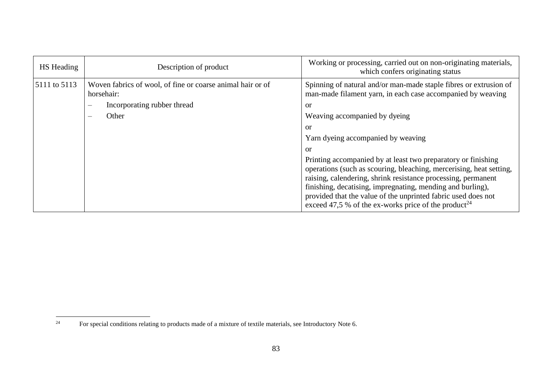| HS Heading   | Description of product                                                   | Working or processing, carried out on non-originating materials,<br>which confers originating status                                                                                                                                                                                                                                                                                                     |
|--------------|--------------------------------------------------------------------------|----------------------------------------------------------------------------------------------------------------------------------------------------------------------------------------------------------------------------------------------------------------------------------------------------------------------------------------------------------------------------------------------------------|
| 5111 to 5113 | Woven fabrics of wool, of fine or coarse animal hair or of<br>horsehair: | Spinning of natural and/or man-made staple fibres or extrusion of<br>man-made filament yarn, in each case accompanied by weaving                                                                                                                                                                                                                                                                         |
|              | Incorporating rubber thread<br>$\overline{\phantom{a}}$                  | or                                                                                                                                                                                                                                                                                                                                                                                                       |
|              | Other<br>$\hspace{0.05cm}$                                               | Weaving accompanied by dyeing                                                                                                                                                                                                                                                                                                                                                                            |
|              |                                                                          | or                                                                                                                                                                                                                                                                                                                                                                                                       |
|              |                                                                          | Yarn dyeing accompanied by weaving                                                                                                                                                                                                                                                                                                                                                                       |
|              |                                                                          | or                                                                                                                                                                                                                                                                                                                                                                                                       |
|              |                                                                          | Printing accompanied by at least two preparatory or finishing<br>operations (such as scouring, bleaching, mercerising, heat setting,<br>raising, calendering, shrink resistance processing, permanent<br>finishing, decatising, impregnating, mending and burling),<br>provided that the value of the unprinted fabric used does not<br>exceed 47,5 % of the ex-works price of the product <sup>24</sup> |

 $24$ <sup>24</sup> For special conditions relating to products made of a mixture of textile materials, see Introductory Note 6.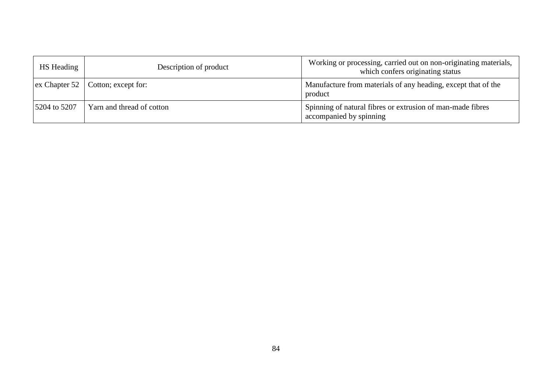| <b>HS</b> Heading | Description of product                            | Working or processing, carried out on non-originating materials,<br>which confers originating status |
|-------------------|---------------------------------------------------|------------------------------------------------------------------------------------------------------|
|                   | $\vert$ ex Chapter 52 $\vert$ Cotton; except for: | Manufacture from materials of any heading, except that of the<br>product                             |
| 5204 to 5207      | Yarn and thread of cotton                         | Spinning of natural fibres or extrusion of man-made fibres<br>accompanied by spinning                |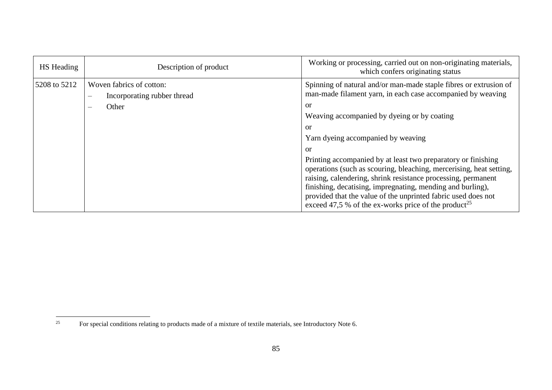| <b>HS</b> Heading | Description of product                                                                                            | Working or processing, carried out on non-originating materials,<br>which confers originating status                                                                                                                                                                                                                                                                                                                                                                                                                                                                                                                                                |
|-------------------|-------------------------------------------------------------------------------------------------------------------|-----------------------------------------------------------------------------------------------------------------------------------------------------------------------------------------------------------------------------------------------------------------------------------------------------------------------------------------------------------------------------------------------------------------------------------------------------------------------------------------------------------------------------------------------------------------------------------------------------------------------------------------------------|
| 5208 to 5212      | Woven fabrics of cotton:<br>Incorporating rubber thread<br>$\overline{\phantom{m}}$<br>Other<br>$\hspace{0.05cm}$ | Spinning of natural and/or man-made staple fibres or extrusion of<br>man-made filament yarn, in each case accompanied by weaving<br>or<br>Weaving accompanied by dyeing or by coating<br>or<br>Yarn dyeing accompanied by weaving<br>or<br>Printing accompanied by at least two preparatory or finishing<br>operations (such as scouring, bleaching, mercerising, heat setting,<br>raising, calendering, shrink resistance processing, permanent<br>finishing, decatising, impregnating, mending and burling),<br>provided that the value of the unprinted fabric used does not<br>exceed 47,5 % of the ex-works price of the product <sup>25</sup> |

 $25\,$ <sup>25</sup> For special conditions relating to products made of a mixture of textile materials, see Introductory Note 6.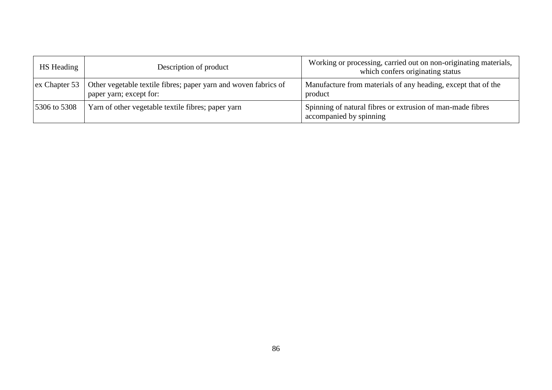| <b>HS</b> Heading | Description of product                                                                     | Working or processing, carried out on non-originating materials,<br>which confers originating status |
|-------------------|--------------------------------------------------------------------------------------------|------------------------------------------------------------------------------------------------------|
| ex Chapter 53     | Other vegetable textile fibres; paper yarn and woven fabrics of<br>paper yarn; except for: | Manufacture from materials of any heading, except that of the<br>product                             |
| 5306 to 5308      | Yarn of other vegetable textile fibres; paper yarn                                         | Spinning of natural fibres or extrusion of man-made fibres<br>accompanied by spinning                |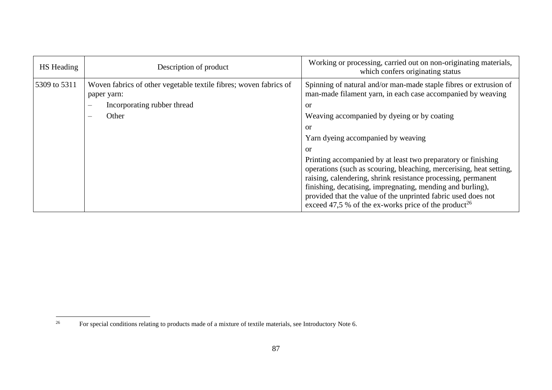| <b>HS</b> Heading | Description of product                                                           | Working or processing, carried out on non-originating materials,<br>which confers originating status                                                                                                                                                                                                                                                                                                     |
|-------------------|----------------------------------------------------------------------------------|----------------------------------------------------------------------------------------------------------------------------------------------------------------------------------------------------------------------------------------------------------------------------------------------------------------------------------------------------------------------------------------------------------|
| 5309 to 5311      | Woven fabrics of other vegetable textile fibres; woven fabrics of<br>paper yarn: | Spinning of natural and/or man-made staple fibres or extrusion of<br>man-made filament yarn, in each case accompanied by weaving                                                                                                                                                                                                                                                                         |
|                   | Incorporating rubber thread<br>$\frac{1}{2}$                                     | or                                                                                                                                                                                                                                                                                                                                                                                                       |
|                   | Other<br>$\overline{\phantom{m}}$                                                | Weaving accompanied by dyeing or by coating                                                                                                                                                                                                                                                                                                                                                              |
|                   |                                                                                  | or                                                                                                                                                                                                                                                                                                                                                                                                       |
|                   |                                                                                  | Yarn dyeing accompanied by weaving                                                                                                                                                                                                                                                                                                                                                                       |
|                   |                                                                                  | or                                                                                                                                                                                                                                                                                                                                                                                                       |
|                   |                                                                                  | Printing accompanied by at least two preparatory or finishing<br>operations (such as scouring, bleaching, mercerising, heat setting,<br>raising, calendering, shrink resistance processing, permanent<br>finishing, decatising, impregnating, mending and burling),<br>provided that the value of the unprinted fabric used does not<br>exceed 47,5 % of the ex-works price of the product <sup>26</sup> |

 $26\,$ <sup>26</sup> For special conditions relating to products made of a mixture of textile materials, see Introductory Note 6.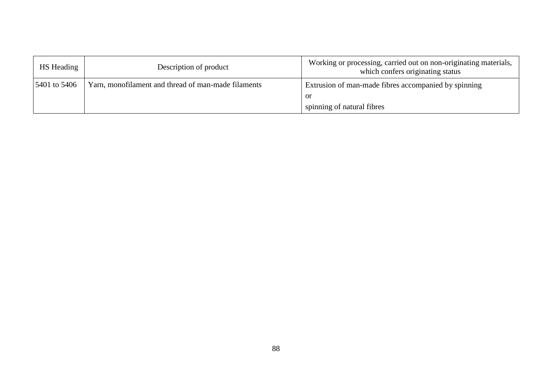| HS Heading   | Description of product                              | Working or processing, carried out on non-originating materials,<br>which confers originating status |
|--------------|-----------------------------------------------------|------------------------------------------------------------------------------------------------------|
| 5401 to 5406 | Yarn, monofilament and thread of man-made filaments | Extrusion of man-made fibres accompanied by spinning                                                 |
|              |                                                     | or                                                                                                   |
|              |                                                     | spinning of natural fibres                                                                           |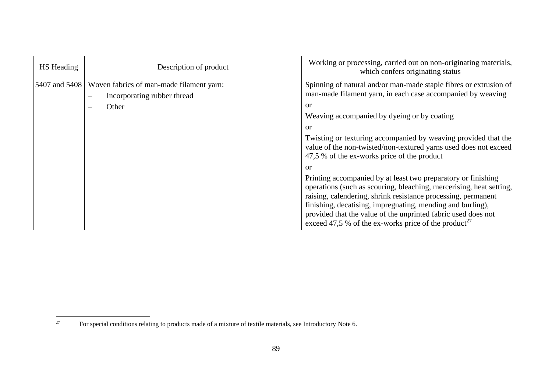| HS Heading    | Description of product                                                                                       | Working or processing, carried out on non-originating materials,<br>which confers originating status                                                                                                                                                                                                                                                                                                                                                                                                                                                                                                                                                                                                                                                                                               |
|---------------|--------------------------------------------------------------------------------------------------------------|----------------------------------------------------------------------------------------------------------------------------------------------------------------------------------------------------------------------------------------------------------------------------------------------------------------------------------------------------------------------------------------------------------------------------------------------------------------------------------------------------------------------------------------------------------------------------------------------------------------------------------------------------------------------------------------------------------------------------------------------------------------------------------------------------|
| 5407 and 5408 | Woven fabrics of man-made filament yarn:<br>Incorporating rubber thread<br>$\overline{\phantom{m}}$<br>Other | Spinning of natural and/or man-made staple fibres or extrusion of<br>man-made filament yarn, in each case accompanied by weaving<br>or<br>Weaving accompanied by dyeing or by coating<br>or<br>Twisting or texturing accompanied by weaving provided that the<br>value of the non-twisted/non-textured yarns used does not exceed<br>47,5 % of the ex-works price of the product<br>or<br>Printing accompanied by at least two preparatory or finishing<br>operations (such as scouring, bleaching, mercerising, heat setting,<br>raising, calendering, shrink resistance processing, permanent<br>finishing, decatising, impregnating, mending and burling),<br>provided that the value of the unprinted fabric used does not<br>exceed 47,5 % of the ex-works price of the product <sup>27</sup> |

 $27\,$ <sup>27</sup> For special conditions relating to products made of a mixture of textile materials, see Introductory Note 6.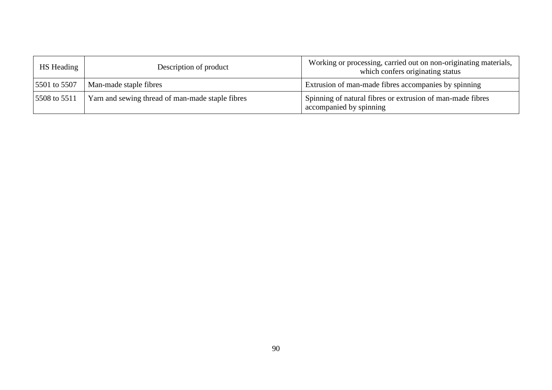| <b>HS</b> Heading | Description of product                           | Working or processing, carried out on non-originating materials,<br>which confers originating status |
|-------------------|--------------------------------------------------|------------------------------------------------------------------------------------------------------|
| 5501 to 5507      | Man-made staple fibres                           | Extrusion of man-made fibres accompanies by spinning                                                 |
| 5508 to 5511      | Yarn and sewing thread of man-made staple fibres | Spinning of natural fibres or extrusion of man-made fibres<br>accompanied by spinning                |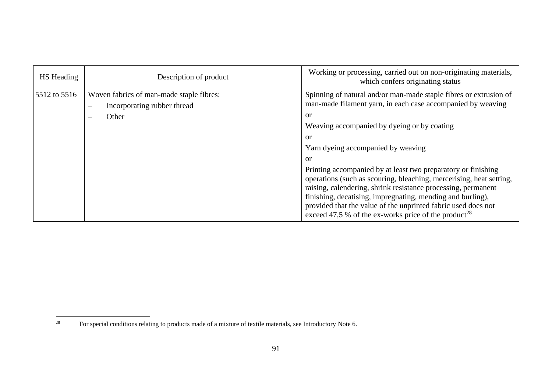| <b>HS</b> Heading | Description of product                                                                                                                   | Working or processing, carried out on non-originating materials,<br>which confers originating status                                                                                                                                                                                                                                                                                                                                             |
|-------------------|------------------------------------------------------------------------------------------------------------------------------------------|--------------------------------------------------------------------------------------------------------------------------------------------------------------------------------------------------------------------------------------------------------------------------------------------------------------------------------------------------------------------------------------------------------------------------------------------------|
| 5512 to 5516      | Woven fabrics of man-made staple fibres:<br>Incorporating rubber thread<br>$\overline{\phantom{m}}$<br>Other<br>$\overline{\phantom{m}}$ | Spinning of natural and/or man-made staple fibres or extrusion of<br>man-made filament yarn, in each case accompanied by weaving<br>or<br>Weaving accompanied by dyeing or by coating<br>or<br>Yarn dyeing accompanied by weaving<br>or<br>Printing accompanied by at least two preparatory or finishing<br>operations (such as scouring, bleaching, mercerising, heat setting,<br>raising, calendering, shrink resistance processing, permanent |
|                   |                                                                                                                                          | finishing, decatising, impregnating, mending and burling),<br>provided that the value of the unprinted fabric used does not<br>exceed 47,5 % of the ex-works price of the product <sup>28</sup>                                                                                                                                                                                                                                                  |

 $28\,$ <sup>28</sup> For special conditions relating to products made of a mixture of textile materials, see Introductory Note 6.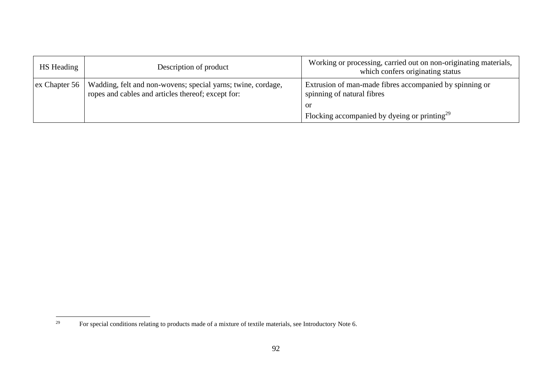| <b>HS</b> Heading             | Description of product                                                                                             | Working or processing, carried out on non-originating materials,<br>which confers originating status |
|-------------------------------|--------------------------------------------------------------------------------------------------------------------|------------------------------------------------------------------------------------------------------|
| $\vert$ ex Chapter 56 $\vert$ | Wadding, felt and non-wovens; special yarns; twine, cordage,<br>ropes and cables and articles thereof; except for: | Extrusion of man-made fibres accompanied by spinning or<br>spinning of natural fibres                |
|                               |                                                                                                                    | <sub>or</sub>                                                                                        |
|                               |                                                                                                                    | Flocking accompanied by dyeing or printing <sup>29</sup>                                             |

<sup>29</sup> <sup>29</sup> For special conditions relating to products made of a mixture of textile materials, see Introductory Note 6.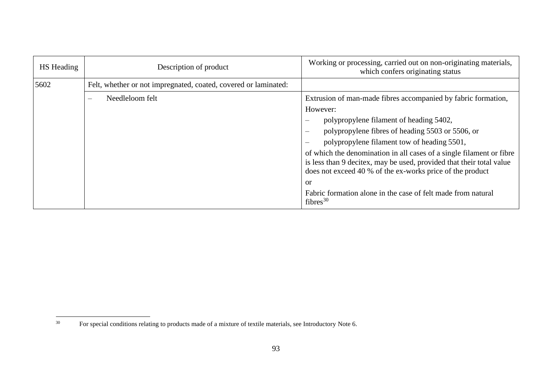| HS Heading | Description of product                                          | Working or processing, carried out on non-originating materials,<br>which confers originating status                                                                                                                                                                                                                                                                                                                                                                                                                               |
|------------|-----------------------------------------------------------------|------------------------------------------------------------------------------------------------------------------------------------------------------------------------------------------------------------------------------------------------------------------------------------------------------------------------------------------------------------------------------------------------------------------------------------------------------------------------------------------------------------------------------------|
| 5602       | Felt, whether or not impregnated, coated, covered or laminated: |                                                                                                                                                                                                                                                                                                                                                                                                                                                                                                                                    |
|            | Needleloom felt                                                 | Extrusion of man-made fibres accompanied by fabric formation,<br>However:<br>polypropylene filament of heading 5402,<br>polypropylene fibres of heading 5503 or 5506, or<br>polypropylene filament tow of heading 5501,<br>of which the denomination in all cases of a single filament or fibre<br>is less than 9 decitex, may be used, provided that their total value<br>does not exceed 40 % of the ex-works price of the product<br>or<br>Fabric formation alone in the case of felt made from natural<br>fibres <sup>30</sup> |

 $30\,$ <sup>30</sup> For special conditions relating to products made of a mixture of textile materials, see Introductory Note 6.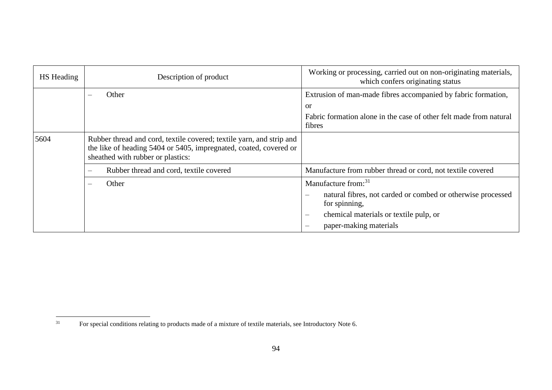| <b>HS</b> Heading | Description of product                                                                                                                                                         | Working or processing, carried out on non-originating materials,<br>which confers originating status                                                                                                                                        |
|-------------------|--------------------------------------------------------------------------------------------------------------------------------------------------------------------------------|---------------------------------------------------------------------------------------------------------------------------------------------------------------------------------------------------------------------------------------------|
|                   | Other                                                                                                                                                                          | Extrusion of man-made fibres accompanied by fabric formation,<br><b>or</b><br>Fabric formation alone in the case of other felt made from natural<br>fibres                                                                                  |
| 5604              | Rubber thread and cord, textile covered; textile yarn, and strip and<br>the like of heading 5404 or 5405, impregnated, coated, covered or<br>sheathed with rubber or plastics: |                                                                                                                                                                                                                                             |
|                   | Rubber thread and cord, textile covered<br>$\overline{\phantom{m}}$                                                                                                            | Manufacture from rubber thread or cord, not textile covered                                                                                                                                                                                 |
|                   | Other<br>$\hspace{0.05cm}$                                                                                                                                                     | Manufacture from: <sup>31</sup><br>natural fibres, not carded or combed or otherwise processed<br>$\overline{\phantom{m}}$<br>for spinning,<br>chemical materials or textile pulp, or<br>$\overline{\phantom{m}}$<br>paper-making materials |

 $31$ <sup>31</sup> For special conditions relating to products made of a mixture of textile materials, see Introductory Note 6.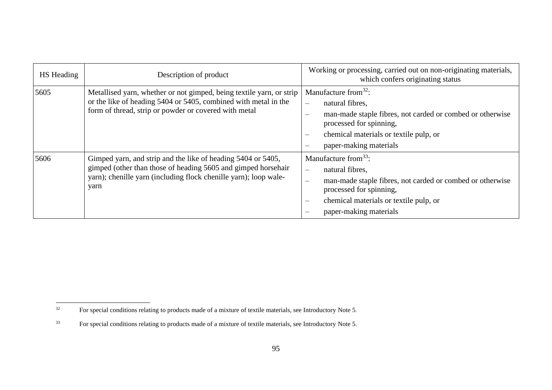| HS Heading | Description of product                                                                                                                                                                                    | Working or processing, carried out on non-originating materials,<br>which confers originating status                                                                                                                                                                                |
|------------|-----------------------------------------------------------------------------------------------------------------------------------------------------------------------------------------------------------|-------------------------------------------------------------------------------------------------------------------------------------------------------------------------------------------------------------------------------------------------------------------------------------|
| 5605       | Metallised yarn, whether or not gimped, being textile yarn, or strip<br>or the like of heading 5404 or 5405, combined with metal in the<br>form of thread, strip or powder or covered with metal          | Manufacture from $32$ :<br>natural fibres,<br>$\qquad \qquad -$<br>man-made staple fibres, not carded or combed or otherwise<br>$\qquad \qquad$<br>processed for spinning,<br>chemical materials or textile pulp, or<br>$\equiv$<br>paper-making materials<br>$\hspace{0.05cm}$     |
| 5606       | Gimped yarn, and strip and the like of heading 5404 or 5405,<br>gimped (other than those of heading 5605 and gimped horsehair<br>yarn); chenille yarn (including flock chenille yarn); loop wale-<br>yarn | Manufacture from $33$ :<br>natural fibres,<br>$\qquad \qquad -$<br>man-made staple fibres, not carded or combed or otherwise<br>$\overline{\phantom{m}}$<br>processed for spinning,<br>chemical materials or textile pulp, or<br>$\overline{\phantom{m}}$<br>paper-making materials |

 $32$ <sup>32</sup> For special conditions relating to products made of a mixture of textile materials, see Introductory Note 5.

<sup>33</sup> For special conditions relating to products made of a mixture of textile materials, see Introductory Note 5.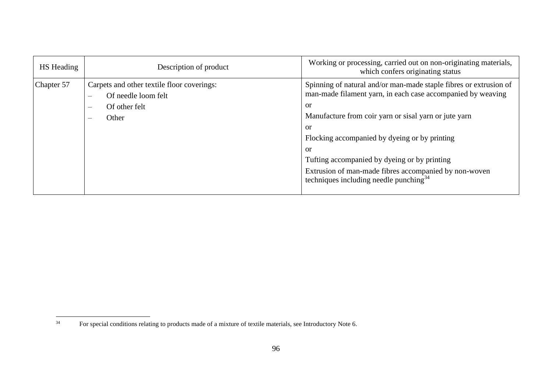| <b>HS</b> Heading | Description of product                                                                                                                              | Working or processing, carried out on non-originating materials,<br>which confers originating status                                                                                                                                                                                                                                                                                                                                                |
|-------------------|-----------------------------------------------------------------------------------------------------------------------------------------------------|-----------------------------------------------------------------------------------------------------------------------------------------------------------------------------------------------------------------------------------------------------------------------------------------------------------------------------------------------------------------------------------------------------------------------------------------------------|
| Chapter 57        | Carpets and other textile floor coverings:<br>Of needle loom felt<br>Of other felt<br>$\overline{\phantom{m}}$<br>Other<br>$\overline{\phantom{a}}$ | Spinning of natural and/or man-made staple fibres or extrusion of<br>man-made filament yarn, in each case accompanied by weaving<br><sub>or</sub><br>Manufacture from coir yarn or sisal yarn or jute yarn<br><sub>or</sub><br>Flocking accompanied by dyeing or by printing<br><sub>or</sub><br>Tufting accompanied by dyeing or by printing<br>Extrusion of man-made fibres accompanied by non-woven<br>techniques including needle punching $34$ |

 $34$ <sup>34</sup> For special conditions relating to products made of a mixture of textile materials, see Introductory Note 6.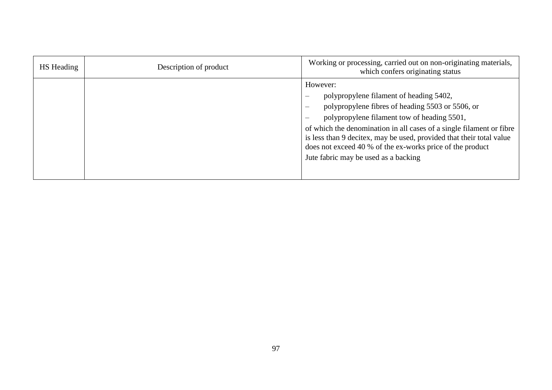| HS Heading | Description of product | Working or processing, carried out on non-originating materials,<br>which confers originating status                                                                                                                                                                                                                                                                                                                                                                |
|------------|------------------------|---------------------------------------------------------------------------------------------------------------------------------------------------------------------------------------------------------------------------------------------------------------------------------------------------------------------------------------------------------------------------------------------------------------------------------------------------------------------|
|            |                        | However:<br>polypropylene filament of heading 5402,<br>polypropylene fibres of heading 5503 or 5506, or<br>$\overline{\phantom{a}}$<br>polypropylene filament tow of heading 5501,<br>$\overline{\phantom{a}}$<br>of which the denomination in all cases of a single filament or fibre<br>is less than 9 decitex, may be used, provided that their total value<br>does not exceed 40 % of the ex-works price of the product<br>Jute fabric may be used as a backing |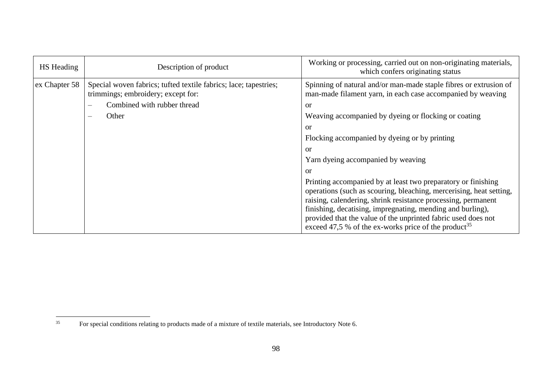| <b>HS</b> Heading | Description of product                                                                                                                                            | Working or processing, carried out on non-originating materials,<br>which confers originating status                                                                                                                                                                                                                                                                                                                                                                                                                                                                                                                                                                                                                            |
|-------------------|-------------------------------------------------------------------------------------------------------------------------------------------------------------------|---------------------------------------------------------------------------------------------------------------------------------------------------------------------------------------------------------------------------------------------------------------------------------------------------------------------------------------------------------------------------------------------------------------------------------------------------------------------------------------------------------------------------------------------------------------------------------------------------------------------------------------------------------------------------------------------------------------------------------|
| ex Chapter 58     | Special woven fabrics; tufted textile fabrics; lace; tapestries;<br>trimmings; embroidery; except for:<br>Combined with rubber thread<br>Other<br>$\qquad \qquad$ | Spinning of natural and/or man-made staple fibres or extrusion of<br>man-made filament yarn, in each case accompanied by weaving<br>$\alpha$<br>Weaving accompanied by dyeing or flocking or coating<br>or<br>Flocking accompanied by dyeing or by printing<br>$\alpha$<br>Yarn dyeing accompanied by weaving<br>or<br>Printing accompanied by at least two preparatory or finishing<br>operations (such as scouring, bleaching, mercerising, heat setting,<br>raising, calendering, shrink resistance processing, permanent<br>finishing, decatising, impregnating, mending and burling),<br>provided that the value of the unprinted fabric used does not<br>exceed 47,5 % of the ex-works price of the product <sup>35</sup> |

 $35$ <sup>35</sup> For special conditions relating to products made of a mixture of textile materials, see Introductory Note 6.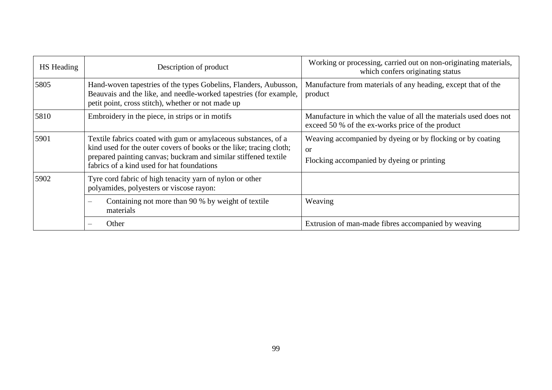| HS Heading | Description of product                                                                                                                                                                                                                                 | Working or processing, carried out on non-originating materials,<br>which confers originating status                  |
|------------|--------------------------------------------------------------------------------------------------------------------------------------------------------------------------------------------------------------------------------------------------------|-----------------------------------------------------------------------------------------------------------------------|
| 5805       | Hand-woven tapestries of the types Gobelins, Flanders, Aubusson,<br>Beauvais and the like, and needle-worked tapestries (for example,<br>petit point, cross stitch), whether or not made up                                                            | Manufacture from materials of any heading, except that of the<br>product                                              |
| 5810       | Embroidery in the piece, in strips or in motifs                                                                                                                                                                                                        | Manufacture in which the value of all the materials used does not<br>exceed 50 % of the ex-works price of the product |
| 5901       | Textile fabrics coated with gum or amylaceous substances, of a<br>kind used for the outer covers of books or the like; tracing cloth;<br>prepared painting canvas; buckram and similar stiffened textile<br>fabrics of a kind used for hat foundations | Weaving accompanied by dyeing or by flocking or by coating<br><b>or</b><br>Flocking accompanied by dyeing or printing |
| 5902       | Tyre cord fabric of high tenacity yarn of nylon or other<br>polyamides, polyesters or viscose rayon:                                                                                                                                                   |                                                                                                                       |
|            | Containing not more than 90 % by weight of textile<br>materials                                                                                                                                                                                        | Weaving                                                                                                               |
|            | Other                                                                                                                                                                                                                                                  | Extrusion of man-made fibres accompanied by weaving                                                                   |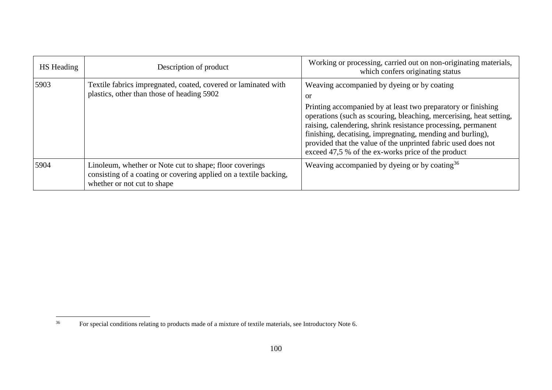| <b>HS</b> Heading | Description of product                                                                                                                                      | Working or processing, carried out on non-originating materials,<br>which confers originating status                                                                                                                                                                                                                                                                                                                                                   |
|-------------------|-------------------------------------------------------------------------------------------------------------------------------------------------------------|--------------------------------------------------------------------------------------------------------------------------------------------------------------------------------------------------------------------------------------------------------------------------------------------------------------------------------------------------------------------------------------------------------------------------------------------------------|
| 5903              | Textile fabrics impregnated, coated, covered or laminated with<br>plastics, other than those of heading 5902                                                | Weaving accompanied by dyeing or by coating<br><b>or</b><br>Printing accompanied by at least two preparatory or finishing<br>operations (such as scouring, bleaching, mercerising, heat setting,<br>raising, calendering, shrink resistance processing, permanent<br>finishing, decatising, impregnating, mending and burling),<br>provided that the value of the unprinted fabric used does not<br>exceed 47,5 % of the ex-works price of the product |
| 5904              | Linoleum, whether or Note cut to shape; floor coverings<br>consisting of a coating or covering applied on a textile backing,<br>whether or not cut to shape | Weaving accompanied by dyeing or by coating <sup>36</sup>                                                                                                                                                                                                                                                                                                                                                                                              |

 $36\,$ <sup>36</sup> For special conditions relating to products made of a mixture of textile materials, see Introductory Note 6.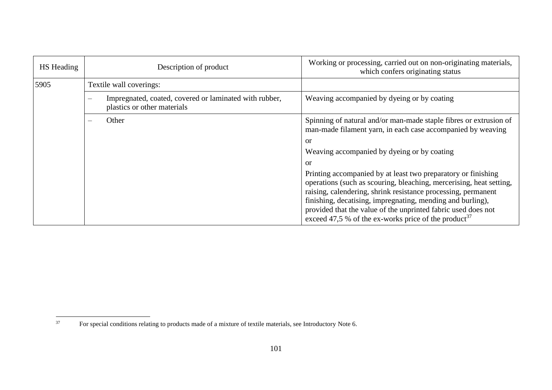| HS Heading | Description of product                                                                | Working or processing, carried out on non-originating materials,<br>which confers originating status                                                                                                                                                                                                                                                                                                     |
|------------|---------------------------------------------------------------------------------------|----------------------------------------------------------------------------------------------------------------------------------------------------------------------------------------------------------------------------------------------------------------------------------------------------------------------------------------------------------------------------------------------------------|
| 5905       | Textile wall coverings:                                                               |                                                                                                                                                                                                                                                                                                                                                                                                          |
|            | Impregnated, coated, covered or laminated with rubber,<br>plastics or other materials | Weaving accompanied by dyeing or by coating                                                                                                                                                                                                                                                                                                                                                              |
|            | Other<br>$\equiv$                                                                     | Spinning of natural and/or man-made staple fibres or extrusion of<br>man-made filament yarn, in each case accompanied by weaving                                                                                                                                                                                                                                                                         |
|            |                                                                                       | or                                                                                                                                                                                                                                                                                                                                                                                                       |
|            |                                                                                       | Weaving accompanied by dyeing or by coating                                                                                                                                                                                                                                                                                                                                                              |
|            |                                                                                       | or                                                                                                                                                                                                                                                                                                                                                                                                       |
|            |                                                                                       | Printing accompanied by at least two preparatory or finishing<br>operations (such as scouring, bleaching, mercerising, heat setting,<br>raising, calendering, shrink resistance processing, permanent<br>finishing, decatising, impregnating, mending and burling),<br>provided that the value of the unprinted fabric used does not<br>exceed 47,5 % of the ex-works price of the product <sup>37</sup> |

 $37$ <sup>37</sup> For special conditions relating to products made of a mixture of textile materials, see Introductory Note 6.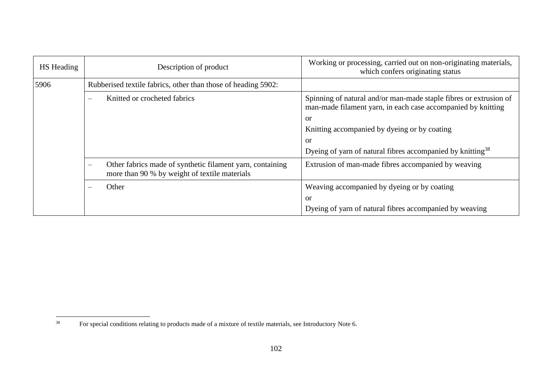| HS Heading | Description of product                                                                                                                 | Working or processing, carried out on non-originating materials,<br>which confers originating status                              |
|------------|----------------------------------------------------------------------------------------------------------------------------------------|-----------------------------------------------------------------------------------------------------------------------------------|
| 5906       | Rubberised textile fabrics, other than those of heading 5902:                                                                          |                                                                                                                                   |
|            | Knitted or crocheted fabrics<br>$\overline{\phantom{m}}$                                                                               | Spinning of natural and/or man-made staple fibres or extrusion of<br>man-made filament yarn, in each case accompanied by knitting |
|            |                                                                                                                                        | <b>or</b>                                                                                                                         |
|            |                                                                                                                                        | Knitting accompanied by dyeing or by coating                                                                                      |
|            |                                                                                                                                        | <b>or</b>                                                                                                                         |
|            |                                                                                                                                        | Dyeing of yarn of natural fibres accompanied by knitting <sup>38</sup>                                                            |
|            | Other fabrics made of synthetic filament yarn, containing<br>$\overline{\phantom{m}}$<br>more than 90 % by weight of textile materials | Extrusion of man-made fibres accompanied by weaving                                                                               |
|            | Other<br>$\overline{\phantom{m}}$                                                                                                      | Weaving accompanied by dyeing or by coating                                                                                       |
|            |                                                                                                                                        | or                                                                                                                                |
|            |                                                                                                                                        | Dyeing of yarn of natural fibres accompanied by weaving                                                                           |

<sup>38</sup> <sup>38</sup> For special conditions relating to products made of a mixture of textile materials, see Introductory Note 6.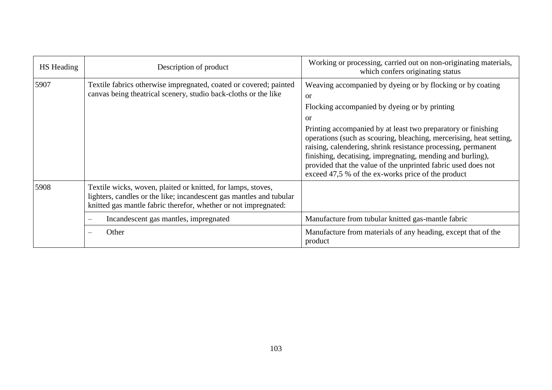| <b>HS</b> Heading | Description of product                                                                                                                                                                                 | Working or processing, carried out on non-originating materials,<br>which confers originating status                                                                                                                                                                                                                                                                                                                                                                                                                                        |
|-------------------|--------------------------------------------------------------------------------------------------------------------------------------------------------------------------------------------------------|---------------------------------------------------------------------------------------------------------------------------------------------------------------------------------------------------------------------------------------------------------------------------------------------------------------------------------------------------------------------------------------------------------------------------------------------------------------------------------------------------------------------------------------------|
| 5907              | Textile fabrics otherwise impregnated, coated or covered; painted<br>canvas being the atrical scenery, studio back-cloths or the like                                                                  | Weaving accompanied by dyeing or by flocking or by coating<br><sub>or</sub><br>Flocking accompanied by dyeing or by printing<br><sub>or</sub><br>Printing accompanied by at least two preparatory or finishing<br>operations (such as scouring, bleaching, mercerising, heat setting,<br>raising, calendering, shrink resistance processing, permanent<br>finishing, decatising, impregnating, mending and burling),<br>provided that the value of the unprinted fabric used does not<br>exceed 47,5 % of the ex-works price of the product |
| 5908              | Textile wicks, woven, plaited or knitted, for lamps, stoves,<br>lighters, candles or the like; incandescent gas mantles and tubular<br>knitted gas mantle fabric therefor, whether or not impregnated: |                                                                                                                                                                                                                                                                                                                                                                                                                                                                                                                                             |
|                   | Incandescent gas mantles, impregnated<br>$\qquad \qquad$                                                                                                                                               | Manufacture from tubular knitted gas-mantle fabric                                                                                                                                                                                                                                                                                                                                                                                                                                                                                          |
|                   | Other<br>$\overline{\phantom{m}}$                                                                                                                                                                      | Manufacture from materials of any heading, except that of the<br>product                                                                                                                                                                                                                                                                                                                                                                                                                                                                    |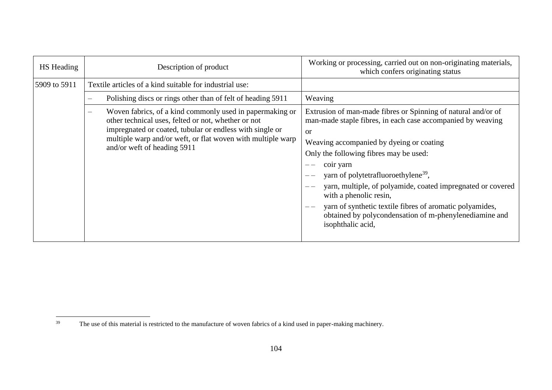| <b>HS</b> Heading | Description of product                                                                                                                                                                                                                                                    | Working or processing, carried out on non-originating materials,<br>which confers originating status                                                                                                                                                                                                                                                                                                                                                                                                                                |
|-------------------|---------------------------------------------------------------------------------------------------------------------------------------------------------------------------------------------------------------------------------------------------------------------------|-------------------------------------------------------------------------------------------------------------------------------------------------------------------------------------------------------------------------------------------------------------------------------------------------------------------------------------------------------------------------------------------------------------------------------------------------------------------------------------------------------------------------------------|
| 5909 to 5911      | Textile articles of a kind suitable for industrial use:                                                                                                                                                                                                                   |                                                                                                                                                                                                                                                                                                                                                                                                                                                                                                                                     |
|                   | Polishing discs or rings other than of felt of heading 5911                                                                                                                                                                                                               | Weaving                                                                                                                                                                                                                                                                                                                                                                                                                                                                                                                             |
|                   | Woven fabrics, of a kind commonly used in papermaking or<br>other technical uses, felted or not, whether or not<br>impregnated or coated, tubular or endless with single or<br>multiple warp and/or weft, or flat woven with multiple warp<br>and/or weft of heading 5911 | Extrusion of man-made fibres or Spinning of natural and/or of<br>man-made staple fibres, in each case accompanied by weaving<br><b>or</b><br>Weaving accompanied by dyeing or coating<br>Only the following fibres may be used:<br>coir yarn<br>yarn of polytetrafluoroethylene <sup>39</sup> ,<br>yarn, multiple, of polyamide, coated impregnated or covered<br>with a phenolic resin,<br>yarn of synthetic textile fibres of aromatic polyamides,<br>obtained by polycondensation of m-phenylenediamine and<br>isophthalic acid, |

<sup>39</sup> The use of this material is restricted to the manufacture of woven fabrics of a kind used in paper-making machinery.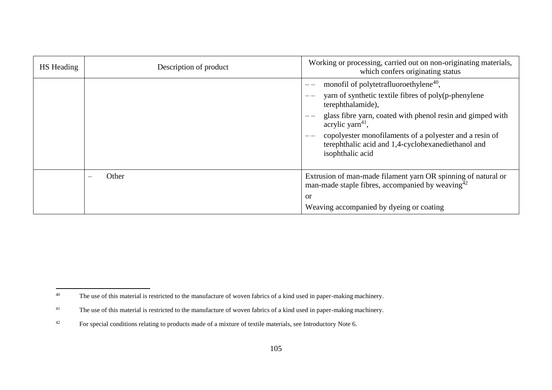| HS Heading | Description of product | Working or processing, carried out on non-originating materials,<br>which confers originating status                                                                                                                                                                                                                                                             |
|------------|------------------------|------------------------------------------------------------------------------------------------------------------------------------------------------------------------------------------------------------------------------------------------------------------------------------------------------------------------------------------------------------------|
|            |                        | monofil of polytetrafluoroethylene <sup>40</sup> ,<br>yarn of synthetic textile fibres of poly(p-phenylene<br>terephthalamide),<br>glass fibre yarn, coated with phenol resin and gimped with<br>— -<br>acrylic yarn $41$ ,<br>copolyester monofilaments of a polyester and a resin of<br>terephthalic acid and 1,4-cyclohexanediethanol and<br>isophthalic acid |
|            | Other<br>$\frac{1}{2}$ | Extrusion of man-made filament yarn OR spinning of natural or<br>man-made staple fibres, accompanied by weaving $42$<br><sub>or</sub><br>Weaving accompanied by dyeing or coating                                                                                                                                                                                |

 $40\,$ The use of this material is restricted to the manufacture of woven fabrics of a kind used in paper-making machinery.

<sup>&</sup>lt;sup>41</sup> The use of this material is restricted to the manufacture of woven fabrics of a kind used in paper-making machinery.

<sup>42</sup> For special conditions relating to products made of a mixture of textile materials, see Introductory Note 6.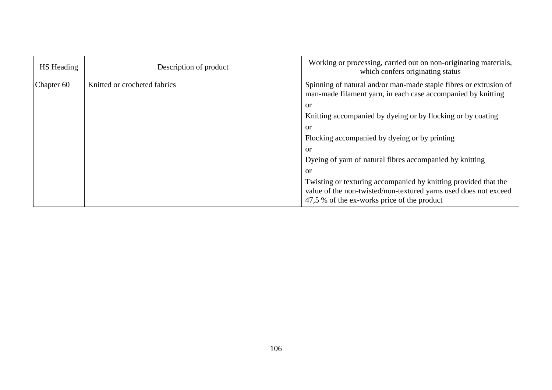| HS Heading            | Description of product       | Working or processing, carried out on non-originating materials,<br>which confers originating status                                                                               |
|-----------------------|------------------------------|------------------------------------------------------------------------------------------------------------------------------------------------------------------------------------|
| Chapter <sub>60</sub> | Knitted or crocheted fabrics | Spinning of natural and/or man-made staple fibres or extrusion of<br>man-made filament yarn, in each case accompanied by knitting                                                  |
|                       |                              | or                                                                                                                                                                                 |
|                       |                              | Knitting accompanied by dyeing or by flocking or by coating                                                                                                                        |
|                       |                              | or                                                                                                                                                                                 |
|                       |                              | Flocking accompanied by dyeing or by printing                                                                                                                                      |
|                       |                              | or                                                                                                                                                                                 |
|                       |                              | Dyeing of yarn of natural fibres accompanied by knitting                                                                                                                           |
|                       |                              | or                                                                                                                                                                                 |
|                       |                              | Twisting or texturing accompanied by knitting provided that the<br>value of the non-twisted/non-textured yarns used does not exceed<br>47,5 % of the ex-works price of the product |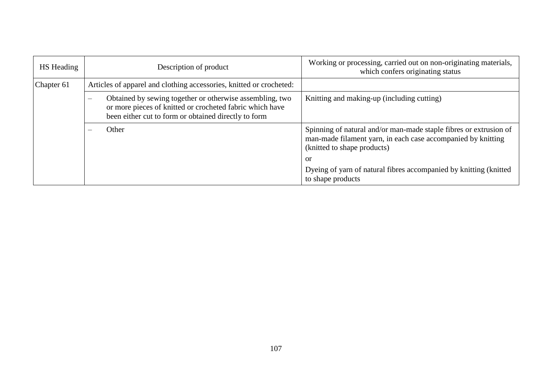| HS Heading | Description of product                                                                                                                                                                                   | Working or processing, carried out on non-originating materials,<br>which confers originating status                                                             |
|------------|----------------------------------------------------------------------------------------------------------------------------------------------------------------------------------------------------------|------------------------------------------------------------------------------------------------------------------------------------------------------------------|
| Chapter 61 | Articles of apparel and clothing accessories, knitted or crocheted:                                                                                                                                      |                                                                                                                                                                  |
|            | Obtained by sewing together or otherwise assembling, two<br>$\overline{\phantom{a}}$<br>or more pieces of knitted or crocheted fabric which have<br>been either cut to form or obtained directly to form | Knitting and making-up (including cutting)                                                                                                                       |
|            | Other                                                                                                                                                                                                    | Spinning of natural and/or man-made staple fibres or extrusion of<br>man-made filament yarn, in each case accompanied by knitting<br>(knitted to shape products) |
|            |                                                                                                                                                                                                          | or                                                                                                                                                               |
|            |                                                                                                                                                                                                          | Dyeing of yarn of natural fibres accompanied by knitting (knitted<br>to shape products                                                                           |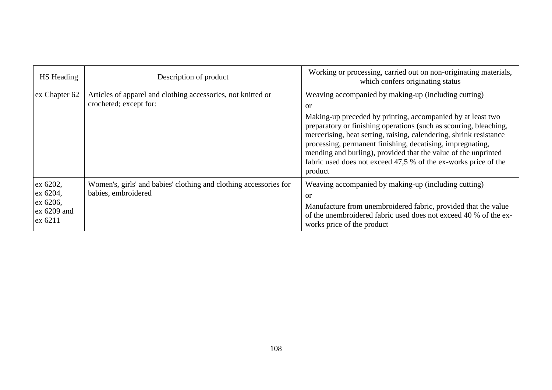| HS Heading                                                   | Description of product                                                                   | Working or processing, carried out on non-originating materials,<br>which confers originating status                                                                                                                                                                                                                                                                                                                                                                               |
|--------------------------------------------------------------|------------------------------------------------------------------------------------------|------------------------------------------------------------------------------------------------------------------------------------------------------------------------------------------------------------------------------------------------------------------------------------------------------------------------------------------------------------------------------------------------------------------------------------------------------------------------------------|
| ex Chapter 62                                                | Articles of apparel and clothing accessories, not knitted or<br>crocheted; except for:   | Weaving accompanied by making-up (including cutting)<br>or<br>Making-up preceded by printing, accompanied by at least two<br>preparatory or finishing operations (such as scouring, bleaching,<br>mercerising, heat setting, raising, calendering, shrink resistance<br>processing, permanent finishing, decatising, impregnating,<br>mending and burling), provided that the value of the unprinted<br>fabric used does not exceed 47,5 % of the ex-works price of the<br>product |
| ex 6202,<br>ex 6204,<br>ex 6206,<br>$ex 6209$ and<br>ex 6211 | Women's, girls' and babies' clothing and clothing accessories for<br>babies, embroidered | Weaving accompanied by making-up (including cutting)<br>or<br>Manufacture from unembroidered fabric, provided that the value<br>of the unembroidered fabric used does not exceed 40 % of the ex-<br>works price of the product                                                                                                                                                                                                                                                     |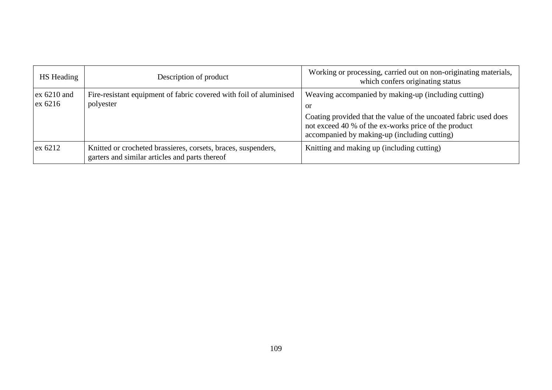| HS Heading               | Description of product                                                                                          | Working or processing, carried out on non-originating materials,<br>which confers originating status                                                                                                                                   |
|--------------------------|-----------------------------------------------------------------------------------------------------------------|----------------------------------------------------------------------------------------------------------------------------------------------------------------------------------------------------------------------------------------|
| $ex 6210$ and<br>ex 6216 | Fire-resistant equipment of fabric covered with foil of aluminised<br>polyester                                 | Weaving accompanied by making-up (including cutting)<br>or<br>Coating provided that the value of the uncoated fabric used does<br>not exceed 40 % of the ex-works price of the product<br>accompanied by making-up (including cutting) |
| ex 6212                  | Knitted or crocheted brassieres, corsets, braces, suspenders,<br>garters and similar articles and parts thereof | Knitting and making up (including cutting)                                                                                                                                                                                             |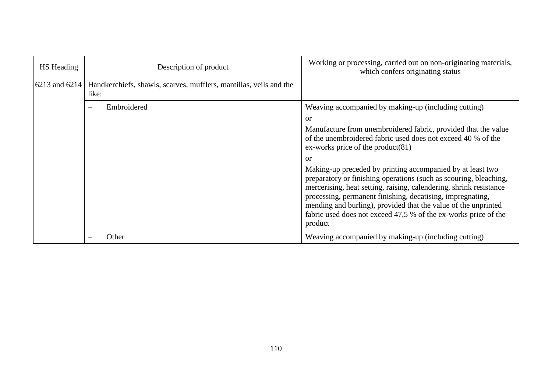| HS Heading    | Description of product                                                      | Working or processing, carried out on non-originating materials,<br>which confers originating status                                                                                                                                                                                                                                                                                                                      |
|---------------|-----------------------------------------------------------------------------|---------------------------------------------------------------------------------------------------------------------------------------------------------------------------------------------------------------------------------------------------------------------------------------------------------------------------------------------------------------------------------------------------------------------------|
| 6213 and 6214 | Handkerchiefs, shawls, scarves, mufflers, mantillas, veils and the<br>like: |                                                                                                                                                                                                                                                                                                                                                                                                                           |
|               | Embroidered<br>$\equiv$                                                     | Weaving accompanied by making-up (including cutting)                                                                                                                                                                                                                                                                                                                                                                      |
|               |                                                                             | <b>or</b><br>Manufacture from unembroidered fabric, provided that the value<br>of the unembroidered fabric used does not exceed 40 % of the<br>ex-works price of the product $(81)$                                                                                                                                                                                                                                       |
|               |                                                                             | or<br>Making-up preceded by printing accompanied by at least two<br>preparatory or finishing operations (such as scouring, bleaching,<br>mercerising, heat setting, raising, calendering, shrink resistance<br>processing, permanent finishing, decatising, impregnating,<br>mending and burling), provided that the value of the unprinted<br>fabric used does not exceed 47,5 % of the ex-works price of the<br>product |
|               | Other                                                                       | Weaving accompanied by making-up (including cutting)                                                                                                                                                                                                                                                                                                                                                                      |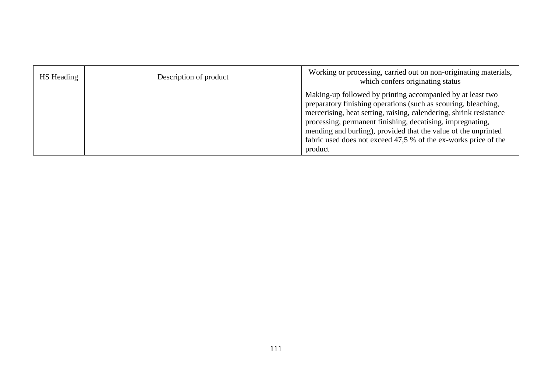| <b>HS</b> Heading | Description of product | Working or processing, carried out on non-originating materials,<br>which confers originating status                                                                                                                                                                                                                                                                                                             |
|-------------------|------------------------|------------------------------------------------------------------------------------------------------------------------------------------------------------------------------------------------------------------------------------------------------------------------------------------------------------------------------------------------------------------------------------------------------------------|
|                   |                        | Making-up followed by printing accompanied by at least two<br>preparatory finishing operations (such as scouring, bleaching,<br>mercerising, heat setting, raising, calendering, shrink resistance<br>processing, permanent finishing, decatising, impregnating,<br>mending and burling), provided that the value of the unprinted<br>fabric used does not exceed 47,5 % of the ex-works price of the<br>product |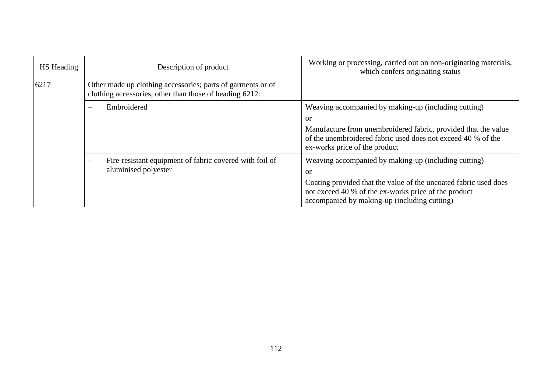| HS Heading | Description of product                                                                                                 | Working or processing, carried out on non-originating materials,<br>which confers originating status                                                                                                                                              |
|------------|------------------------------------------------------------------------------------------------------------------------|---------------------------------------------------------------------------------------------------------------------------------------------------------------------------------------------------------------------------------------------------|
| 6217       | Other made up clothing accessories; parts of garments or of<br>clothing accessories, other than those of heading 6212: |                                                                                                                                                                                                                                                   |
|            | Embroidered                                                                                                            | Weaving accompanied by making-up (including cutting)<br><b>or</b>                                                                                                                                                                                 |
|            |                                                                                                                        | Manufacture from unembroidered fabric, provided that the value<br>of the unembroidered fabric used does not exceed 40 % of the<br>ex-works price of the product                                                                                   |
|            | Fire-resistant equipment of fabric covered with foil of<br>$\overline{\phantom{a}}$<br>aluminised polyester            | Weaving accompanied by making-up (including cutting)<br><sub>or</sub><br>Coating provided that the value of the uncoated fabric used does<br>not exceed 40 % of the ex-works price of the product<br>accompanied by making-up (including cutting) |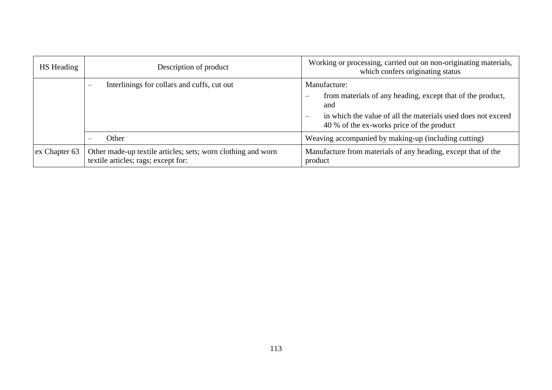| HS Heading    | Description of product                                                                              | Working or processing, carried out on non-originating materials,<br>which confers originating status                                                                                                                                 |
|---------------|-----------------------------------------------------------------------------------------------------|--------------------------------------------------------------------------------------------------------------------------------------------------------------------------------------------------------------------------------------|
|               | Interlinings for collars and cuffs, cut out<br>$\overline{\phantom{m}}$                             | Manufacture:<br>from materials of any heading, except that of the product,<br>$\sim$<br>and<br>in which the value of all the materials used does not exceed<br>$\overline{\phantom{m}}$<br>40 % of the ex-works price of the product |
|               | Other                                                                                               | Weaving accompanied by making-up (including cutting)                                                                                                                                                                                 |
| ex Chapter 63 | Other made-up textile articles; sets; worn clothing and worn<br>textile articles; rags; except for: | Manufacture from materials of any heading, except that of the<br>product                                                                                                                                                             |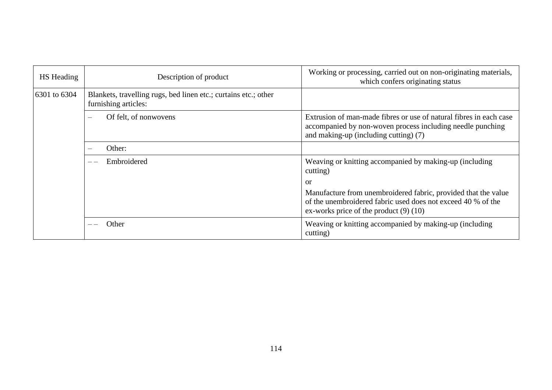| <b>HS</b> Heading | Description of product                                                                  | Working or processing, carried out on non-originating materials,<br>which confers originating status                                                                         |
|-------------------|-----------------------------------------------------------------------------------------|------------------------------------------------------------------------------------------------------------------------------------------------------------------------------|
| 6301 to 6304      | Blankets, travelling rugs, bed linen etc.; curtains etc.; other<br>furnishing articles: |                                                                                                                                                                              |
|                   | Of felt, of nonwovens<br>$\overline{\phantom{0}}$                                       | Extrusion of man-made fibres or use of natural fibres in each case<br>accompanied by non-woven process including needle punching<br>and making-up (including cutting) (7)    |
|                   | Other:                                                                                  |                                                                                                                                                                              |
|                   | Embroidered                                                                             | Weaving or knitting accompanied by making-up (including<br>cutting)                                                                                                          |
|                   |                                                                                         | or                                                                                                                                                                           |
|                   |                                                                                         | Manufacture from unembroidered fabric, provided that the value<br>of the unembroidered fabric used does not exceed 40 % of the<br>ex-works price of the product $(9)$ $(10)$ |
|                   | Other                                                                                   | Weaving or knitting accompanied by making-up (including<br>cutting)                                                                                                          |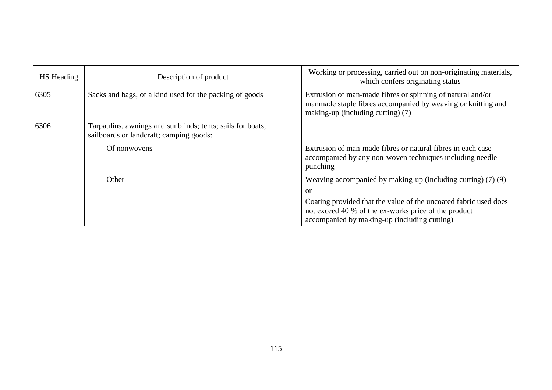| <b>HS</b> Heading | Description of product                                                                                | Working or processing, carried out on non-originating materials,<br>which confers originating status                                                                     |
|-------------------|-------------------------------------------------------------------------------------------------------|--------------------------------------------------------------------------------------------------------------------------------------------------------------------------|
| 6305              | Sacks and bags, of a kind used for the packing of goods                                               | Extrusion of man-made fibres or spinning of natural and/or<br>manmade staple fibres accompanied by weaving or knitting and<br>making-up (including cutting) (7)          |
| 6306              | Tarpaulins, awnings and sunblinds; tents; sails for boats,<br>sailboards or landcraft; camping goods: |                                                                                                                                                                          |
|                   | Of nonwovens<br>$\equiv$                                                                              | Extrusion of man-made fibres or natural fibres in each case<br>accompanied by any non-woven techniques including needle<br>punching                                      |
|                   | Other                                                                                                 | Weaving accompanied by making-up (including cutting) $(7)(9)$<br><sub>or</sub>                                                                                           |
|                   |                                                                                                       | Coating provided that the value of the uncoated fabric used does<br>not exceed 40 % of the ex-works price of the product<br>accompanied by making-up (including cutting) |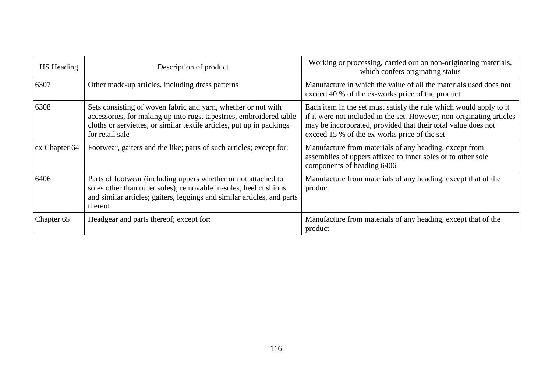| HS Heading    | Description of product                                                                                                                                                                                                          | Working or processing, carried out on non-originating materials,<br>which confers originating status                                                                                                                                                         |
|---------------|---------------------------------------------------------------------------------------------------------------------------------------------------------------------------------------------------------------------------------|--------------------------------------------------------------------------------------------------------------------------------------------------------------------------------------------------------------------------------------------------------------|
| 6307          | Other made-up articles, including dress patterns                                                                                                                                                                                | Manufacture in which the value of all the materials used does not<br>exceed 40 % of the ex-works price of the product                                                                                                                                        |
| 6308          | Sets consisting of woven fabric and yarn, whether or not with<br>accessories, for making up into rugs, tapestries, embroidered table<br>cloths or servictes, or similar textile articles, put up in packings<br>for retail sale | Each item in the set must satisfy the rule which would apply to it<br>if it were not included in the set. However, non-originating articles<br>may be incorporated, provided that their total value does not<br>exceed 15 % of the ex-works price of the set |
| ex Chapter 64 | Footwear, gaiters and the like; parts of such articles; except for:                                                                                                                                                             | Manufacture from materials of any heading, except from<br>assemblies of uppers affixed to inner soles or to other sole<br>components of heading 6406                                                                                                         |
| 6406          | Parts of footwear (including uppers whether or not attached to<br>soles other than outer soles); removable in-soles, heel cushions<br>and similar articles; gaiters, leggings and similar articles, and parts<br>thereof        | Manufacture from materials of any heading, except that of the<br>product                                                                                                                                                                                     |
| Chapter 65    | Headgear and parts thereof; except for:                                                                                                                                                                                         | Manufacture from materials of any heading, except that of the<br>product                                                                                                                                                                                     |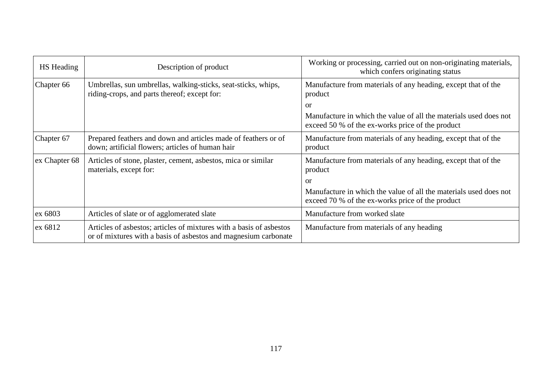| HS Heading    | Description of product                                                                                                                 | Working or processing, carried out on non-originating materials,<br>which confers originating status                  |
|---------------|----------------------------------------------------------------------------------------------------------------------------------------|-----------------------------------------------------------------------------------------------------------------------|
| Chapter 66    | Umbrellas, sun umbrellas, walking-sticks, seat-sticks, whips,<br>riding-crops, and parts thereof; except for:                          | Manufacture from materials of any heading, except that of the<br>product                                              |
|               |                                                                                                                                        | <sub>or</sub>                                                                                                         |
|               |                                                                                                                                        | Manufacture in which the value of all the materials used does not<br>exceed 50 % of the ex-works price of the product |
| Chapter 67    | Prepared feathers and down and articles made of feathers or of<br>down; artificial flowers; articles of human hair                     | Manufacture from materials of any heading, except that of the<br>product                                              |
| ex Chapter 68 | Articles of stone, plaster, cement, asbestos, mica or similar<br>materials, except for:                                                | Manufacture from materials of any heading, except that of the<br>product                                              |
|               |                                                                                                                                        | <b>or</b>                                                                                                             |
|               |                                                                                                                                        | Manufacture in which the value of all the materials used does not<br>exceed 70 % of the ex-works price of the product |
| ex 6803       | Articles of slate or of agglomerated slate                                                                                             | Manufacture from worked slate                                                                                         |
| ex 6812       | Articles of asbestos; articles of mixtures with a basis of asbestos<br>or of mixtures with a basis of asbestos and magnesium carbonate | Manufacture from materials of any heading                                                                             |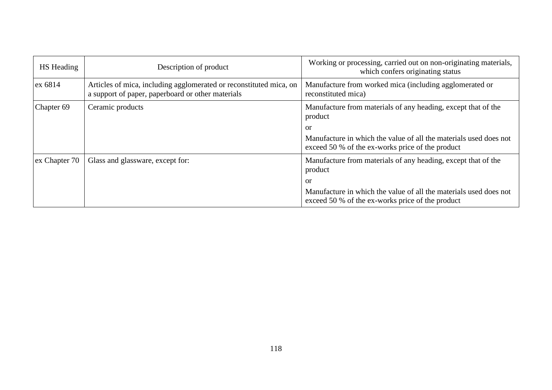| HS Heading    | Description of product                                                                                                  | Working or processing, carried out on non-originating materials,<br>which confers originating status                  |
|---------------|-------------------------------------------------------------------------------------------------------------------------|-----------------------------------------------------------------------------------------------------------------------|
| ex 6814       | Articles of mica, including agglomerated or reconstituted mica, on<br>a support of paper, paperboard or other materials | Manufacture from worked mica (including agglomerated or<br>reconstituted mica)                                        |
| Chapter 69    | Ceramic products                                                                                                        | Manufacture from materials of any heading, except that of the<br>product                                              |
|               |                                                                                                                         | <sub>or</sub>                                                                                                         |
|               |                                                                                                                         | Manufacture in which the value of all the materials used does not<br>exceed 50 % of the ex-works price of the product |
| ex Chapter 70 | Glass and glassware, except for:                                                                                        | Manufacture from materials of any heading, except that of the<br>product                                              |
|               |                                                                                                                         | or                                                                                                                    |
|               |                                                                                                                         | Manufacture in which the value of all the materials used does not<br>exceed 50 % of the ex-works price of the product |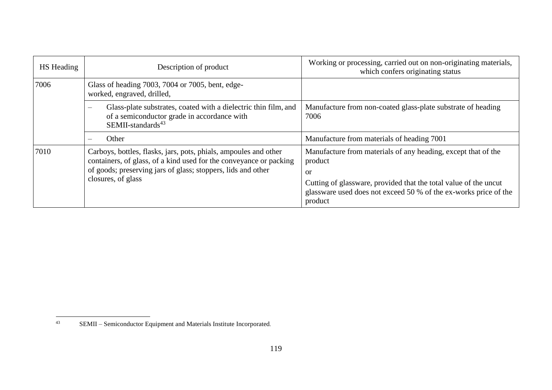| HS Heading | Description of product                                                                                                                                                                                                       | Working or processing, carried out on non-originating materials,<br>which confers originating status                                                                                                                                     |
|------------|------------------------------------------------------------------------------------------------------------------------------------------------------------------------------------------------------------------------------|------------------------------------------------------------------------------------------------------------------------------------------------------------------------------------------------------------------------------------------|
| 7006       | Glass of heading 7003, 7004 or 7005, bent, edge-<br>worked, engraved, drilled,                                                                                                                                               |                                                                                                                                                                                                                                          |
|            | Glass-plate substrates, coated with a dielectric thin film, and<br>$\overline{\phantom{m}}$<br>of a semiconductor grade in accordance with<br>$SEMI-standards^{43}$                                                          | Manufacture from non-coated glass-plate substrate of heading<br>7006                                                                                                                                                                     |
|            | Other<br>$\overline{\phantom{m}}$                                                                                                                                                                                            | Manufacture from materials of heading 7001                                                                                                                                                                                               |
| 7010       | Carboys, bottles, flasks, jars, pots, phials, ampoules and other<br>containers, of glass, of a kind used for the conveyance or packing<br>of goods; preserving jars of glass; stoppers, lids and other<br>closures, of glass | Manufacture from materials of any heading, except that of the<br>product<br><b>or</b><br>Cutting of glassware, provided that the total value of the uncut<br>glassware used does not exceed 50 % of the ex-works price of the<br>product |

 $43$ SEMII – Semiconductor Equipment and Materials Institute Incorporated.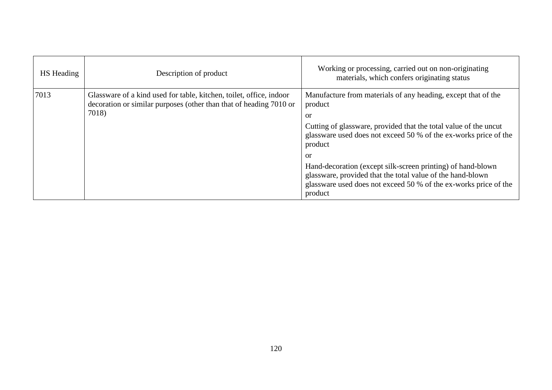| <b>HS</b> Heading | Description of product                                                                                                                             | Working or processing, carried out on non-originating<br>materials, which confers originating status                                                                                                                                                                                                                                                                                                                                                |
|-------------------|----------------------------------------------------------------------------------------------------------------------------------------------------|-----------------------------------------------------------------------------------------------------------------------------------------------------------------------------------------------------------------------------------------------------------------------------------------------------------------------------------------------------------------------------------------------------------------------------------------------------|
| 7013              | Glassware of a kind used for table, kitchen, toilet, office, indoor<br>decoration or similar purposes (other than that of heading 7010 or<br>7018) | Manufacture from materials of any heading, except that of the<br>product<br>or<br>Cutting of glassware, provided that the total value of the uncut<br>glassware used does not exceed 50 % of the ex-works price of the<br>product<br>or<br>Hand-decoration (except silk-screen printing) of hand-blown<br>glassware, provided that the total value of the hand-blown<br>glassware used does not exceed 50 % of the ex-works price of the<br>product |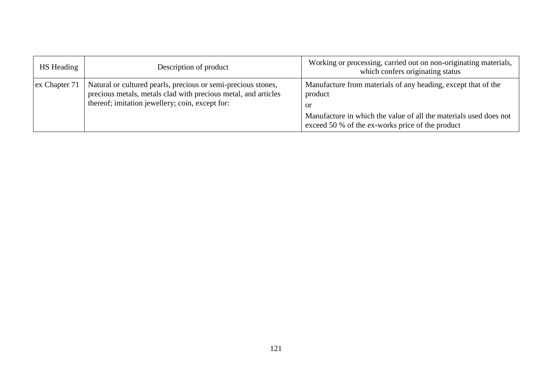| <b>HS</b> Heading | Description of product                                                                                                                                                             | Working or processing, carried out on non-originating materials,<br>which confers originating status                                                                                                    |
|-------------------|------------------------------------------------------------------------------------------------------------------------------------------------------------------------------------|---------------------------------------------------------------------------------------------------------------------------------------------------------------------------------------------------------|
| ex Chapter 71     | Natural or cultured pearls, precious or semi-precious stones,<br>precious metals, metals clad with precious metal, and articles<br>thereof; imitation jewellery; coin, except for: | Manufacture from materials of any heading, except that of the<br>product<br>or<br>Manufacture in which the value of all the materials used does not<br>exceed 50 % of the ex-works price of the product |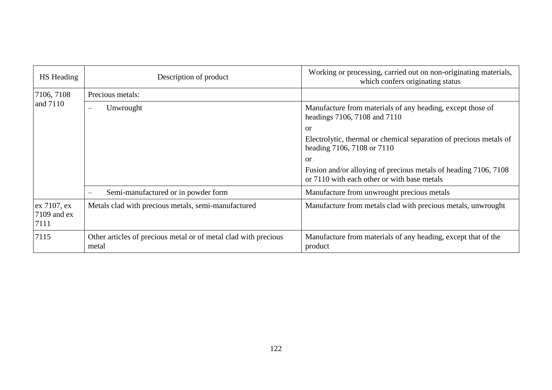| HS Heading                           | Description of product                                                   | Working or processing, carried out on non-originating materials,<br>which confers originating status           |
|--------------------------------------|--------------------------------------------------------------------------|----------------------------------------------------------------------------------------------------------------|
| 7106, 7108<br>and 7110               | Precious metals:                                                         |                                                                                                                |
|                                      | Unwrought                                                                | Manufacture from materials of any heading, except those of<br>headings 7106, 7108 and 7110                     |
|                                      |                                                                          | or                                                                                                             |
|                                      |                                                                          | Electrolytic, thermal or chemical separation of precious metals of<br>heading 7106, 7108 or 7110               |
|                                      |                                                                          | <sub>or</sub>                                                                                                  |
|                                      |                                                                          | Fusion and/or alloying of precious metals of heading 7106, 7108<br>or 7110 with each other or with base metals |
|                                      | Semi-manufactured or in powder form                                      | Manufacture from unwrought precious metals                                                                     |
| ex 7107, ex<br>$7109$ and ex<br>7111 | Metals clad with precious metals, semi-manufactured                      | Manufacture from metals clad with precious metals, unwrought                                                   |
| 7115                                 | Other articles of precious metal or of metal clad with precious<br>metal | Manufacture from materials of any heading, except that of the<br>product                                       |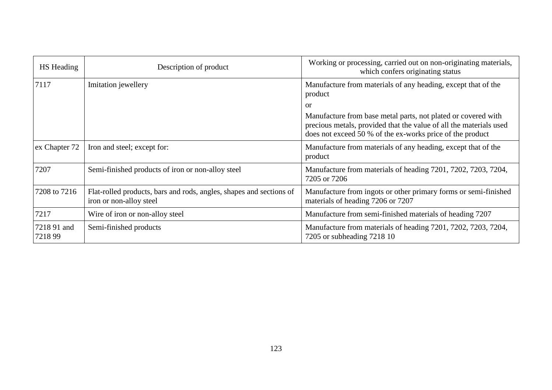| <b>HS</b> Heading     | Description of product                                                                         | Working or processing, carried out on non-originating materials,<br>which confers originating status                                                                                             |
|-----------------------|------------------------------------------------------------------------------------------------|--------------------------------------------------------------------------------------------------------------------------------------------------------------------------------------------------|
| 7117                  | Imitation jewellery                                                                            | Manufacture from materials of any heading, except that of the<br>product                                                                                                                         |
|                       |                                                                                                | <sub>or</sub>                                                                                                                                                                                    |
|                       |                                                                                                | Manufacture from base metal parts, not plated or covered with<br>precious metals, provided that the value of all the materials used<br>does not exceed 50 % of the ex-works price of the product |
| ex Chapter 72         | Iron and steel; except for:                                                                    | Manufacture from materials of any heading, except that of the<br>product                                                                                                                         |
| 7207                  | Semi-finished products of iron or non-alloy steel                                              | Manufacture from materials of heading 7201, 7202, 7203, 7204,<br>7205 or 7206                                                                                                                    |
| 7208 to 7216          | Flat-rolled products, bars and rods, angles, shapes and sections of<br>iron or non-alloy steel | Manufacture from ingots or other primary forms or semi-finished<br>materials of heading 7206 or 7207                                                                                             |
| 7217                  | Wire of iron or non-alloy steel                                                                | Manufacture from semi-finished materials of heading 7207                                                                                                                                         |
| 7218 91 and<br>721899 | Semi-finished products                                                                         | Manufacture from materials of heading 7201, 7202, 7203, 7204,<br>7205 or subheading 7218 10                                                                                                      |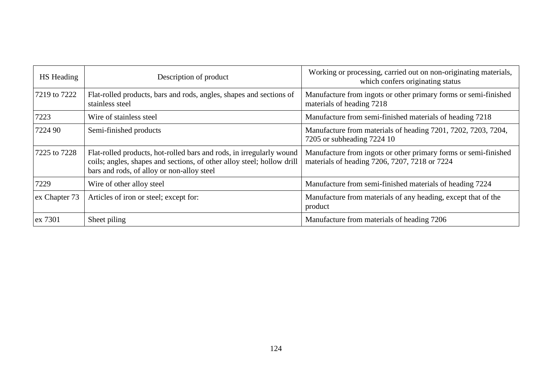| HS Heading    | Description of product                                                                                                                                                                       | Working or processing, carried out on non-originating materials,<br>which confers originating status             |
|---------------|----------------------------------------------------------------------------------------------------------------------------------------------------------------------------------------------|------------------------------------------------------------------------------------------------------------------|
| 7219 to 7222  | Flat-rolled products, bars and rods, angles, shapes and sections of<br>stainless steel                                                                                                       | Manufacture from ingots or other primary forms or semi-finished<br>materials of heading 7218                     |
| 7223          | Wire of stainless steel                                                                                                                                                                      | Manufacture from semi-finished materials of heading 7218                                                         |
| 7224 90       | Semi-finished products                                                                                                                                                                       | Manufacture from materials of heading 7201, 7202, 7203, 7204,<br>7205 or subheading 7224 10                      |
| 7225 to 7228  | Flat-rolled products, hot-rolled bars and rods, in irregularly wound<br>coils; angles, shapes and sections, of other alloy steel; hollow drill<br>bars and rods, of alloy or non-alloy steel | Manufacture from ingots or other primary forms or semi-finished<br>materials of heading 7206, 7207, 7218 or 7224 |
| 7229          | Wire of other alloy steel                                                                                                                                                                    | Manufacture from semi-finished materials of heading 7224                                                         |
| ex Chapter 73 | Articles of iron or steel; except for:                                                                                                                                                       | Manufacture from materials of any heading, except that of the<br>product                                         |
| ex 7301       | Sheet piling                                                                                                                                                                                 | Manufacture from materials of heading 7206                                                                       |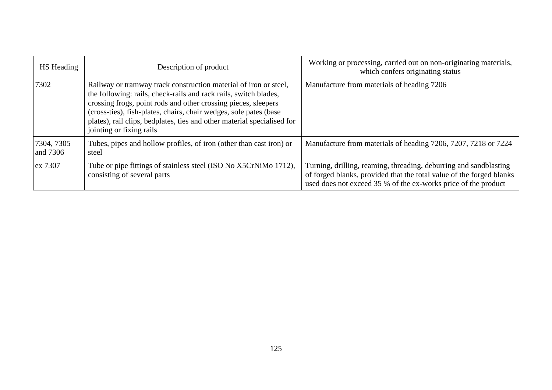| HS Heading             | Description of product                                                                                                                                                                                                                                                                                                                                                             | Working or processing, carried out on non-originating materials,<br>which confers originating status                                                                                                        |
|------------------------|------------------------------------------------------------------------------------------------------------------------------------------------------------------------------------------------------------------------------------------------------------------------------------------------------------------------------------------------------------------------------------|-------------------------------------------------------------------------------------------------------------------------------------------------------------------------------------------------------------|
| 7302                   | Railway or tramway track construction material of iron or steel,<br>the following: rails, check-rails and rack rails, switch blades,<br>crossing frogs, point rods and other crossing pieces, sleepers<br>(cross-ties), fish-plates, chairs, chair wedges, sole pates (base<br>plates), rail clips, bedplates, ties and other material specialised for<br>jointing or fixing rails | Manufacture from materials of heading 7206                                                                                                                                                                  |
| 7304, 7305<br>and 7306 | Tubes, pipes and hollow profiles, of iron (other than cast iron) or<br>steel                                                                                                                                                                                                                                                                                                       | Manufacture from materials of heading 7206, 7207, 7218 or 7224                                                                                                                                              |
| ex 7307                | Tube or pipe fittings of stainless steel (ISO No X5CrNiMo 1712),<br>consisting of several parts                                                                                                                                                                                                                                                                                    | Turning, drilling, reaming, threading, deburring and sandblasting<br>of forged blanks, provided that the total value of the forged blanks<br>used does not exceed 35 % of the ex-works price of the product |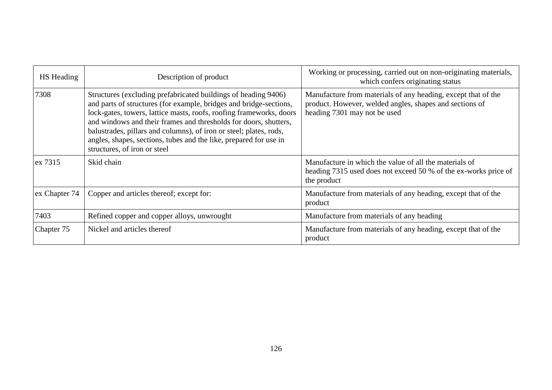| <b>HS</b> Heading | Description of product                                                                                                                                                                                                                                                                                                                                                                                                                                     | Working or processing, carried out on non-originating materials,<br>which confers originating status                                                     |
|-------------------|------------------------------------------------------------------------------------------------------------------------------------------------------------------------------------------------------------------------------------------------------------------------------------------------------------------------------------------------------------------------------------------------------------------------------------------------------------|----------------------------------------------------------------------------------------------------------------------------------------------------------|
| 7308              | Structures (excluding prefabricated buildings of heading 9406)<br>and parts of structures (for example, bridges and bridge-sections,<br>lock-gates, towers, lattice masts, roofs, roofing frameworks, doors<br>and windows and their frames and thresholds for doors, shutters,<br>balustrades, pillars and columns), of iron or steel; plates, rods,<br>angles, shapes, sections, tubes and the like, prepared for use in<br>structures, of iron or steel | Manufacture from materials of any heading, except that of the<br>product. However, welded angles, shapes and sections of<br>heading 7301 may not be used |
| ex 7315           | Skid chain                                                                                                                                                                                                                                                                                                                                                                                                                                                 | Manufacture in which the value of all the materials of<br>heading 7315 used does not exceed 50 % of the ex-works price of<br>the product                 |
| ex Chapter 74     | Copper and articles thereof; except for:                                                                                                                                                                                                                                                                                                                                                                                                                   | Manufacture from materials of any heading, except that of the<br>product                                                                                 |
| 7403              | Refined copper and copper alloys, unwrought                                                                                                                                                                                                                                                                                                                                                                                                                | Manufacture from materials of any heading                                                                                                                |
| Chapter 75        | Nickel and articles thereof                                                                                                                                                                                                                                                                                                                                                                                                                                | Manufacture from materials of any heading, except that of the<br>product                                                                                 |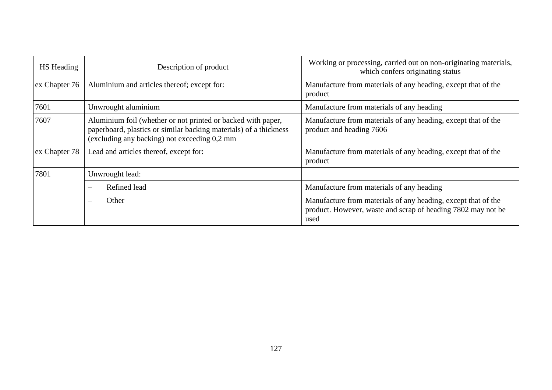| <b>HS</b> Heading | Description of product                                                                                                                                                            | Working or processing, carried out on non-originating materials,<br>which confers originating status                                  |
|-------------------|-----------------------------------------------------------------------------------------------------------------------------------------------------------------------------------|---------------------------------------------------------------------------------------------------------------------------------------|
| ex Chapter 76     | Aluminium and articles thereof; except for:                                                                                                                                       | Manufacture from materials of any heading, except that of the<br>product                                                              |
| 7601              | Unwrought aluminium                                                                                                                                                               | Manufacture from materials of any heading                                                                                             |
| 7607              | Aluminium foil (whether or not printed or backed with paper,<br>paperboard, plastics or similar backing materials) of a thickness<br>(excluding any backing) not exceeding 0,2 mm | Manufacture from materials of any heading, except that of the<br>product and heading 7606                                             |
| ex Chapter 78     | Lead and articles thereof, except for:                                                                                                                                            | Manufacture from materials of any heading, except that of the<br>product                                                              |
| 7801              | Unwrought lead:                                                                                                                                                                   |                                                                                                                                       |
|                   | Refined lead<br>$\equiv$                                                                                                                                                          | Manufacture from materials of any heading                                                                                             |
|                   | Other<br>$\frac{1}{2}$                                                                                                                                                            | Manufacture from materials of any heading, except that of the<br>product. However, waste and scrap of heading 7802 may not be<br>used |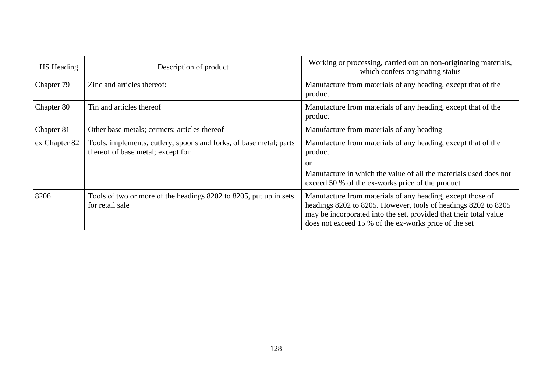| <b>HS</b> Heading | Description of product                                                                                   | Working or processing, carried out on non-originating materials,<br>which confers originating status                                                                                                                                                       |
|-------------------|----------------------------------------------------------------------------------------------------------|------------------------------------------------------------------------------------------------------------------------------------------------------------------------------------------------------------------------------------------------------------|
| Chapter 79        | Zinc and articles thereof:                                                                               | Manufacture from materials of any heading, except that of the<br>product                                                                                                                                                                                   |
| Chapter 80        | Tin and articles thereof                                                                                 | Manufacture from materials of any heading, except that of the<br>product                                                                                                                                                                                   |
| Chapter 81        | Other base metals; cermets; articles thereof                                                             | Manufacture from materials of any heading                                                                                                                                                                                                                  |
| ex Chapter 82     | Tools, implements, cutlery, spoons and forks, of base metal; parts<br>thereof of base metal; except for: | Manufacture from materials of any heading, except that of the<br>product                                                                                                                                                                                   |
|                   |                                                                                                          | or                                                                                                                                                                                                                                                         |
|                   |                                                                                                          | Manufacture in which the value of all the materials used does not<br>exceed 50 % of the ex-works price of the product                                                                                                                                      |
| 8206              | Tools of two or more of the headings 8202 to 8205, put up in sets<br>for retail sale                     | Manufacture from materials of any heading, except those of<br>headings 8202 to 8205. However, tools of headings 8202 to 8205<br>may be incorporated into the set, provided that their total value<br>does not exceed 15 % of the ex-works price of the set |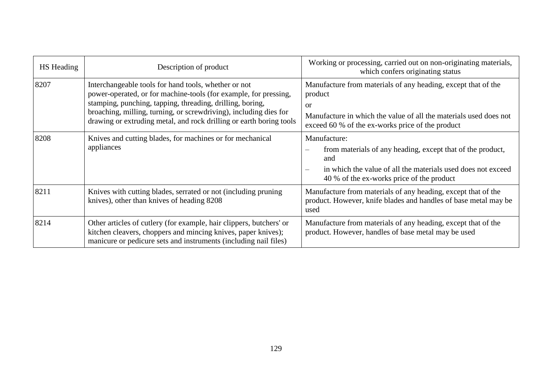| HS Heading | Description of product                                                                                                                                                                                                                                                                                                            | Working or processing, carried out on non-originating materials,<br>which confers originating status                                                                                                               |
|------------|-----------------------------------------------------------------------------------------------------------------------------------------------------------------------------------------------------------------------------------------------------------------------------------------------------------------------------------|--------------------------------------------------------------------------------------------------------------------------------------------------------------------------------------------------------------------|
| 8207       | Interchangeable tools for hand tools, whether or not<br>power-operated, or for machine-tools (for example, for pressing,<br>stamping, punching, tapping, threading, drilling, boring,<br>broaching, milling, turning, or screwdriving), including dies for<br>drawing or extruding metal, and rock drilling or earth boring tools | Manufacture from materials of any heading, except that of the<br>product<br><sub>or</sub><br>Manufacture in which the value of all the materials used does not<br>exceed 60 % of the ex-works price of the product |
| 8208       | Knives and cutting blades, for machines or for mechanical<br>appliances                                                                                                                                                                                                                                                           | Manufacture:<br>from materials of any heading, except that of the product,<br>and<br>in which the value of all the materials used does not exceed<br>40 % of the ex-works price of the product                     |
| 8211       | Knives with cutting blades, serrated or not (including pruning)<br>knives), other than knives of heading 8208                                                                                                                                                                                                                     | Manufacture from materials of any heading, except that of the<br>product. However, knife blades and handles of base metal may be<br>used                                                                           |
| 8214       | Other articles of cutlery (for example, hair clippers, butchers' or<br>kitchen cleavers, choppers and mincing knives, paper knives);<br>manicure or pedicure sets and instruments (including nail files)                                                                                                                          | Manufacture from materials of any heading, except that of the<br>product. However, handles of base metal may be used                                                                                               |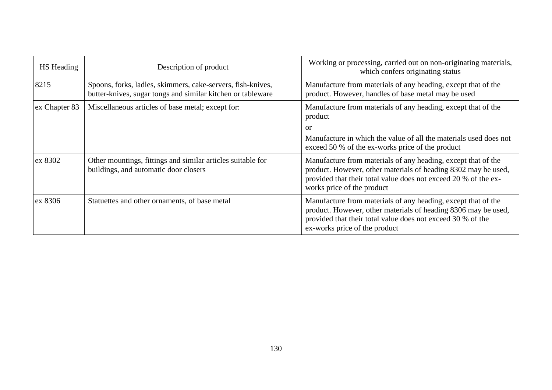| HS Heading    | Description of product                                                                                                     | Working or processing, carried out on non-originating materials,<br>which confers originating status                                                                                                                             |
|---------------|----------------------------------------------------------------------------------------------------------------------------|----------------------------------------------------------------------------------------------------------------------------------------------------------------------------------------------------------------------------------|
| 8215          | Spoons, forks, ladles, skimmers, cake-servers, fish-knives,<br>butter-knives, sugar tongs and similar kitchen or tableware | Manufacture from materials of any heading, except that of the<br>product. However, handles of base metal may be used                                                                                                             |
| ex Chapter 83 | Miscellaneous articles of base metal; except for:                                                                          | Manufacture from materials of any heading, except that of the<br>product                                                                                                                                                         |
|               |                                                                                                                            | or                                                                                                                                                                                                                               |
|               |                                                                                                                            | Manufacture in which the value of all the materials used does not<br>exceed 50 % of the ex-works price of the product                                                                                                            |
| ex 8302       | Other mountings, fittings and similar articles suitable for<br>buildings, and automatic door closers                       | Manufacture from materials of any heading, except that of the<br>product. However, other materials of heading 8302 may be used,<br>provided that their total value does not exceed 20 % of the ex-<br>works price of the product |
| ex 8306       | Statuettes and other ornaments, of base metal                                                                              | Manufacture from materials of any heading, except that of the<br>product. However, other materials of heading 8306 may be used,<br>provided that their total value does not exceed 30 % of the<br>ex-works price of the product  |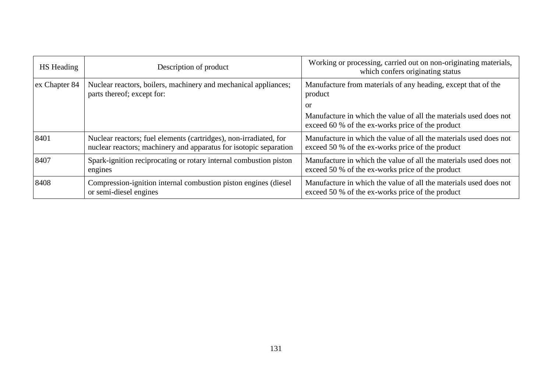| <b>HS</b> Heading | Description of product                                                                                                                 | Working or processing, carried out on non-originating materials,<br>which confers originating status                  |
|-------------------|----------------------------------------------------------------------------------------------------------------------------------------|-----------------------------------------------------------------------------------------------------------------------|
| ex Chapter 84     | Nuclear reactors, boilers, machinery and mechanical appliances;<br>parts thereof; except for:                                          | Manufacture from materials of any heading, except that of the<br>product                                              |
|                   |                                                                                                                                        | <sub>or</sub>                                                                                                         |
|                   |                                                                                                                                        | Manufacture in which the value of all the materials used does not<br>exceed 60 % of the ex-works price of the product |
| 8401              | Nuclear reactors; fuel elements (cartridges), non-irradiated, for<br>nuclear reactors; machinery and apparatus for isotopic separation | Manufacture in which the value of all the materials used does not<br>exceed 50 % of the ex-works price of the product |
| 8407              | Spark-ignition reciprocating or rotary internal combustion piston<br>engines                                                           | Manufacture in which the value of all the materials used does not<br>exceed 50 % of the ex-works price of the product |
| 8408              | Compression-ignition internal combustion piston engines (diesel<br>or semi-diesel engines                                              | Manufacture in which the value of all the materials used does not<br>exceed 50 % of the ex-works price of the product |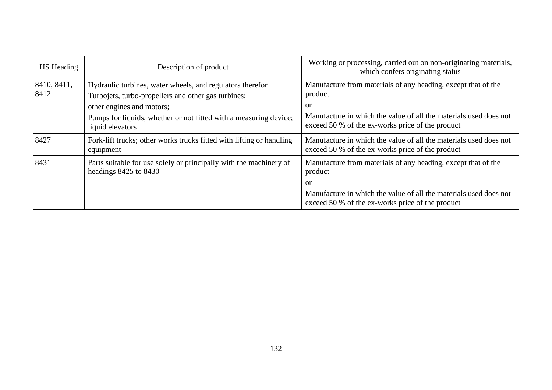| <b>HS</b> Heading   | Description of product                                                                                                                                                                                                                 | Working or processing, carried out on non-originating materials,<br>which confers originating status                                                                                                    |
|---------------------|----------------------------------------------------------------------------------------------------------------------------------------------------------------------------------------------------------------------------------------|---------------------------------------------------------------------------------------------------------------------------------------------------------------------------------------------------------|
| 8410, 8411,<br>8412 | Hydraulic turbines, water wheels, and regulators therefor<br>Turbojets, turbo-propellers and other gas turbines;<br>other engines and motors;<br>Pumps for liquids, whether or not fitted with a measuring device;<br>liquid elevators | Manufacture from materials of any heading, except that of the<br>product<br>or<br>Manufacture in which the value of all the materials used does not<br>exceed 50 % of the ex-works price of the product |
| 8427                | Fork-lift trucks; other works trucks fitted with lifting or handling<br>equipment                                                                                                                                                      | Manufacture in which the value of all the materials used does not<br>exceed 50 % of the ex-works price of the product                                                                                   |
| 8431                | Parts suitable for use solely or principally with the machinery of<br>headings 8425 to 8430                                                                                                                                            | Manufacture from materials of any heading, except that of the<br>product<br>or<br>Manufacture in which the value of all the materials used does not                                                     |
|                     |                                                                                                                                                                                                                                        | exceed 50 % of the ex-works price of the product                                                                                                                                                        |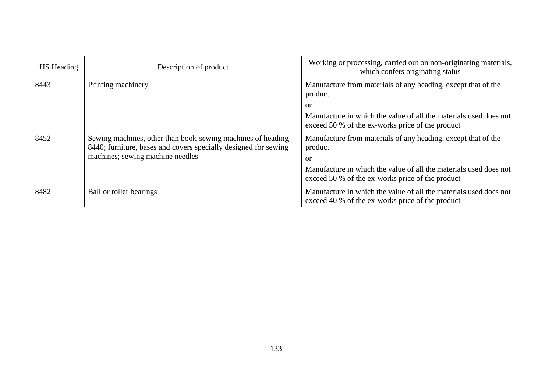| <b>HS</b> Heading | Description of product                                                                                                                                             | Working or processing, carried out on non-originating materials,<br>which confers originating status                                                                                                    |
|-------------------|--------------------------------------------------------------------------------------------------------------------------------------------------------------------|---------------------------------------------------------------------------------------------------------------------------------------------------------------------------------------------------------|
| 8443              | Printing machinery                                                                                                                                                 | Manufacture from materials of any heading, except that of the<br>product<br>or                                                                                                                          |
|                   |                                                                                                                                                                    | Manufacture in which the value of all the materials used does not<br>exceed 50 % of the ex-works price of the product                                                                                   |
| 8452              | Sewing machines, other than book-sewing machines of heading<br>8440; furniture, bases and covers specially designed for sewing<br>machines; sewing machine needles | Manufacture from materials of any heading, except that of the<br>product<br>or<br>Manufacture in which the value of all the materials used does not<br>exceed 50 % of the ex-works price of the product |
| 8482              | Ball or roller bearings                                                                                                                                            | Manufacture in which the value of all the materials used does not<br>exceed 40 % of the ex-works price of the product                                                                                   |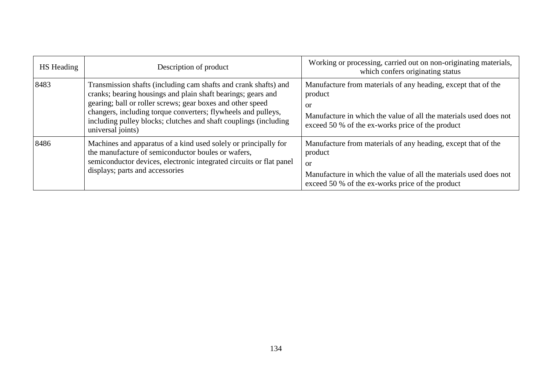| <b>HS</b> Heading | Description of product                                                                                                                                                                                                                                                                                                                                  | Working or processing, carried out on non-originating materials,<br>which confers originating status                                                                                                               |
|-------------------|---------------------------------------------------------------------------------------------------------------------------------------------------------------------------------------------------------------------------------------------------------------------------------------------------------------------------------------------------------|--------------------------------------------------------------------------------------------------------------------------------------------------------------------------------------------------------------------|
| 8483              | Transmission shafts (including cam shafts and crank shafts) and<br>cranks; bearing housings and plain shaft bearings; gears and<br>gearing; ball or roller screws; gear boxes and other speed<br>changers, including torque converters; flywheels and pulleys,<br>including pulley blocks; clutches and shaft couplings (including<br>universal joints) | Manufacture from materials of any heading, except that of the<br>product<br><sub>or</sub><br>Manufacture in which the value of all the materials used does not<br>exceed 50 % of the ex-works price of the product |
| 8486              | Machines and apparatus of a kind used solely or principally for<br>the manufacture of semiconductor boules or wafers,<br>semiconductor devices, electronic integrated circuits or flat panel<br>displays; parts and accessories                                                                                                                         | Manufacture from materials of any heading, except that of the<br>product<br><sub>or</sub><br>Manufacture in which the value of all the materials used does not<br>exceed 50 % of the ex-works price of the product |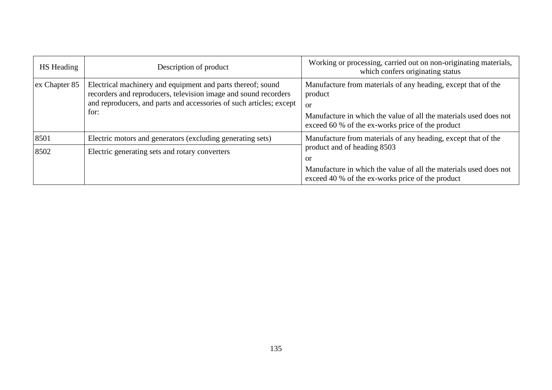| HS Heading    | Description of product                                                                                                                                                                                        | Working or processing, carried out on non-originating materials,<br>which confers originating status                                                                                                    |
|---------------|---------------------------------------------------------------------------------------------------------------------------------------------------------------------------------------------------------------|---------------------------------------------------------------------------------------------------------------------------------------------------------------------------------------------------------|
| ex Chapter 85 | Electrical machinery and equipment and parts thereof; sound<br>recorders and reproducers, television image and sound recorders<br>and reproducers, and parts and accessories of such articles; except<br>for: | Manufacture from materials of any heading, except that of the<br>product<br>or<br>Manufacture in which the value of all the materials used does not<br>exceed 60 % of the ex-works price of the product |
| 8501          | Electric motors and generators (excluding generating sets)                                                                                                                                                    | Manufacture from materials of any heading, except that of the                                                                                                                                           |
| 8502          | Electric generating sets and rotary converters                                                                                                                                                                | product and of heading 8503<br><b>or</b><br>Manufacture in which the value of all the materials used does not<br>exceed 40 % of the ex-works price of the product                                       |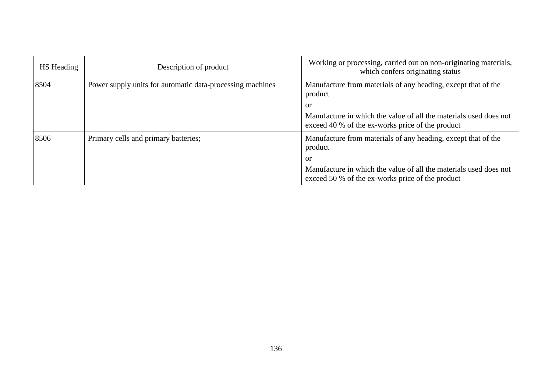| HS Heading | Description of product                                    | Working or processing, carried out on non-originating materials,<br>which confers originating status                  |
|------------|-----------------------------------------------------------|-----------------------------------------------------------------------------------------------------------------------|
| 8504       | Power supply units for automatic data-processing machines | Manufacture from materials of any heading, except that of the<br>product                                              |
|            |                                                           | or                                                                                                                    |
|            |                                                           | Manufacture in which the value of all the materials used does not<br>exceed 40 % of the ex-works price of the product |
| 8506       | Primary cells and primary batteries;                      | Manufacture from materials of any heading, except that of the<br>product                                              |
|            |                                                           | or                                                                                                                    |
|            |                                                           | Manufacture in which the value of all the materials used does not<br>exceed 50 % of the ex-works price of the product |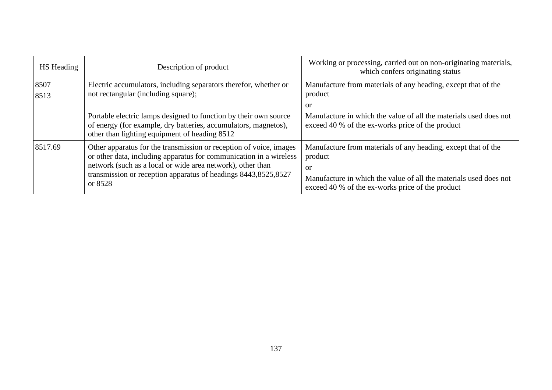| HS Heading   | Description of product                                                                                                                                                                                                                                                              | Working or processing, carried out on non-originating materials,<br>which confers originating status                                                                                                    |
|--------------|-------------------------------------------------------------------------------------------------------------------------------------------------------------------------------------------------------------------------------------------------------------------------------------|---------------------------------------------------------------------------------------------------------------------------------------------------------------------------------------------------------|
| 8507<br>8513 | Electric accumulators, including separators therefor, whether or<br>not rectangular (including square);                                                                                                                                                                             | Manufacture from materials of any heading, except that of the<br>product<br>or                                                                                                                          |
|              | Portable electric lamps designed to function by their own source<br>of energy (for example, dry batteries, accumulators, magnetos),<br>other than lighting equipment of heading 8512                                                                                                | Manufacture in which the value of all the materials used does not<br>exceed 40 % of the ex-works price of the product                                                                                   |
| 8517.69      | Other apparatus for the transmission or reception of voice, images<br>or other data, including apparatus for communication in a wireless<br>network (such as a local or wide area network), other than<br>transmission or reception apparatus of headings 8443,8525,8527<br>or 8528 | Manufacture from materials of any heading, except that of the<br>product<br>or<br>Manufacture in which the value of all the materials used does not<br>exceed 40 % of the ex-works price of the product |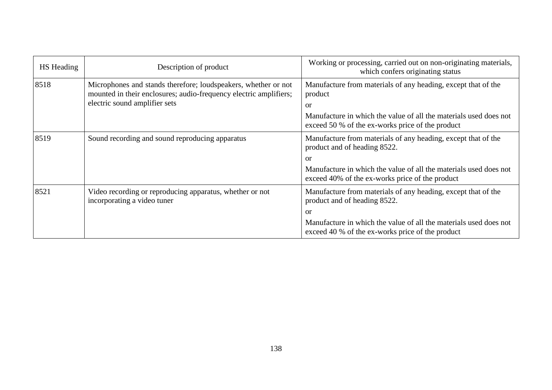| <b>HS</b> Heading | Description of product                                                                                                                                               | Working or processing, carried out on non-originating materials,<br>which confers originating status                                                                                                                                    |
|-------------------|----------------------------------------------------------------------------------------------------------------------------------------------------------------------|-----------------------------------------------------------------------------------------------------------------------------------------------------------------------------------------------------------------------------------------|
| 8518              | Microphones and stands therefore; loudspeakers, whether or not<br>mounted in their enclosures; audio-frequency electric amplifiers;<br>electric sound amplifier sets | Manufacture from materials of any heading, except that of the<br>product<br>or<br>Manufacture in which the value of all the materials used does not<br>exceed 50 % of the ex-works price of the product                                 |
| 8519              | Sound recording and sound reproducing apparatus                                                                                                                      | Manufacture from materials of any heading, except that of the<br>product and of heading 8522.<br><sub>or</sub><br>Manufacture in which the value of all the materials used does not<br>exceed 40% of the ex-works price of the product  |
| 8521              | Video recording or reproducing apparatus, whether or not<br>incorporating a video tuner                                                                              | Manufacture from materials of any heading, except that of the<br>product and of heading 8522.<br><sub>or</sub><br>Manufacture in which the value of all the materials used does not<br>exceed 40 % of the ex-works price of the product |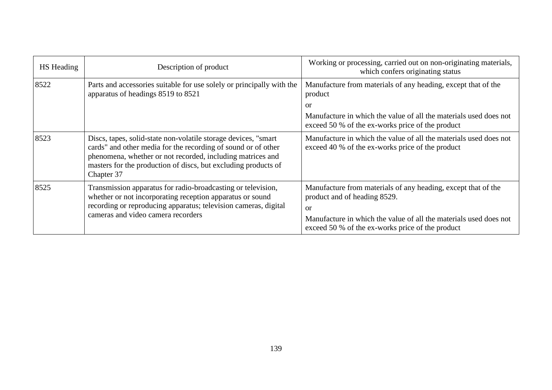| HS Heading | Description of product                                                                                                                                                                                                                                                         | Working or processing, carried out on non-originating materials,<br>which confers originating status                                                                                                                         |
|------------|--------------------------------------------------------------------------------------------------------------------------------------------------------------------------------------------------------------------------------------------------------------------------------|------------------------------------------------------------------------------------------------------------------------------------------------------------------------------------------------------------------------------|
| 8522       | Parts and accessories suitable for use solely or principally with the<br>apparatus of headings 8519 to 8521                                                                                                                                                                    | Manufacture from materials of any heading, except that of the<br>product                                                                                                                                                     |
|            |                                                                                                                                                                                                                                                                                | or                                                                                                                                                                                                                           |
|            |                                                                                                                                                                                                                                                                                | Manufacture in which the value of all the materials used does not<br>exceed 50 % of the ex-works price of the product                                                                                                        |
| 8523       | Discs, tapes, solid-state non-volatile storage devices, "smart"<br>cards" and other media for the recording of sound or of other<br>phenomena, whether or not recorded, including matrices and<br>masters for the production of discs, but excluding products of<br>Chapter 37 | Manufacture in which the value of all the materials used does not<br>exceed 40 % of the ex-works price of the product                                                                                                        |
| 8525       | Transmission apparatus for radio-broadcasting or television,<br>whether or not incorporating reception apparatus or sound<br>recording or reproducing apparatus; television cameras, digital<br>cameras and video camera recorders                                             | Manufacture from materials of any heading, except that of the<br>product and of heading 8529.<br>or<br>Manufacture in which the value of all the materials used does not<br>exceed 50 % of the ex-works price of the product |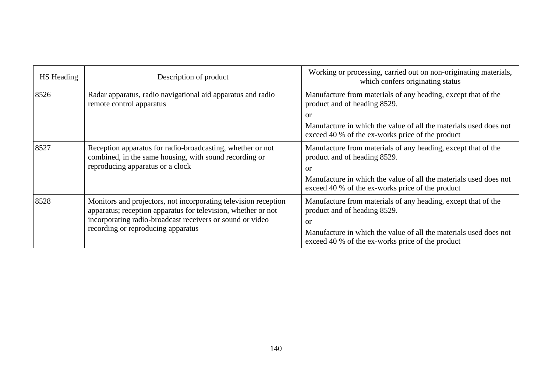| HS Heading | Description of product                                                                                                                                                                                                              | Working or processing, carried out on non-originating materials,<br>which confers originating status                  |
|------------|-------------------------------------------------------------------------------------------------------------------------------------------------------------------------------------------------------------------------------------|-----------------------------------------------------------------------------------------------------------------------|
| 8526       | Radar apparatus, radio navigational aid apparatus and radio<br>remote control apparatus                                                                                                                                             | Manufacture from materials of any heading, except that of the<br>product and of heading 8529.                         |
|            |                                                                                                                                                                                                                                     | $\alpha$                                                                                                              |
|            |                                                                                                                                                                                                                                     | Manufacture in which the value of all the materials used does not<br>exceed 40 % of the ex-works price of the product |
| 8527       | Reception apparatus for radio-broadcasting, whether or not<br>combined, in the same housing, with sound recording or<br>reproducing apparatus or a clock                                                                            | Manufacture from materials of any heading, except that of the<br>product and of heading 8529.<br>$\alpha$             |
|            |                                                                                                                                                                                                                                     | Manufacture in which the value of all the materials used does not<br>exceed 40 % of the ex-works price of the product |
| 8528       | Monitors and projectors, not incorporating television reception<br>apparatus; reception apparatus for television, whether or not<br>incorporating radio-broadcast receivers or sound or video<br>recording or reproducing apparatus | Manufacture from materials of any heading, except that of the<br>product and of heading 8529.<br>$\alpha$             |
|            |                                                                                                                                                                                                                                     | Manufacture in which the value of all the materials used does not<br>exceed 40 % of the ex-works price of the product |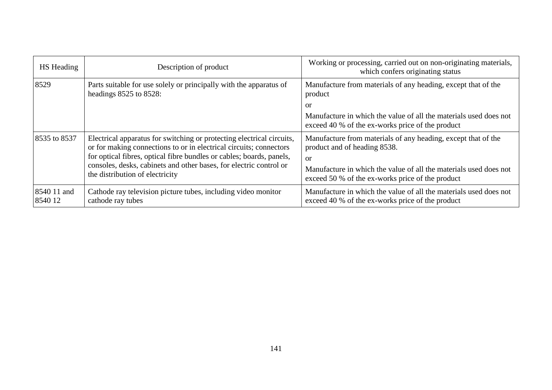| HS Heading             | Description of product                                                                                                                                                                                                                                                                                                       | Working or processing, carried out on non-originating materials,<br>which confers originating status                                                                                                                                    |
|------------------------|------------------------------------------------------------------------------------------------------------------------------------------------------------------------------------------------------------------------------------------------------------------------------------------------------------------------------|-----------------------------------------------------------------------------------------------------------------------------------------------------------------------------------------------------------------------------------------|
| 8529                   | Parts suitable for use solely or principally with the apparatus of<br>headings $8525$ to $8528$ :                                                                                                                                                                                                                            | Manufacture from materials of any heading, except that of the<br>product<br>or<br>Manufacture in which the value of all the materials used does not<br>exceed 40 % of the ex-works price of the product                                 |
| 8535 to 8537           | Electrical apparatus for switching or protecting electrical circuits,<br>or for making connections to or in electrical circuits; connectors<br>for optical fibres, optical fibre bundles or cables; boards, panels,<br>consoles, desks, cabinets and other bases, for electric control or<br>the distribution of electricity | Manufacture from materials of any heading, except that of the<br>product and of heading 8538.<br><sub>or</sub><br>Manufacture in which the value of all the materials used does not<br>exceed 50 % of the ex-works price of the product |
| 8540 11 and<br>8540 12 | Cathode ray television picture tubes, including video monitor<br>cathode ray tubes                                                                                                                                                                                                                                           | Manufacture in which the value of all the materials used does not<br>exceed 40 % of the ex-works price of the product                                                                                                                   |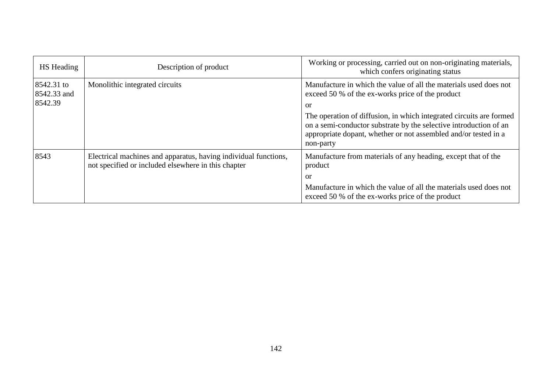| <b>HS</b> Heading                    | Description of product                                                                                                 | Working or processing, carried out on non-originating materials,<br>which confers originating status                                                                                                                     |
|--------------------------------------|------------------------------------------------------------------------------------------------------------------------|--------------------------------------------------------------------------------------------------------------------------------------------------------------------------------------------------------------------------|
| 8542.31 to<br>8542.33 and<br>8542.39 | Monolithic integrated circuits                                                                                         | Manufacture in which the value of all the materials used does not<br>exceed 50 % of the ex-works price of the product<br>or                                                                                              |
|                                      |                                                                                                                        | The operation of diffusion, in which integrated circuits are formed<br>on a semi-conductor substrate by the selective introduction of an<br>appropriate dopant, whether or not assembled and/or tested in a<br>non-party |
| 8543                                 | Electrical machines and apparatus, having individual functions,<br>not specified or included elsewhere in this chapter | Manufacture from materials of any heading, except that of the<br>product<br>or                                                                                                                                           |
|                                      |                                                                                                                        | Manufacture in which the value of all the materials used does not<br>exceed 50 % of the ex-works price of the product                                                                                                    |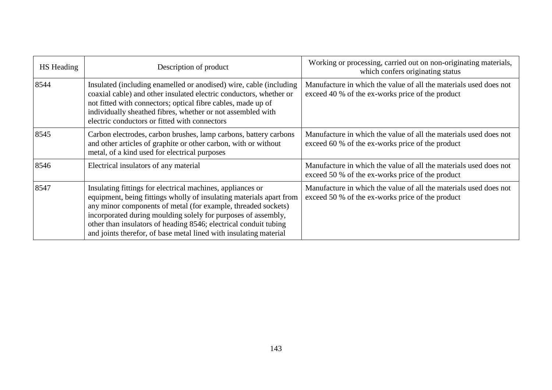| HS Heading | Description of product                                                                                                                                                                                                                                                                                                                                                                                       | Working or processing, carried out on non-originating materials,<br>which confers originating status                  |
|------------|--------------------------------------------------------------------------------------------------------------------------------------------------------------------------------------------------------------------------------------------------------------------------------------------------------------------------------------------------------------------------------------------------------------|-----------------------------------------------------------------------------------------------------------------------|
| 8544       | Insulated (including enamelled or anodised) wire, cable (including<br>coaxial cable) and other insulated electric conductors, whether or<br>not fitted with connectors; optical fibre cables, made up of<br>individually sheathed fibres, whether or not assembled with<br>electric conductors or fitted with connectors                                                                                     | Manufacture in which the value of all the materials used does not<br>exceed 40 % of the ex-works price of the product |
| 8545       | Carbon electrodes, carbon brushes, lamp carbons, battery carbons<br>and other articles of graphite or other carbon, with or without<br>metal, of a kind used for electrical purposes                                                                                                                                                                                                                         | Manufacture in which the value of all the materials used does not<br>exceed 60 % of the ex-works price of the product |
| 8546       | Electrical insulators of any material                                                                                                                                                                                                                                                                                                                                                                        | Manufacture in which the value of all the materials used does not<br>exceed 50 % of the ex-works price of the product |
| 8547       | Insulating fittings for electrical machines, appliances or<br>equipment, being fittings wholly of insulating materials apart from<br>any minor components of metal (for example, threaded sockets)<br>incorporated during moulding solely for purposes of assembly,<br>other than insulators of heading 8546; electrical conduit tubing<br>and joints therefor, of base metal lined with insulating material | Manufacture in which the value of all the materials used does not<br>exceed 50 % of the ex-works price of the product |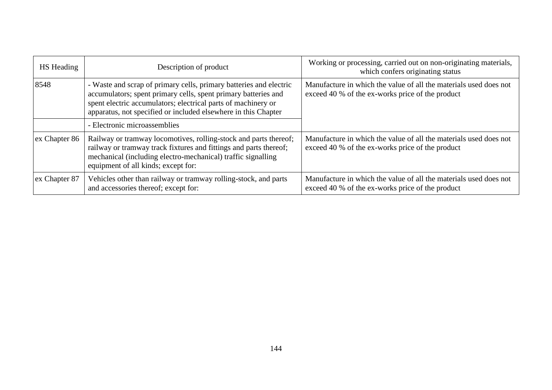| <b>HS</b> Heading | Description of product                                                                                                                                                                                                                                                  | Working or processing, carried out on non-originating materials,<br>which confers originating status                  |
|-------------------|-------------------------------------------------------------------------------------------------------------------------------------------------------------------------------------------------------------------------------------------------------------------------|-----------------------------------------------------------------------------------------------------------------------|
| 8548              | - Waste and scrap of primary cells, primary batteries and electric<br>accumulators; spent primary cells, spent primary batteries and<br>spent electric accumulators; electrical parts of machinery or<br>apparatus, not specified or included elsewhere in this Chapter | Manufacture in which the value of all the materials used does not<br>exceed 40 % of the ex-works price of the product |
|                   | - Electronic microassemblies                                                                                                                                                                                                                                            |                                                                                                                       |
| ex Chapter 86     | Railway or tramway locomotives, rolling-stock and parts thereof;<br>railway or tramway track fixtures and fittings and parts thereof;<br>mechanical (including electro-mechanical) traffic signalling<br>equipment of all kinds; except for:                            | Manufacture in which the value of all the materials used does not<br>exceed 40 % of the ex-works price of the product |
| ex Chapter 87     | Vehicles other than railway or tramway rolling-stock, and parts<br>and accessories thereof; except for:                                                                                                                                                                 | Manufacture in which the value of all the materials used does not<br>exceed 40 % of the ex-works price of the product |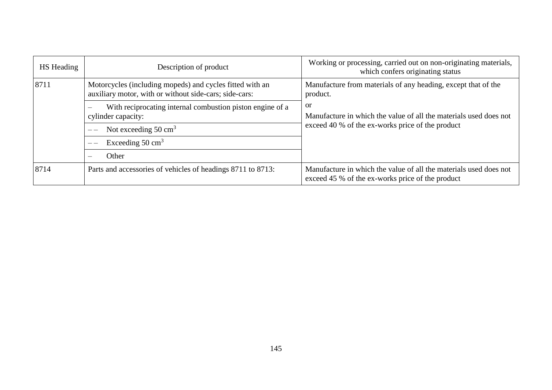| <b>HS</b> Heading | Description of product                                                                                                                         | Working or processing, carried out on non-originating materials,<br>which confers originating status                                   |
|-------------------|------------------------------------------------------------------------------------------------------------------------------------------------|----------------------------------------------------------------------------------------------------------------------------------------|
| 8711              | Motorcycles (including mopeds) and cycles fitted with an<br>auxiliary motor, with or without side-cars; side-cars:                             | Manufacture from materials of any heading, except that of the<br>product.                                                              |
|                   | With reciprocating internal combustion piston engine of a<br>$\overline{\phantom{m}}$<br>cylinder capacity:<br>Not exceeding $50 \text{ cm}^3$ | <sub>or</sub><br>Manufacture in which the value of all the materials used does not<br>exceed 40 % of the ex-works price of the product |
|                   |                                                                                                                                                |                                                                                                                                        |
|                   | Other                                                                                                                                          |                                                                                                                                        |
| 8714              | Parts and accessories of vehicles of headings 8711 to 8713:                                                                                    |                                                                                                                                        |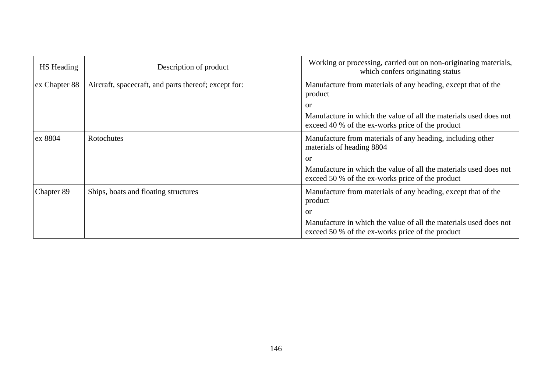| <b>HS</b> Heading | Description of product                               | Working or processing, carried out on non-originating materials,<br>which confers originating status                  |  |
|-------------------|------------------------------------------------------|-----------------------------------------------------------------------------------------------------------------------|--|
| ex Chapter 88     | Aircraft, spacecraft, and parts thereof; except for: | Manufacture from materials of any heading, except that of the<br>product                                              |  |
|                   |                                                      | or                                                                                                                    |  |
|                   |                                                      | Manufacture in which the value of all the materials used does not<br>exceed 40 % of the ex-works price of the product |  |
| ex 8804           | Rotochutes                                           | Manufacture from materials of any heading, including other<br>materials of heading 8804                               |  |
|                   |                                                      | $\alpha$                                                                                                              |  |
|                   |                                                      | Manufacture in which the value of all the materials used does not<br>exceed 50 % of the ex-works price of the product |  |
| Chapter 89        | Ships, boats and floating structures                 | Manufacture from materials of any heading, except that of the<br>product                                              |  |
|                   |                                                      | or                                                                                                                    |  |
|                   |                                                      | Manufacture in which the value of all the materials used does not<br>exceed 50 % of the ex-works price of the product |  |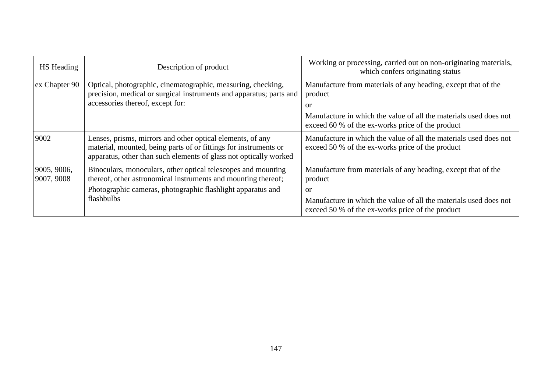| HS Heading                | Description of product                                                                                                                                                                              | Working or processing, carried out on non-originating materials,<br>which confers originating status                  |  |
|---------------------------|-----------------------------------------------------------------------------------------------------------------------------------------------------------------------------------------------------|-----------------------------------------------------------------------------------------------------------------------|--|
| ex Chapter 90             | Optical, photographic, cinematographic, measuring, checking,<br>precision, medical or surgical instruments and apparatus; parts and<br>accessories thereof, except for:                             | Manufacture from materials of any heading, except that of the<br>product<br>or                                        |  |
|                           |                                                                                                                                                                                                     | Manufacture in which the value of all the materials used does not<br>exceed 60 % of the ex-works price of the product |  |
| 9002                      | Lenses, prisms, mirrors and other optical elements, of any<br>material, mounted, being parts of or fittings for instruments or<br>apparatus, other than such elements of glass not optically worked | Manufacture in which the value of all the materials used does not<br>exceed 50 % of the ex-works price of the product |  |
| 9005, 9006,<br>9007, 9008 | Binoculars, monoculars, other optical telescopes and mounting<br>thereof, other astronomical instruments and mounting thereof;                                                                      | Manufacture from materials of any heading, except that of the<br>product                                              |  |
|                           | Photographic cameras, photographic flashlight apparatus and<br>flashbulbs                                                                                                                           | or                                                                                                                    |  |
|                           |                                                                                                                                                                                                     | Manufacture in which the value of all the materials used does not<br>exceed 50 % of the ex-works price of the product |  |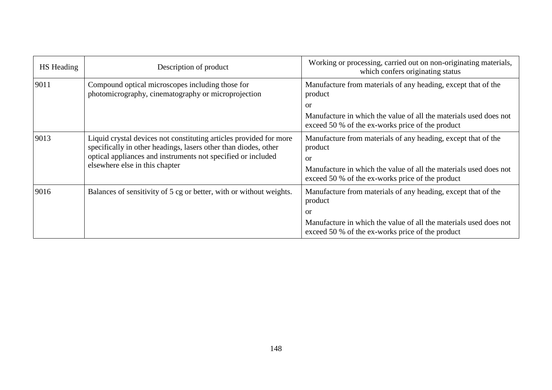| <b>HS</b> Heading                                                                                               | Description of product                                                                                                                                                                                                                  | Working or processing, carried out on non-originating materials,<br>which confers originating status                                                                                                               |
|-----------------------------------------------------------------------------------------------------------------|-----------------------------------------------------------------------------------------------------------------------------------------------------------------------------------------------------------------------------------------|--------------------------------------------------------------------------------------------------------------------------------------------------------------------------------------------------------------------|
| 9011<br>Compound optical microscopes including those for<br>photomicrography, cinematography or microprojection |                                                                                                                                                                                                                                         | Manufacture from materials of any heading, except that of the<br>product                                                                                                                                           |
|                                                                                                                 |                                                                                                                                                                                                                                         | or                                                                                                                                                                                                                 |
|                                                                                                                 |                                                                                                                                                                                                                                         | Manufacture in which the value of all the materials used does not<br>exceed 50 % of the ex-works price of the product                                                                                              |
| 9013                                                                                                            | Liquid crystal devices not constituting articles provided for more<br>specifically in other headings, lasers other than diodes, other<br>optical appliances and instruments not specified or included<br>elsewhere else in this chapter | Manufacture from materials of any heading, except that of the<br>product<br><sub>or</sub><br>Manufacture in which the value of all the materials used does not<br>exceed 50 % of the ex-works price of the product |
| 9016                                                                                                            | Balances of sensitivity of 5 cg or better, with or without weights.                                                                                                                                                                     | Manufacture from materials of any heading, except that of the<br>product<br>or<br>Manufacture in which the value of all the materials used does not<br>exceed 50 % of the ex-works price of the product            |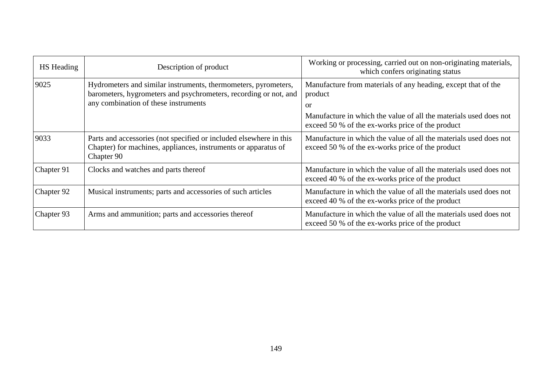| HS Heading | Working or processing, carried out on non-originating materials,<br>Description of product<br>which confers originating status                     |                                                                                                                       |  |
|------------|----------------------------------------------------------------------------------------------------------------------------------------------------|-----------------------------------------------------------------------------------------------------------------------|--|
| 9025       | Hydrometers and similar instruments, thermometers, pyrometers,<br>barometers, hygrometers and psychrometers, recording or not, and                 | Manufacture from materials of any heading, except that of the<br>product                                              |  |
|            | any combination of these instruments                                                                                                               | or                                                                                                                    |  |
|            |                                                                                                                                                    | Manufacture in which the value of all the materials used does not<br>exceed 50 % of the ex-works price of the product |  |
| 9033       | Parts and accessories (not specified or included elsewhere in this<br>Chapter) for machines, appliances, instruments or apparatus of<br>Chapter 90 | Manufacture in which the value of all the materials used does not<br>exceed 50 % of the ex-works price of the product |  |
| Chapter 91 | Clocks and watches and parts thereof                                                                                                               | Manufacture in which the value of all the materials used does not<br>exceed 40 % of the ex-works price of the product |  |
| Chapter 92 | Musical instruments; parts and accessories of such articles                                                                                        | Manufacture in which the value of all the materials used does not<br>exceed 40 % of the ex-works price of the product |  |
| Chapter 93 | Arms and ammunition; parts and accessories thereof                                                                                                 | Manufacture in which the value of all the materials used does not<br>exceed 50 % of the ex-works price of the product |  |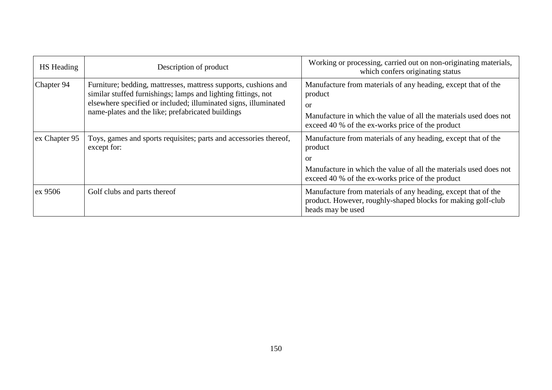| <b>HS</b> Heading | Description of product                                                                                                                                                                                                                                   | Working or processing, carried out on non-originating materials,<br>which confers originating status                                                                                                               |
|-------------------|----------------------------------------------------------------------------------------------------------------------------------------------------------------------------------------------------------------------------------------------------------|--------------------------------------------------------------------------------------------------------------------------------------------------------------------------------------------------------------------|
| Chapter 94        | Furniture; bedding, mattresses, mattress supports, cushions and<br>similar stuffed furnishings; lamps and lighting fittings, not<br>elsewhere specified or included; illuminated signs, illuminated<br>name-plates and the like; prefabricated buildings | Manufacture from materials of any heading, except that of the<br>product<br><sub>or</sub><br>Manufacture in which the value of all the materials used does not<br>exceed 40 % of the ex-works price of the product |
| ex Chapter 95     | Toys, games and sports requisites; parts and accessories thereof,<br>except for:                                                                                                                                                                         | Manufacture from materials of any heading, except that of the<br>product<br>or<br>Manufacture in which the value of all the materials used does not<br>exceed 40 % of the ex-works price of the product            |
| ex 9506           | Golf clubs and parts thereof                                                                                                                                                                                                                             | Manufacture from materials of any heading, except that of the<br>product. However, roughly-shaped blocks for making golf-club<br>heads may be used                                                                 |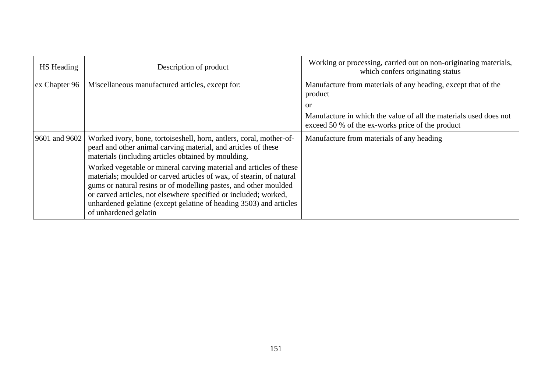| HS Heading    | Description of product                                                                                                                                                                                                                                                                                                                                                            | Working or processing, carried out on non-originating materials,<br>which confers originating status                  |
|---------------|-----------------------------------------------------------------------------------------------------------------------------------------------------------------------------------------------------------------------------------------------------------------------------------------------------------------------------------------------------------------------------------|-----------------------------------------------------------------------------------------------------------------------|
| ex Chapter 96 | Miscellaneous manufactured articles, except for:                                                                                                                                                                                                                                                                                                                                  | Manufacture from materials of any heading, except that of the<br>product                                              |
|               |                                                                                                                                                                                                                                                                                                                                                                                   | or                                                                                                                    |
|               |                                                                                                                                                                                                                                                                                                                                                                                   | Manufacture in which the value of all the materials used does not<br>exceed 50 % of the ex-works price of the product |
| 9601 and 9602 | Worked ivory, bone, tortoiseshell, horn, antlers, coral, mother-of-<br>pearl and other animal carving material, and articles of these<br>materials (including articles obtained by moulding.                                                                                                                                                                                      | Manufacture from materials of any heading                                                                             |
|               | Worked vegetable or mineral carving material and articles of these<br>materials; moulded or carved articles of wax, of stearin, of natural<br>gums or natural resins or of modelling pastes, and other moulded<br>or carved articles, not elsewhere specified or included; worked,<br>unhardened gelatine (except gelatine of heading 3503) and articles<br>of unhardened gelatin |                                                                                                                       |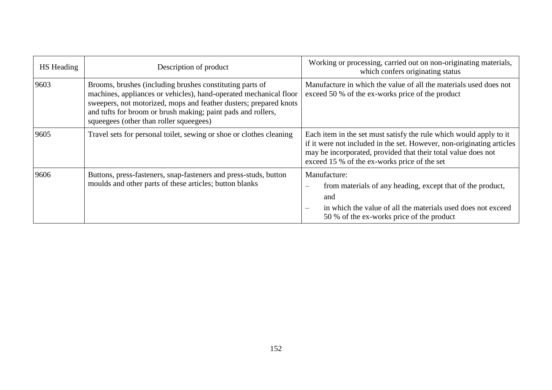| <b>HS</b> Heading | Description of product                                                                                                                                                                                                                                                                                        | Working or processing, carried out on non-originating materials,<br>which confers originating status                                                                                                                                                         |  |
|-------------------|---------------------------------------------------------------------------------------------------------------------------------------------------------------------------------------------------------------------------------------------------------------------------------------------------------------|--------------------------------------------------------------------------------------------------------------------------------------------------------------------------------------------------------------------------------------------------------------|--|
| 9603              | Brooms, brushes (including brushes constituting parts of<br>machines, appliances or vehicles), hand-operated mechanical floor<br>sweepers, not motorized, mops and feather dusters; prepared knots<br>and tufts for broom or brush making; paint pads and rollers,<br>squeegees (other than roller squeegees) | Manufacture in which the value of all the materials used does not<br>exceed 50 % of the ex-works price of the product                                                                                                                                        |  |
| 9605              | Travel sets for personal toilet, sewing or shoe or clothes cleaning                                                                                                                                                                                                                                           | Each item in the set must satisfy the rule which would apply to it<br>if it were not included in the set. However, non-originating articles<br>may be incorporated, provided that their total value does not<br>exceed 15 % of the ex-works price of the set |  |
| 9606              | Buttons, press-fasteners, snap-fasteners and press-studs, button<br>moulds and other parts of these articles; button blanks                                                                                                                                                                                   | Manufacture:<br>from materials of any heading, except that of the product,<br>$\overline{\phantom{m}}$<br>and<br>in which the value of all the materials used does not exceed<br>$\overline{\phantom{m}}$<br>50 % of the ex-works price of the product       |  |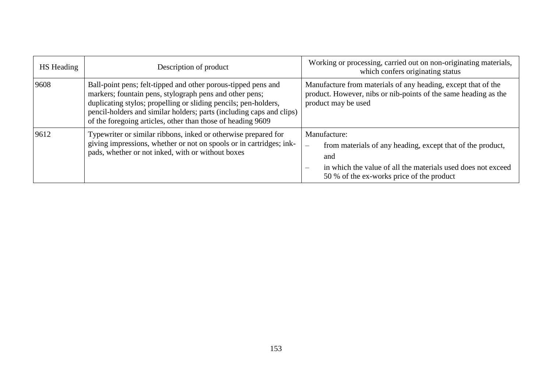| <b>HS</b> Heading | Description of product                                                                                                                                                                                                                                                                                                             | Working or processing, carried out on non-originating materials,<br>which confers originating status                                                                                                                       |  |
|-------------------|------------------------------------------------------------------------------------------------------------------------------------------------------------------------------------------------------------------------------------------------------------------------------------------------------------------------------------|----------------------------------------------------------------------------------------------------------------------------------------------------------------------------------------------------------------------------|--|
| 9608              | Ball-point pens; felt-tipped and other porous-tipped pens and<br>markers; fountain pens, stylograph pens and other pens;<br>duplicating stylos; propelling or sliding pencils; pen-holders,<br>pencil-holders and similar holders; parts (including caps and clips)<br>of the foregoing articles, other than those of heading 9609 | Manufacture from materials of any heading, except that of the<br>product. However, nibs or nib-points of the same heading as the<br>product may be used                                                                    |  |
| 9612              | Typewriter or similar ribbons, inked or otherwise prepared for<br>giving impressions, whether or not on spools or in cartridges; ink-<br>pads, whether or not inked, with or without boxes                                                                                                                                         | Manufacture:<br>from materials of any heading, except that of the product,<br>$\overline{\phantom{m}}$<br>and<br>in which the value of all the materials used does not exceed<br>50 % of the ex-works price of the product |  |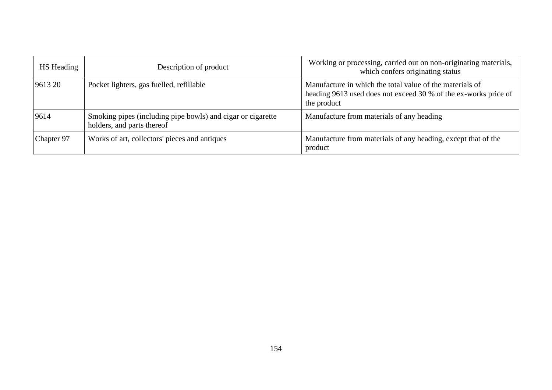| <b>HS</b> Heading | Description of product                                                                    | Working or processing, carried out on non-originating materials,<br>which confers originating status                                       |
|-------------------|-------------------------------------------------------------------------------------------|--------------------------------------------------------------------------------------------------------------------------------------------|
| 9613 20           | Pocket lighters, gas fuelled, refillable                                                  | Manufacture in which the total value of the materials of<br>heading 9613 used does not exceed 30 % of the ex-works price of<br>the product |
| 9614              | Smoking pipes (including pipe bowls) and cigar or cigarette<br>holders, and parts thereof | Manufacture from materials of any heading                                                                                                  |
| Chapter 97        | Works of art, collectors' pieces and antiques                                             | Manufacture from materials of any heading, except that of the<br>product                                                                   |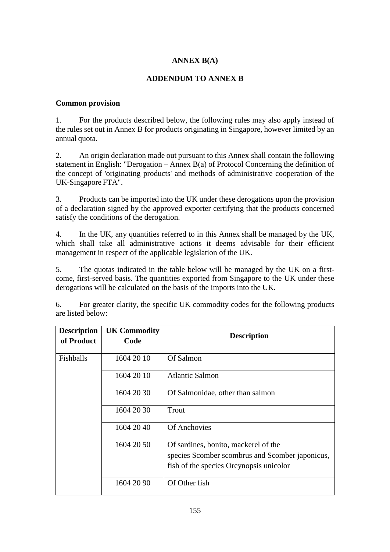# **ANNEX B(A)**

## **ADDENDUM TO ANNEX B**

### **Common provision**

1. For the products described below, the following rules may also apply instead of the rules set out in Annex B for products originating in Singapore, however limited by an annual quota.

2. An origin declaration made out pursuant to this Annex shall contain the following statement in English: "Derogation – Annex  $B(a)$  of Protocol Concerning the definition of the concept of 'originating products' and methods of administrative cooperation of the UK-Singapore FTA".

3. Products can be imported into the UK under these derogations upon the provision of a declaration signed by the approved exporter certifying that the products concerned satisfy the conditions of the derogation.

4. In the UK, any quantities referred to in this Annex shall be managed by the UK, which shall take all administrative actions it deems advisable for their efficient management in respect of the applicable legislation of the UK.

5. The quotas indicated in the table below will be managed by the UK on a firstcome, first-served basis. The quantities exported from Singapore to the UK under these derogations will be calculated on the basis of the imports into the UK.

6. For greater clarity, the specific UK commodity codes for the following products are listed below:

| <b>Description</b><br>of Product | <b>UK Commodity</b><br>Code | <b>Description</b>                              |
|----------------------------------|-----------------------------|-------------------------------------------------|
| Fishballs                        | 1604 20 10                  | Of Salmon                                       |
|                                  | 1604 20 10                  | <b>Atlantic Salmon</b>                          |
|                                  | 1604 20 30                  | Of Salmonidae, other than salmon                |
|                                  | 1604 20 30                  | Trout                                           |
|                                  | 1604 20 40                  | <b>Of Anchovies</b>                             |
|                                  | 1604 20 50                  | Of sardines, bonito, mackerel of the            |
|                                  |                             | species Scomber scombrus and Scomber japonicus, |
|                                  |                             | fish of the species Orcynopsis unicolor         |
|                                  | 1604 20 90                  | Of Other fish                                   |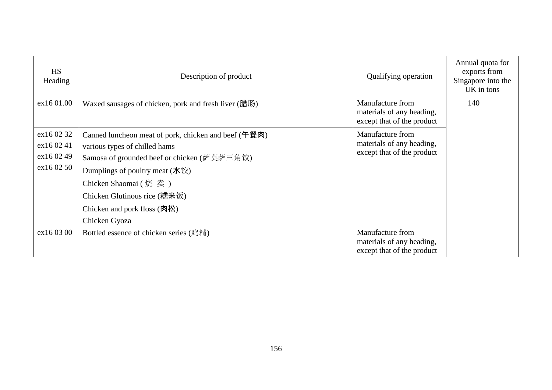| <b>HS</b><br>Heading                                  | Description of product                                                                                                                                                                                                                                                               | Qualifying operation                                                        | Annual quota for<br>exports from<br>Singapore into the<br>UK in tons |
|-------------------------------------------------------|--------------------------------------------------------------------------------------------------------------------------------------------------------------------------------------------------------------------------------------------------------------------------------------|-----------------------------------------------------------------------------|----------------------------------------------------------------------|
| ex16 01.00                                            | Waxed sausages of chicken, pork and fresh liver (腊肠)                                                                                                                                                                                                                                 | Manufacture from<br>materials of any heading,<br>except that of the product | 140                                                                  |
| ex16 02 32<br>ex16 02 41<br>ex16 02 49<br>ex 16 02 50 | Canned luncheon meat of pork, chicken and beef (午餐肉)<br>various types of chilled hams<br>Samosa of grounded beef or chicken (萨莫萨三角饺)<br>Dumplings of poultry meat $(\text{)$<br>Chicken Shaomai (烧卖)<br>Chicken Glutinous rice (糯米饭)<br>Chicken and pork floss (肉松)<br>Chicken Gyoza | Manufacture from<br>materials of any heading,<br>except that of the product |                                                                      |
| ex16 03 00                                            | Bottled essence of chicken series (鸡精)                                                                                                                                                                                                                                               | Manufacture from<br>materials of any heading,<br>except that of the product |                                                                      |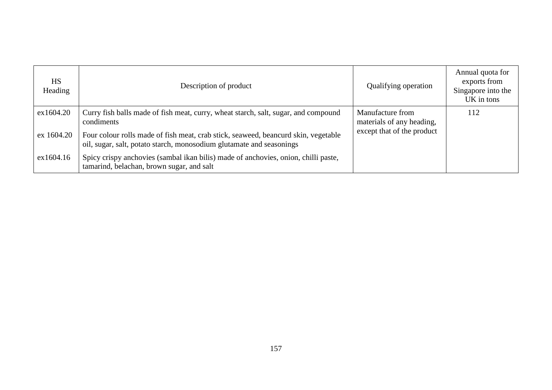| <b>HS</b><br>Heading | Description of product                                                                                                                                     | <b>Qualifying operation</b>                   | Annual quota for<br>exports from<br>Singapore into the<br>UK in tons |
|----------------------|------------------------------------------------------------------------------------------------------------------------------------------------------------|-----------------------------------------------|----------------------------------------------------------------------|
| ex1604.20            | Curry fish balls made of fish meat, curry, wheat starch, salt, sugar, and compound<br>condiments                                                           | Manufacture from<br>materials of any heading, | 112                                                                  |
| ex 1604.20           | Four colour rolls made of fish meat, crab stick, seaweed, beancurd skin, vegetable<br>oil, sugar, salt, potato starch, monosodium glutamate and seasonings | except that of the product                    |                                                                      |
| ex1604.16            | Spicy crispy anchovies (sambal ikan bilis) made of anchovies, onion, chilli paste,<br>tamarind, belachan, brown sugar, and salt                            |                                               |                                                                      |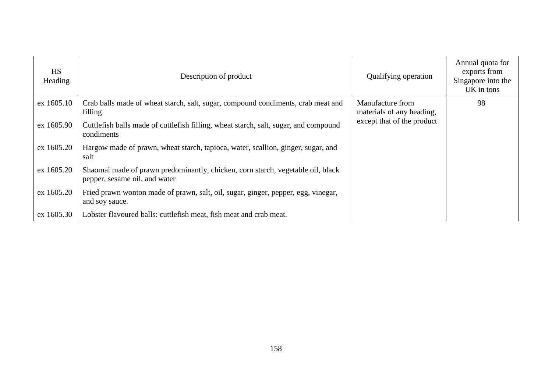| <b>HS</b><br>Heading | Description of product                                                                                           | Qualifying operation                          | Annual quota for<br>exports from<br>Singapore into the<br>UK in tons |
|----------------------|------------------------------------------------------------------------------------------------------------------|-----------------------------------------------|----------------------------------------------------------------------|
| ex 1605.10           | Crab balls made of wheat starch, salt, sugar, compound condiments, crab meat and<br>filling                      | Manufacture from<br>materials of any heading, | 98                                                                   |
| ex 1605.90           | Cuttlefish balls made of cuttlefish filling, wheat starch, salt, sugar, and compound<br>condiments               | except that of the product                    |                                                                      |
| ex 1605.20           | Hargow made of prawn, wheat starch, tapioca, water, scallion, ginger, sugar, and<br>salt                         |                                               |                                                                      |
| ex 1605.20           | Shaomai made of prawn predominantly, chicken, corn starch, vegetable oil, black<br>pepper, sesame oil, and water |                                               |                                                                      |
| ex 1605.20           | Fried prawn wonton made of prawn, salt, oil, sugar, ginger, pepper, egg, vinegar,<br>and soy sauce.              |                                               |                                                                      |
| ex 1605.30           | Lobster flavoured balls: cuttlefish meat, fish meat and crab meat.                                               |                                               |                                                                      |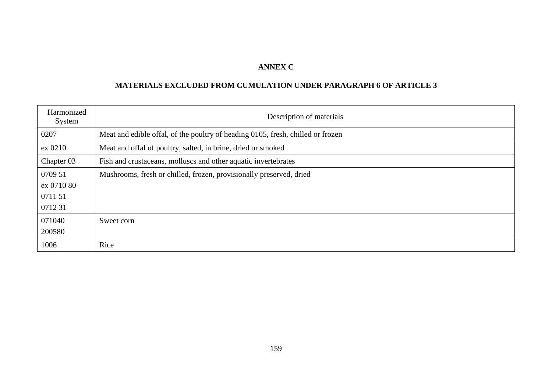# **ANNEX C**

# **MATERIALS EXCLUDED FROM CUMULATION UNDER PARAGRAPH 6 OF ARTICLE 3**

| Harmonized<br>System | Description of materials                                                        |
|----------------------|---------------------------------------------------------------------------------|
| 0207                 | Meat and edible offal, of the poultry of heading 0105, fresh, chilled or frozen |
| ex 0210              | Meat and offal of poultry, salted, in brine, dried or smoked                    |
| Chapter 03           | Fish and crustaceans, molluscs and other aquatic invertebrates                  |
| 0709 51              | Mushrooms, fresh or chilled, frozen, provisionally preserved, dried             |
| ex 0710 80           |                                                                                 |
| 0711 51              |                                                                                 |
| 071231               |                                                                                 |
| 071040               | Sweet corn                                                                      |
| 200580               |                                                                                 |
| 1006                 | Rice                                                                            |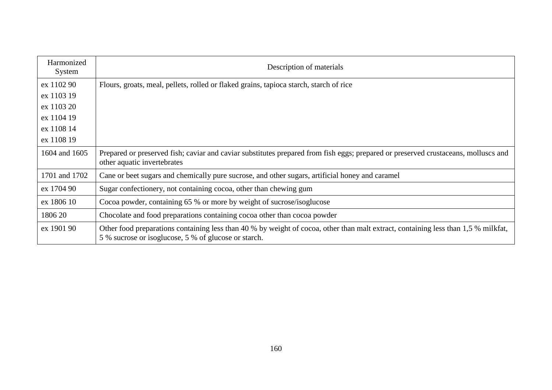| Harmonized<br>System | Description of materials                                                                                                                                                                   |  |
|----------------------|--------------------------------------------------------------------------------------------------------------------------------------------------------------------------------------------|--|
| ex 1102 90           | Flours, groats, meal, pellets, rolled or flaked grains, tapioca starch, starch of rice                                                                                                     |  |
| ex 1103 19           |                                                                                                                                                                                            |  |
| ex 1103 20           |                                                                                                                                                                                            |  |
| ex 1104 19           |                                                                                                                                                                                            |  |
| ex 1108 14           |                                                                                                                                                                                            |  |
| ex 1108 19           |                                                                                                                                                                                            |  |
| 1604 and 1605        | Prepared or preserved fish; caviar and caviar substitutes prepared from fish eggs; prepared or preserved crustaceans, molluscs and<br>other aquatic invertebrates                          |  |
| 1701 and 1702        | Cane or beet sugars and chemically pure sucrose, and other sugars, artificial honey and caramel                                                                                            |  |
| ex 1704 90           | Sugar confectionery, not containing cocoa, other than chewing gum                                                                                                                          |  |
| ex 1806 10           | Cocoa powder, containing 65 % or more by weight of sucrose/isoglucose                                                                                                                      |  |
| 1806 20              | Chocolate and food preparations containing cocoa other than cocoa powder                                                                                                                   |  |
| ex 1901 90           | Other food preparations containing less than 40 % by weight of cocoa, other than malt extract, containing less than 1,5 % milkfat,<br>5 % sucrose or isoglucose, 5 % of glucose or starch. |  |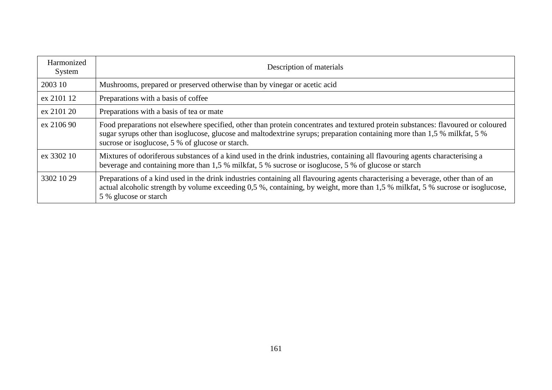| Harmonized<br>System | Description of materials                                                                                                                                                                                                                                                                                           |
|----------------------|--------------------------------------------------------------------------------------------------------------------------------------------------------------------------------------------------------------------------------------------------------------------------------------------------------------------|
| 2003 10              | Mushrooms, prepared or preserved otherwise than by vinegar or acetic acid                                                                                                                                                                                                                                          |
| ex 2101 12           | Preparations with a basis of coffee                                                                                                                                                                                                                                                                                |
| ex 2101 20           | Preparations with a basis of tea or mate                                                                                                                                                                                                                                                                           |
| ex 2106 90           | Food preparations not elsewhere specified, other than protein concentrates and textured protein substances: flavoured or coloured<br>sugar syrups other than isoglucose, glucose and maltodextrine syrups; preparation containing more than 1,5 % milkfat, 5 %<br>sucrose or isoglucose, 5 % of glucose or starch. |
| ex 3302 10           | Mixtures of odoriferous substances of a kind used in the drink industries, containing all flavouring agents characterising a<br>beverage and containing more than 1,5 % milkfat, 5 % sucrose or isoglucose, 5 % of glucose or starch                                                                               |
| 3302 10 29           | Preparations of a kind used in the drink industries containing all flavouring agents characterising a beverage, other than of an<br>actual alcoholic strength by volume exceeding 0,5 %, containing, by weight, more than 1,5 % milkfat, 5 % sucrose or isoglucose,<br>5 % glucose or starch                       |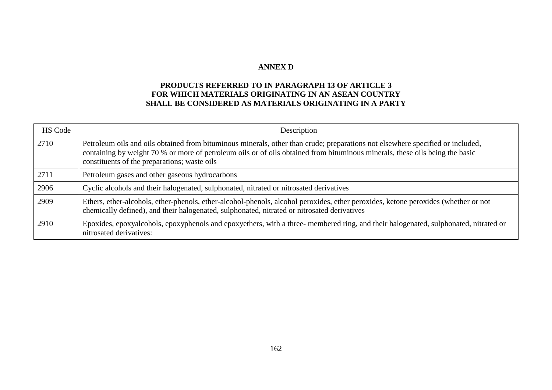#### **ANNEX D**

## **PRODUCTS REFERRED TO IN PARAGRAPH 13 OF ARTICLE 3 FOR WHICH MATERIALS ORIGINATING IN AN ASEAN COUNTRY SHALL BE CONSIDERED AS MATERIALS ORIGINATING IN A PARTY**

| <b>HS Code</b> | Description                                                                                                                                                                                                                                                                                                    |
|----------------|----------------------------------------------------------------------------------------------------------------------------------------------------------------------------------------------------------------------------------------------------------------------------------------------------------------|
| 2710           | Petroleum oils and oils obtained from bituminous minerals, other than crude; preparations not elsewhere specified or included,<br>containing by weight 70 % or more of petroleum oils or of oils obtained from bituminous minerals, these oils being the basic<br>constituents of the preparations; waste oils |
| 2711           | Petroleum gases and other gaseous hydrocarbons                                                                                                                                                                                                                                                                 |
| 2906           | Cyclic alcohols and their halogenated, sulphonated, nitrated or nitrosated derivatives                                                                                                                                                                                                                         |
| 2909           | Ethers, ether-alcohols, ether-phenols, ether-alcohol-phenols, alcohol peroxides, ether peroxides, ketone peroxides (whether or not<br>chemically defined), and their halogenated, sulphonated, nitrated or nitrosated derivatives                                                                              |
| 2910           | Epoxides, epoxyalcohols, epoxyphenols and epoxyethers, with a three-membered ring, and their halogenated, sulphonated, nitrated or<br>nitrosated derivatives:                                                                                                                                                  |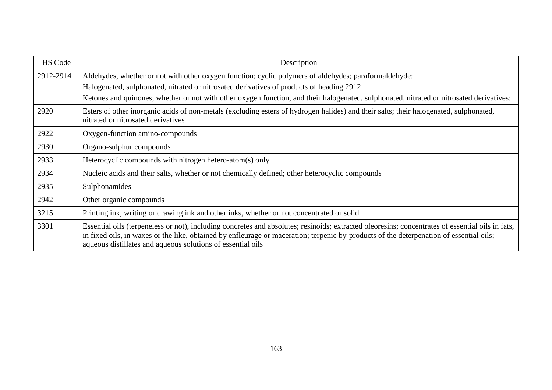| HS Code   | Description                                                                                                                                                                                                                                                                                                                                                |  |
|-----------|------------------------------------------------------------------------------------------------------------------------------------------------------------------------------------------------------------------------------------------------------------------------------------------------------------------------------------------------------------|--|
| 2912-2914 | Aldehydes, whether or not with other oxygen function; cyclic polymers of aldehydes; paraformaldehyde:                                                                                                                                                                                                                                                      |  |
|           | Halogenated, sulphonated, nitrated or nitrosated derivatives of products of heading 2912                                                                                                                                                                                                                                                                   |  |
|           | Ketones and quinones, whether or not with other oxygen function, and their halogenated, sulphonated, nitrated or nitrosated derivatives:                                                                                                                                                                                                                   |  |
| 2920      | Esters of other inorganic acids of non-metals (excluding esters of hydrogen halides) and their salts; their halogenated, sulphonated,<br>nitrated or nitrosated derivatives                                                                                                                                                                                |  |
| 2922      | Oxygen-function amino-compounds                                                                                                                                                                                                                                                                                                                            |  |
| 2930      | Organo-sulphur compounds                                                                                                                                                                                                                                                                                                                                   |  |
| 2933      | Heterocyclic compounds with nitrogen hetero-atom(s) only                                                                                                                                                                                                                                                                                                   |  |
| 2934      | Nucleic acids and their salts, whether or not chemically defined; other heterocyclic compounds                                                                                                                                                                                                                                                             |  |
| 2935      | Sulphonamides                                                                                                                                                                                                                                                                                                                                              |  |
| 2942      | Other organic compounds                                                                                                                                                                                                                                                                                                                                    |  |
| 3215      | Printing ink, writing or drawing ink and other inks, whether or not concentrated or solid                                                                                                                                                                                                                                                                  |  |
| 3301      | Essential oils (terpeneless or not), including concretes and absolutes; resinoids; extracted oleoresins; concentrates of essential oils in fats,<br>in fixed oils, in waxes or the like, obtained by enfleurage or maceration; terpenic by-products of the deterpenation of essential oils;<br>aqueous distillates and aqueous solutions of essential oils |  |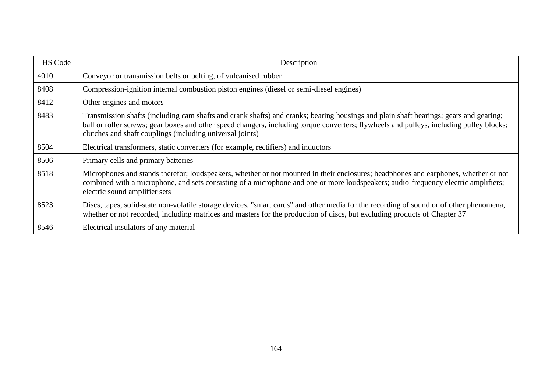| <b>HS Code</b> | Description                                                                                                                                                                                                                                                                                                                                    |
|----------------|------------------------------------------------------------------------------------------------------------------------------------------------------------------------------------------------------------------------------------------------------------------------------------------------------------------------------------------------|
| 4010           | Conveyor or transmission belts or belting, of vulcanised rubber                                                                                                                                                                                                                                                                                |
| 8408           | Compression-ignition internal combustion piston engines (diesel or semi-diesel engines)                                                                                                                                                                                                                                                        |
| 8412           | Other engines and motors                                                                                                                                                                                                                                                                                                                       |
| 8483           | Transmission shafts (including cam shafts and crank shafts) and cranks; bearing housings and plain shaft bearings; gears and gearing;<br>ball or roller screws; gear boxes and other speed changers, including torque converters; flywheels and pulleys, including pulley blocks;<br>clutches and shaft couplings (including universal joints) |
| 8504           | Electrical transformers, static converters (for example, rectifiers) and inductors                                                                                                                                                                                                                                                             |
| 8506           | Primary cells and primary batteries                                                                                                                                                                                                                                                                                                            |
| 8518           | Microphones and stands therefor; loudspeakers, whether or not mounted in their enclosures; headphones and earphones, whether or not<br>combined with a microphone, and sets consisting of a microphone and one or more loudspeakers; audio-frequency electric amplifiers;<br>electric sound amplifier sets                                     |
| 8523           | Discs, tapes, solid-state non-volatile storage devices, "smart cards" and other media for the recording of sound or of other phenomena,<br>whether or not recorded, including matrices and masters for the production of discs, but excluding products of Chapter 37                                                                           |
| 8546           | Electrical insulators of any material                                                                                                                                                                                                                                                                                                          |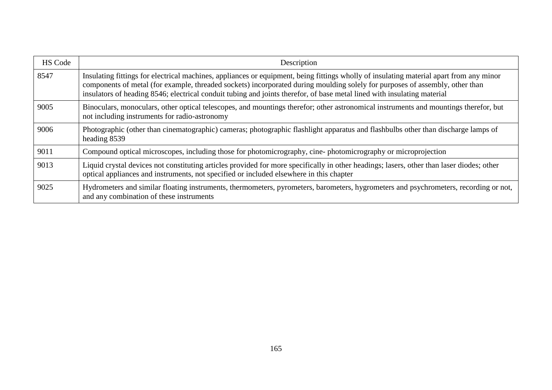| <b>HS Code</b> | Description                                                                                                                                                                                                                                                                                                                                                                                        |
|----------------|----------------------------------------------------------------------------------------------------------------------------------------------------------------------------------------------------------------------------------------------------------------------------------------------------------------------------------------------------------------------------------------------------|
| 8547           | Insulating fittings for electrical machines, appliances or equipment, being fittings wholly of insulating material apart from any minor<br>components of metal (for example, threaded sockets) incorporated during moulding solely for purposes of assembly, other than<br>insulators of heading 8546; electrical conduit tubing and joints therefor, of base metal lined with insulating material |
| 9005           | Binoculars, monoculars, other optical telescopes, and mountings therefor; other astronomical instruments and mountings therefor, but<br>not including instruments for radio-astronomy                                                                                                                                                                                                              |
| 9006           | Photographic (other than cinematographic) cameras; photographic flashlight apparatus and flashbulbs other than discharge lamps of<br>heading 8539                                                                                                                                                                                                                                                  |
| 9011           | Compound optical microscopes, including those for photomicrography, cine-photomicrography or microprojection                                                                                                                                                                                                                                                                                       |
| 9013           | Liquid crystal devices not constituting articles provided for more specifically in other headings; lasers, other than laser diodes; other<br>optical appliances and instruments, not specified or included elsewhere in this chapter                                                                                                                                                               |
| 9025           | Hydrometers and similar floating instruments, thermometers, pyrometers, barometers, hygrometers and psychrometers, recording or not,<br>and any combination of these instruments                                                                                                                                                                                                                   |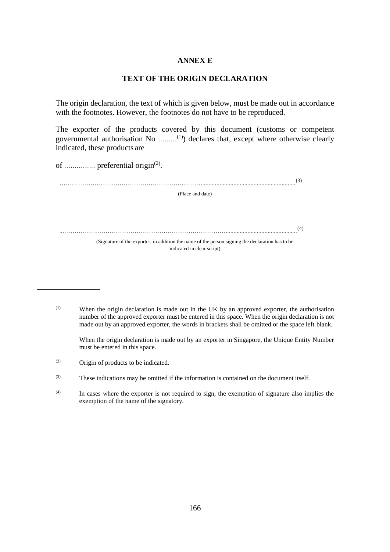#### **ANNEX E**

#### **TEXT OF THE ORIGIN DECLARATION**

The origin declaration, the text of which is given below, must be made out in accordance with the footnotes. However, the footnotes do not have to be reproduced.

The exporter of the products covered by this document (customs or competent governmental authorisation No ………(1)) declares that, except where otherwise clearly indicated, these products are

of ............... preferential origin<sup>(2)</sup>.

……………………………………………………………............................................................ (3) (Place and date) ...…………………………………………………………………….............................................. (4) (Signature of the exporter, in addition the name of the person signing the declaration has to be indicated in clear script)

(1) When the origin declaration is made out in the UK by an approved exporter, the authorisation number of the approved exporter must be entered in this space. When the origin declaration is not made out by an approved exporter, the words in brackets shall be omitted or the space left blank.

When the origin declaration is made out by an exporter in Singapore, the Unique Entity Number must be entered in this space.

(2) Origin of products to be indicated.

<sup>(3)</sup> These indications may be omitted if the information is contained on the document itself.

<sup>(4)</sup> In cases where the exporter is not required to sign, the exemption of signature also implies the exemption of the name of the signatory.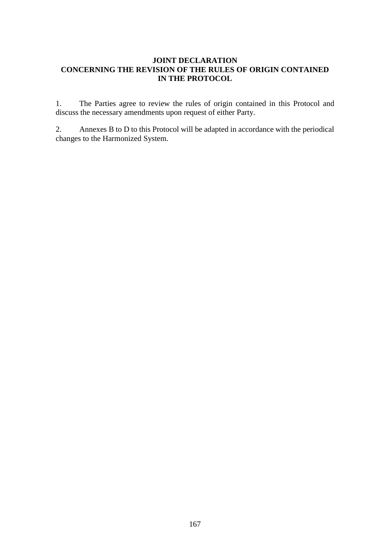#### **JOINT DECLARATION CONCERNING THE REVISION OF THE RULES OF ORIGIN CONTAINED IN THE PROTOCOL**

1. The Parties agree to review the rules of origin contained in this Protocol and discuss the necessary amendments upon request of either Party.

2. Annexes B to D to this Protocol will be adapted in accordance with the periodical changes to the Harmonized System.